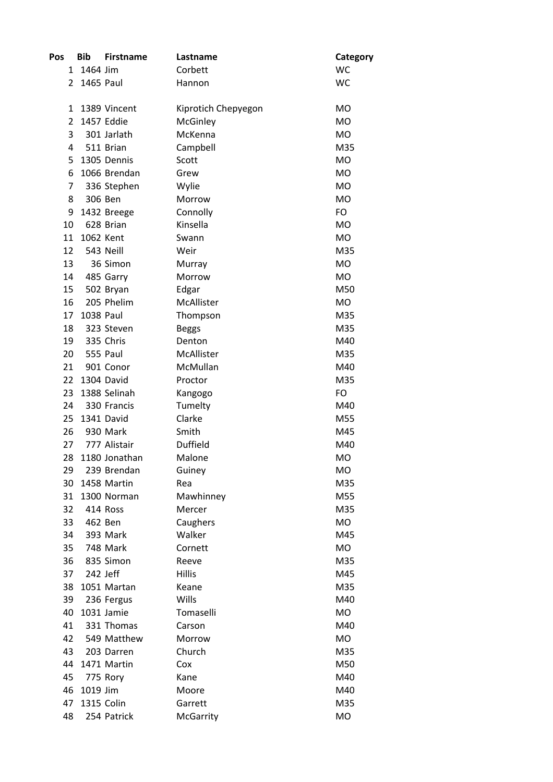| Pos            | <b>Bib</b> | <b>Firstname</b> | Lastname            | Category  |
|----------------|------------|------------------|---------------------|-----------|
| 1              | 1464 Jim   |                  | Corbett             | <b>WC</b> |
| 2              | 1465 Paul  |                  | Hannon              | <b>WC</b> |
|                |            |                  |                     |           |
| 1              |            | 1389 Vincent     | Kiprotich Chepyegon | <b>MO</b> |
| $\overline{2}$ |            | 1457 Eddie       | McGinley            | <b>MO</b> |
| 3              |            | 301 Jarlath      | McKenna             | <b>MO</b> |
| 4              |            | 511 Brian        | Campbell            | M35       |
| 5              |            | 1305 Dennis      | Scott               | <b>MO</b> |
| 6              |            | 1066 Brendan     | Grew                | <b>MO</b> |
| 7              |            | 336 Stephen      | Wylie               | <b>MO</b> |
| 8              |            | 306 Ben          | Morrow              | <b>MO</b> |
| 9              |            | 1432 Breege      | Connolly            | FO        |
| 10             |            | 628 Brian        | Kinsella            | <b>MO</b> |
| 11             | 1062 Kent  |                  | Swann               | <b>MO</b> |
| 12             |            | 543 Neill        | Weir                | M35       |
| 13             |            | 36 Simon         | Murray              | <b>MO</b> |
| 14             |            | 485 Garry        | Morrow              | <b>MO</b> |
| 15             |            | 502 Bryan        | Edgar               | M50       |
| 16             |            | 205 Phelim       | McAllister          | <b>MO</b> |
| 17             | 1038 Paul  |                  | Thompson            | M35       |
| 18             |            | 323 Steven       | <b>Beggs</b>        | M35       |
| 19             |            | 335 Chris        | Denton              | M40       |
| 20             |            | <b>555 Paul</b>  | McAllister          | M35       |
| 21             |            | 901 Conor        | McMullan            | M40       |
| 22             |            | 1304 David       | Proctor             | M35       |
| 23             |            | 1388 Selinah     | Kangogo             | FO        |
| 24             |            | 330 Francis      | Tumelty             | M40       |
| 25             |            | 1341 David       | Clarke              | M55       |
| 26             |            | 930 Mark         | Smith               | M45       |
| 27             |            | 777 Alistair     | <b>Duffield</b>     | M40       |
| 28             |            | 1180 Jonathan    | Malone              | <b>MO</b> |
| 29             |            | 239 Brendan      | Guiney              | МO        |
| 30             |            | 1458 Martin      | Rea                 | M35       |
| 31             |            | 1300 Norman      | Mawhinney           | M55       |
| 32             |            | 414 Ross         | Mercer              | M35       |
| 33             |            | 462 Ben          | Caughers            | <b>MO</b> |
| 34             |            | 393 Mark         | Walker              | M45       |
| 35             |            | 748 Mark         | Cornett             | MO        |
| 36             |            | 835 Simon        | Reeve               | M35       |
| 37             |            | 242 Jeff         | <b>Hillis</b>       | M45       |
| 38             |            | 1051 Martan      | Keane               | M35       |
| 39             |            | 236 Fergus       | Wills               | M40       |
| 40             |            | 1031 Jamie       | Tomaselli           | MO        |
| 41             |            | 331 Thomas       | Carson              | M40       |
| 42             |            | 549 Matthew      | Morrow              | <b>MO</b> |
| 43             |            | 203 Darren       | Church              | M35       |
| 44             |            | 1471 Martin      | Cox                 | M50       |
| 45             |            | 775 Rory         | Kane                | M40       |
| 46             | 1019 Jim   |                  | Moore               | M40       |
| 47             |            | 1315 Colin       | Garrett             | M35       |
| 48             |            | 254 Patrick      | McGarrity           | MO        |
|                |            |                  |                     |           |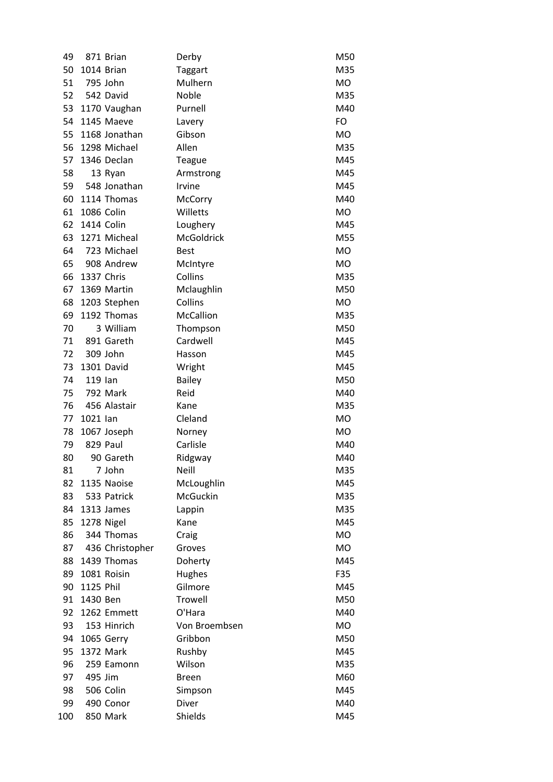| 49       |            | 871 Brian               | Derby              | M50        |
|----------|------------|-------------------------|--------------------|------------|
| 50       |            | 1014 Brian              | Taggart            | M35        |
| 51       |            | 795 John                | Mulhern            | MO         |
| 52       |            | 542 David               | Noble              | M35        |
| 53       |            | 1170 Vaughan            | Purnell            | M40        |
| 54       |            | 1145 Maeve              | Lavery             | FO         |
| 55       |            | 1168 Jonathan           | Gibson             | <b>MO</b>  |
| 56       |            | 1298 Michael            | Allen              | M35        |
| 57       |            | 1346 Declan             | <b>Teague</b>      | M45        |
| 58       |            | 13 Ryan                 | Armstrong          | M45        |
| 59       |            | 548 Jonathan            | Irvine             | M45        |
| 60       |            | 1114 Thomas             | McCorry            | M40        |
| 61       | 1086 Colin |                         | Willetts           | MO         |
| 62       | 1414 Colin |                         | Loughery           | M45        |
| 63       |            | 1271 Micheal            | McGoldrick         | M55        |
| 64       |            | 723 Michael             | <b>Best</b>        | <b>MO</b>  |
| 65       |            | 908 Andrew              | McIntyre           | MO         |
| 66       | 1337 Chris |                         | Collins            | M35        |
| 67       |            | 1369 Martin             | Mclaughlin         | M50        |
| 68       |            | 1203 Stephen            | Collins            | MO         |
| 69       |            | 1192 Thomas             | McCallion          | M35        |
| 70       |            | 3 William               | Thompson           | M50        |
| 71       |            | 891 Gareth              | Cardwell           | M45        |
| 72       |            | 309 John                | Hasson             | M45        |
| 73       |            | 1301 David              | Wright             | M45        |
| 74       | 119 lan    |                         | <b>Bailey</b>      | M50        |
| 75       |            | 792 Mark                | Reid               | M40        |
| 76       |            | 456 Alastair            | Kane               | M35        |
| 77       | 1021 lan   |                         | Cleland            | MO         |
| 78       |            | 1067 Joseph             | Norney             | <b>MO</b>  |
| 79       |            | 829 Paul                | Carlisle           | M40        |
| 80       |            | 90 Gareth               | Ridgway            | M40        |
| 81       |            | 7 John                  | <b>Neill</b>       | M35        |
| 82       |            | 1135 Naoise             | McLoughlin         | M45        |
| 83       |            | 533 Patrick             | McGuckin           | M35        |
| 84       |            | 1313 James              | Lappin             | M35        |
| 85       |            | 1278 Nigel              | Kane               | M45        |
| 86       |            | 344 Thomas              | Craig              | <b>MO</b>  |
| 87       |            | 436 Christopher         | Groves             | <b>MO</b>  |
| 88       |            | 1439 Thomas             | Doherty            | M45        |
| 89       |            | 1081 Roisin             | Hughes             | F35        |
| 90       | 1125 Phil  |                         | Gilmore<br>Trowell | M45        |
| 91       | 1430 Ben   |                         | O'Hara             | M50        |
| 92       |            | 1262 Emmett             |                    | M40        |
| 93       |            | 153 Hinrich             | Von Broembsen      | <b>MO</b>  |
| 94       |            | 1065 Gerry              | Gribbon            | M50        |
| 95<br>96 |            | 1372 Mark<br>259 Eamonn | Rushby<br>Wilson   | M45<br>M35 |
| 97       | 495 Jim    |                         | <b>Breen</b>       | M60        |
| 98       |            | 506 Colin               | Simpson            | M45        |
| 99       |            | 490 Conor               | Diver              | M40        |
| 100      |            | 850 Mark                | Shields            | M45        |
|          |            |                         |                    |            |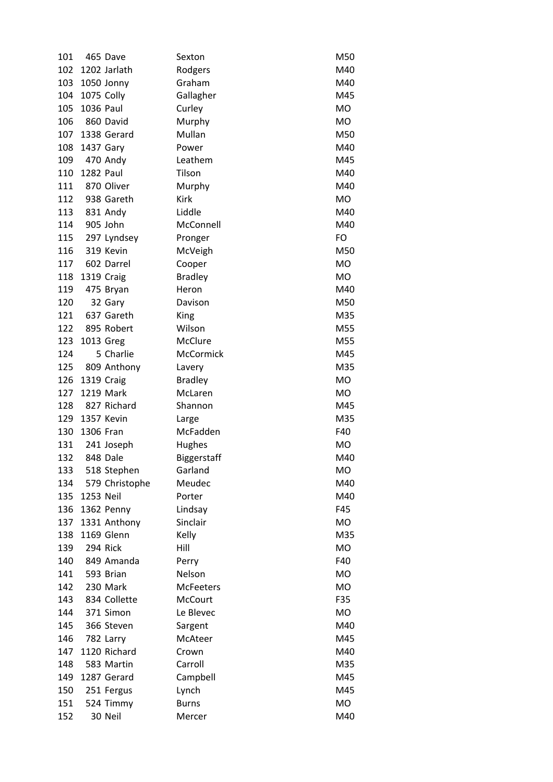| 101 |           | 465 Dave       | Sexton             | M50       |
|-----|-----------|----------------|--------------------|-----------|
| 102 |           | 1202 Jarlath   | Rodgers            | M40       |
| 103 |           | 1050 Jonny     | Graham             | M40       |
| 104 |           | 1075 Colly     | Gallagher          | M45       |
| 105 | 1036 Paul |                | Curley             | <b>MO</b> |
| 106 |           | 860 David      | Murphy             | <b>MO</b> |
| 107 |           | 1338 Gerard    | Mullan             | M50       |
| 108 | 1437 Gary |                | Power              | M40       |
| 109 | 470 Andy  |                | Leathem            | M45       |
| 110 | 1282 Paul |                | Tilson             | M40       |
| 111 |           | 870 Oliver     | Murphy             | M40       |
| 112 |           | 938 Gareth     | Kirk               | MO.       |
| 113 |           | 831 Andy       | Liddle             | M40       |
| 114 |           | 905 John       | McConnell          | M40       |
| 115 |           | 297 Lyndsey    | Pronger            | FO        |
| 116 |           | 319 Kevin      | McVeigh            | M50       |
| 117 |           | 602 Darrel     | Cooper             | <b>MO</b> |
| 118 |           | 1319 Craig     | <b>Bradley</b>     | <b>MO</b> |
| 119 |           | 475 Bryan      | Heron              | M40       |
| 120 |           | 32 Gary        | Davison            | M50       |
| 121 |           | 637 Gareth     | King               | M35       |
| 122 |           | 895 Robert     | Wilson             | M55       |
| 123 | 1013 Greg |                | McClure            | M55       |
| 124 |           | 5 Charlie      | McCormick          | M45       |
| 125 |           | 809 Anthony    | Lavery             | M35       |
| 126 |           | 1319 Craig     | <b>Bradley</b>     | <b>MO</b> |
| 127 |           | 1219 Mark      | McLaren            | MO        |
| 128 |           | 827 Richard    | Shannon            | M45       |
| 129 |           | 1357 Kevin     | Large              | M35       |
| 130 | 1306 Fran |                | McFadden           | F40       |
| 131 |           | 241 Joseph     | Hughes             | <b>MO</b> |
| 132 |           | 848 Dale       | <b>Biggerstaff</b> | M40       |
| 133 |           | 518 Stephen    | Garland            | <b>MO</b> |
| 134 |           | 579 Christophe | Meudec             | M40       |
| 135 | 1253 Neil |                | Porter             | M40       |
| 136 |           | 1362 Penny     | Lindsay            | F45       |
| 137 |           | 1331 Anthony   | Sinclair           | MO        |
| 138 |           | 1169 Glenn     | Kelly              | M35       |
| 139 |           | 294 Rick       | Hill               | <b>MO</b> |
| 140 |           | 849 Amanda     | Perry              | F40       |
| 141 |           | 593 Brian      | Nelson             | <b>MO</b> |
| 142 |           | 230 Mark       | <b>McFeeters</b>   | <b>MO</b> |
| 143 |           | 834 Collette   | McCourt            | F35       |
| 144 |           | 371 Simon      | Le Blevec          | MO        |
| 145 |           | 366 Steven     | Sargent            | M40       |
| 146 |           | 782 Larry      | McAteer            | M45       |
| 147 |           | 1120 Richard   | Crown              | M40       |
| 148 |           | 583 Martin     | Carroll            | M35       |
| 149 |           | 1287 Gerard    | Campbell           | M45       |
| 150 |           | 251 Fergus     | Lynch              | M45       |
| 151 |           | 524 Timmy      | <b>Burns</b>       | <b>MO</b> |
| 152 |           | 30 Neil        | Mercer             | M40       |
|     |           |                |                    |           |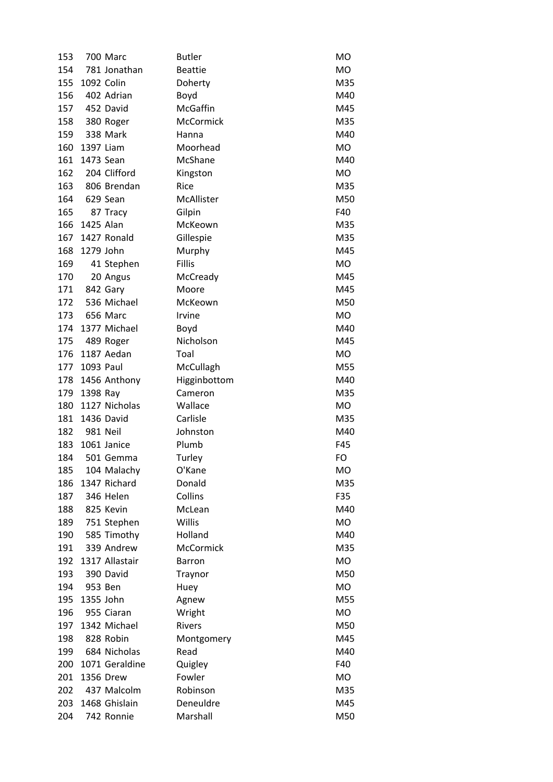| 153 |            | 700 Marc       | <b>Butler</b>  | MO        |
|-----|------------|----------------|----------------|-----------|
| 154 |            | 781 Jonathan   | <b>Beattie</b> | MO        |
| 155 | 1092 Colin |                | Doherty        | M35       |
| 156 |            | 402 Adrian     | Boyd           | M40       |
| 157 | 452 David  |                | McGaffin       | M45       |
| 158 |            | 380 Roger      | McCormick      | M35       |
| 159 |            | 338 Mark       | Hanna          | M40       |
| 160 | 1397 Liam  |                | Moorhead       | MO        |
| 161 | 1473 Sean  |                | McShane        | M40       |
| 162 |            | 204 Clifford   | Kingston       | MO        |
| 163 |            | 806 Brendan    | Rice           | M35       |
| 164 |            | 629 Sean       | McAllister     | M50       |
| 165 |            | 87 Tracy       | Gilpin         | F40       |
| 166 | 1425 Alan  |                | McKeown        | M35       |
| 167 |            | 1427 Ronald    | Gillespie      | M35       |
| 168 | 1279 John  |                | Murphy         | M45       |
| 169 |            | 41 Stephen     | <b>Fillis</b>  | MO        |
| 170 |            | 20 Angus       | McCready       | M45       |
| 171 |            | 842 Gary       | Moore          | M45       |
| 172 |            | 536 Michael    | McKeown        | M50       |
| 173 |            | 656 Marc       | Irvine         | MO        |
| 174 |            | 1377 Michael   | Boyd           | M40       |
| 175 |            | 489 Roger      | Nicholson      | M45       |
| 176 |            | 1187 Aedan     | Toal           | MO        |
| 177 | 1093 Paul  |                | McCullagh      | M55       |
| 178 |            | 1456 Anthony   | Higginbottom   | M40       |
| 179 | 1398 Ray   |                | Cameron        | M35       |
| 180 |            | 1127 Nicholas  | Wallace        | MO        |
| 181 |            | 1436 David     | Carlisle       | M35       |
| 182 | 981 Neil   |                | Johnston       | M40       |
| 183 |            | 1061 Janice    | Plumb          | F45       |
| 184 |            | 501 Gemma      | Turley         | FO        |
| 185 |            | 104 Malachy    | O'Kane         | <b>MO</b> |
| 186 |            | 1347 Richard   | Donald         | M35       |
| 187 |            | 346 Helen      | Collins        | F35       |
| 188 |            | 825 Kevin      | McLean         | M40       |
| 189 |            | 751 Stephen    | Willis         | MO        |
| 190 |            | 585 Timothy    | Holland        | M40       |
| 191 |            | 339 Andrew     | McCormick      | M35       |
| 192 |            | 1317 Allastair | <b>Barron</b>  | <b>MO</b> |
| 193 |            | 390 David      | Traynor        | M50       |
| 194 |            | 953 Ben        | Huey           | MO        |
| 195 | 1355 John  |                | Agnew          | M55       |
| 196 |            | 955 Ciaran     | Wright         | MO        |
| 197 |            | 1342 Michael   | <b>Rivers</b>  | M50       |
| 198 |            | 828 Robin      | Montgomery     | M45       |
| 199 |            | 684 Nicholas   | Read           | M40       |
| 200 |            | 1071 Geraldine | Quigley        | F40       |
| 201 |            | 1356 Drew      | Fowler         | MO        |
| 202 |            | 437 Malcolm    | Robinson       | M35       |
| 203 |            | 1468 Ghislain  | Deneuldre      | M45       |
| 204 |            | 742 Ronnie     | Marshall       | M50       |
|     |            |                |                |           |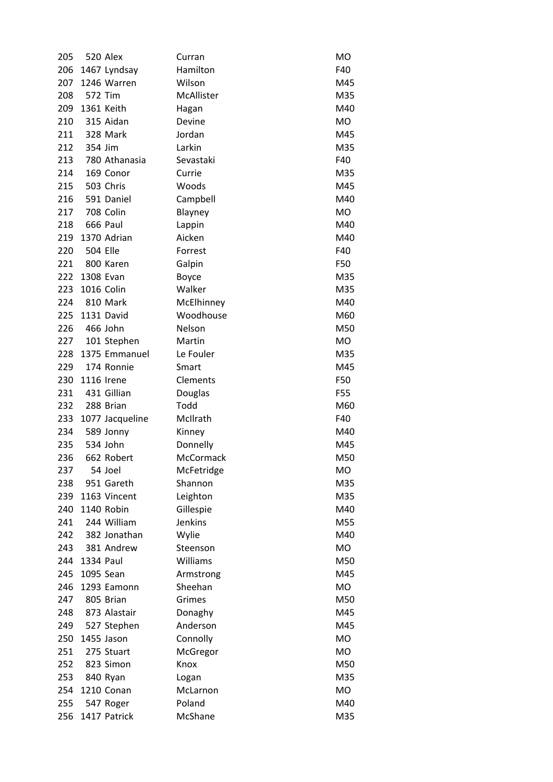| 205 |                 | 520 Alex        | Curran     | <b>MO</b> |
|-----|-----------------|-----------------|------------|-----------|
| 206 |                 | 1467 Lyndsay    | Hamilton   | F40       |
| 207 |                 | 1246 Warren     | Wilson     | M45       |
| 208 | 572 Tim         |                 | McAllister | M35       |
| 209 |                 | 1361 Keith      | Hagan      | M40       |
| 210 |                 | 315 Aidan       | Devine     | MO.       |
| 211 |                 | 328 Mark        | Jordan     | M45       |
| 212 | 354 Jim         |                 | Larkin     | M35       |
| 213 |                 | 780 Athanasia   | Sevastaki  | F40       |
| 214 |                 | 169 Conor       | Currie     | M35       |
| 215 |                 | 503 Chris       | Woods      | M45       |
| 216 |                 | 591 Daniel      | Campbell   | M40       |
| 217 |                 | 708 Colin       | Blayney    | MO        |
| 218 |                 | 666 Paul        | Lappin     | M40       |
| 219 |                 | 1370 Adrian     | Aicken     | M40       |
| 220 | <b>504 Elle</b> |                 | Forrest    | F40       |
| 221 |                 | 800 Karen       | Galpin     | F50       |
| 222 | 1308 Evan       |                 | Boyce      | M35       |
| 223 | 1016 Colin      |                 | Walker     | M35       |
| 224 |                 | 810 Mark        | McElhinney | M40       |
| 225 |                 | 1131 David      | Woodhouse  | M60       |
| 226 | 466 John        |                 | Nelson     | M50       |
| 227 |                 | 101 Stephen     | Martin     | MO        |
| 228 |                 | 1375 Emmanuel   | Le Fouler  | M35       |
| 229 |                 | 174 Ronnie      | Smart      | M45       |
| 230 | 1116 Irene      |                 | Clements   | F50       |
| 231 |                 | 431 Gillian     | Douglas    | F55       |
| 232 |                 | 288 Brian       | Todd       | M60       |
| 233 |                 | 1077 Jacqueline | McIlrath   | F40       |
| 234 |                 | 589 Jonny       | Kinney     | M40       |
| 235 |                 | 534 John        | Donnelly   | M45       |
| 236 |                 | 662 Robert      | McCormack  | M50       |
| 237 |                 | 54 Joel         | McFetridge | <b>MO</b> |
| 238 |                 | 951 Gareth      | Shannon    | M35       |
| 239 |                 | 1163 Vincent    | Leighton   | M35       |
| 240 |                 | 1140 Robin      | Gillespie  | M40       |
| 241 |                 | 244 William     | Jenkins    | M55       |
| 242 |                 | 382 Jonathan    | Wylie      | M40       |
| 243 |                 | 381 Andrew      | Steenson   | MO        |
| 244 | 1334 Paul       |                 | Williams   | M50       |
| 245 | 1095 Sean       |                 | Armstrong  | M45       |
| 246 |                 | 1293 Eamonn     | Sheehan    | <b>MO</b> |
| 247 |                 | 805 Brian       | Grimes     | M50       |
| 248 |                 | 873 Alastair    | Donaghy    | M45       |
| 249 |                 | 527 Stephen     | Anderson   | M45       |
| 250 |                 | 1455 Jason      | Connolly   | MO        |
| 251 |                 | 275 Stuart      | McGregor   | MO        |
| 252 |                 | 823 Simon       | Knox       | M50       |
| 253 |                 | 840 Ryan        | Logan      | M35       |
| 254 |                 | 1210 Conan      | McLarnon   | MO        |
| 255 |                 | 547 Roger       | Poland     | M40       |
| 256 |                 | 1417 Patrick    | McShane    | M35       |
|     |                 |                 |            |           |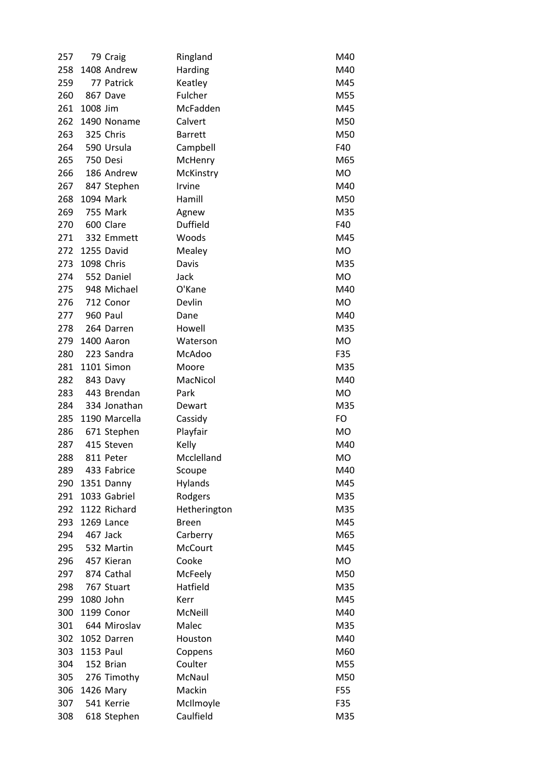| 257 |            | 79 Craig      | Ringland        | M40       |
|-----|------------|---------------|-----------------|-----------|
| 258 |            | 1408 Andrew   | Harding         | M40       |
| 259 |            | 77 Patrick    | Keatley         | M45       |
| 260 |            | 867 Dave      | Fulcher         | M55       |
| 261 | 1008 Jim   |               | McFadden        | M45       |
| 262 |            | 1490 Noname   | Calvert         | M50       |
| 263 |            | 325 Chris     | <b>Barrett</b>  | M50       |
| 264 |            | 590 Ursula    | Campbell        | F40       |
| 265 | 750 Desi   |               | McHenry         | M65       |
| 266 |            | 186 Andrew    | McKinstry       | MO        |
| 267 |            | 847 Stephen   | Irvine          | M40       |
| 268 |            | 1094 Mark     | Hamill          | M50       |
| 269 |            | 755 Mark      | Agnew           | M35       |
| 270 |            | 600 Clare     | <b>Duffield</b> | F40       |
| 271 |            | 332 Emmett    | Woods           | M45       |
| 272 |            | 1255 David    | Mealey          | MO        |
| 273 | 1098 Chris |               | Davis           | M35       |
| 274 |            | 552 Daniel    | Jack            | MO        |
| 275 |            | 948 Michael   | O'Kane          | M40       |
| 276 |            | 712 Conor     | Devlin          | <b>MO</b> |
| 277 |            | 960 Paul      | Dane            | M40       |
| 278 |            | 264 Darren    | Howell          | M35       |
| 279 |            | 1400 Aaron    | Waterson        | <b>MO</b> |
| 280 |            | 223 Sandra    | McAdoo          | F35       |
| 281 |            | 1101 Simon    | Moore           | M35       |
| 282 |            | 843 Davy      | MacNicol        | M40       |
| 283 |            | 443 Brendan   | Park            | <b>MO</b> |
| 284 |            | 334 Jonathan  | Dewart          | M35       |
| 285 |            | 1190 Marcella | Cassidy         | FO        |
| 286 |            | 671 Stephen   | Playfair        | <b>MO</b> |
| 287 |            | 415 Steven    | Kelly           | M40       |
| 288 |            | 811 Peter     | Mcclelland      | <b>MO</b> |
| 289 |            | 433 Fabrice   | Scoupe          | M40       |
| 290 |            | 1351 Danny    | Hylands         | M45       |
| 291 |            | 1033 Gabriel  | Rodgers         | M35       |
| 292 |            | 1122 Richard  | Hetherington    | M35       |
| 293 |            | 1269 Lance    | <b>Breen</b>    | M45       |
| 294 |            | 467 Jack      | Carberry        | M65       |
| 295 |            | 532 Martin    | McCourt         | M45       |
| 296 |            | 457 Kieran    | Cooke           | <b>MO</b> |
| 297 |            | 874 Cathal    | McFeely         | M50       |
|     |            | 767 Stuart    | Hatfield        | M35       |
| 298 | 1080 John  |               | Kerr            | M45       |
| 299 |            |               |                 |           |
| 300 |            | 1199 Conor    | McNeill         | M40       |
| 301 |            | 644 Miroslav  | Malec           | M35       |
| 302 |            | 1052 Darren   | Houston         | M40       |
| 303 | 1153 Paul  |               | Coppens         | M60       |
| 304 |            | 152 Brian     | Coulter         | M55       |
| 305 |            | 276 Timothy   | McNaul          | M50       |
| 306 |            | 1426 Mary     | Mackin          | F55       |
| 307 |            | 541 Kerrie    | McIlmoyle       | F35       |
| 308 |            | 618 Stephen   | Caulfield       | M35       |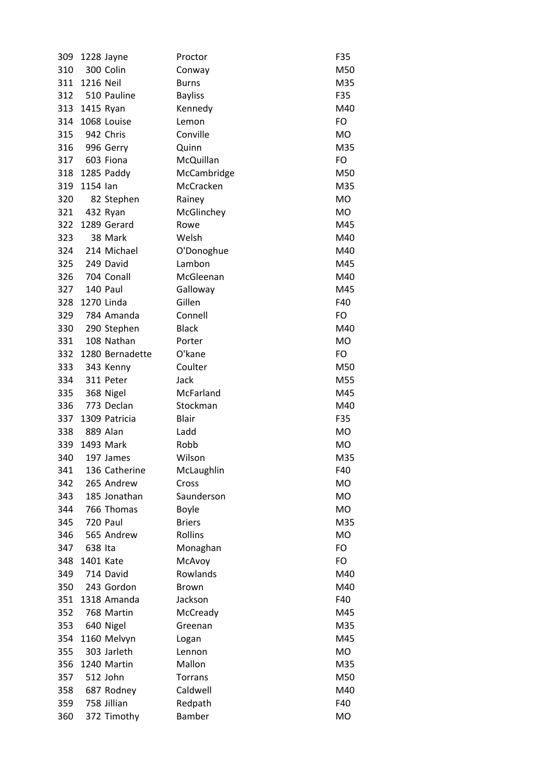| 309 |               | 1228 Jayne      | Proctor        | F35       |
|-----|---------------|-----------------|----------------|-----------|
| 310 |               | 300 Colin       | Conway         | M50       |
| 311 | 1216 Neil     |                 | <b>Burns</b>   | M35       |
|     |               | 312 510 Pauline | <b>Bayliss</b> | F35       |
|     | 313 1415 Ryan |                 | Kennedy        | M40       |
| 314 |               | 1068 Louise     | Lemon          | FO        |
| 315 | 942 Chris     |                 | Conville       | <b>MO</b> |
|     |               | 316 996 Gerry   | Quinn          | M35       |
|     | 317 603 Fiona |                 | McQuillan      | FO        |
| 318 |               | 1285 Paddy      | McCambridge    | M50       |
| 319 | 1154 lan      |                 | McCracken      | M35       |
| 320 |               | 82 Stephen      | Rainey         | MO        |
| 321 |               | 432 Ryan        | McGlinchey     | MO        |
| 322 |               | 1289 Gerard     | Rowe           | M45       |
| 323 |               | 38 Mark         | Welsh          | M40       |
|     |               | 324 214 Michael | O'Donoghue     | M40       |
|     | 325 249 David |                 | Lambon         | M45       |
|     |               | 326 704 Conall  | McGleenan      | M40       |
| 327 |               | 140 Paul        | Galloway       | M45       |
| 328 |               | 1270 Linda      | Gillen         | F40       |
|     |               | 329 784 Amanda  | Connell        | FO        |
| 330 |               | 290 Stephen     | <b>Black</b>   | M40       |
| 331 |               | 108 Nathan      | Porter         | MO        |
| 332 |               | 1280 Bernadette | O'kane         | FO        |
|     |               | 333 343 Kenny   | Coulter        | M50       |
| 334 |               | 311 Peter       | Jack           | M55       |
| 335 |               | 368 Nigel       | McFarland      | M45       |
| 336 |               | 773 Declan      | Stockman       | M40       |
| 337 |               | 1309 Patricia   | <b>Blair</b>   | F35       |
| 338 |               | 889 Alan        | Ladd           | MO        |
| 339 |               | 1493 Mark       | Robb           | MO        |
| 340 |               | 197 James       | Wilson         | M35       |
| 341 |               | 136 Catherine   | McLaughlin     | F40       |
| 342 |               | 265 Andrew      | Cross          | MO        |
| 343 |               | 185 Jonathan    | Saunderson     | MO        |
| 344 |               | 766 Thomas      | Boyle          | <b>MO</b> |
| 345 |               | 720 Paul        | <b>Briers</b>  | M35       |
| 346 |               | 565 Andrew      | Rollins        | <b>MO</b> |
| 347 | 638 Ita       |                 | Monaghan       | FO        |
| 348 | 1401 Kate     |                 | McAvoy         | FO        |
| 349 |               | 714 David       | Rowlands       | M40       |
| 350 |               | 243 Gordon      | <b>Brown</b>   | M40       |
| 351 |               | 1318 Amanda     | Jackson        | F40       |
| 352 |               | 768 Martin      | McCready       | M45       |
| 353 |               | 640 Nigel       | Greenan        | M35       |
| 354 |               | 1160 Melvyn     | Logan          | M45       |
| 355 |               | 303 Jarleth     | Lennon         | MO        |
| 356 |               | 1240 Martin     | Mallon         | M35       |
| 357 |               | 512 John        | Torrans        | M50       |
| 358 |               | 687 Rodney      | Caldwell       | M40       |
| 359 |               | 758 Jillian     | Redpath        | F40       |
| 360 |               | 372 Timothy     | Bamber         | <b>MO</b> |
|     |               |                 |                |           |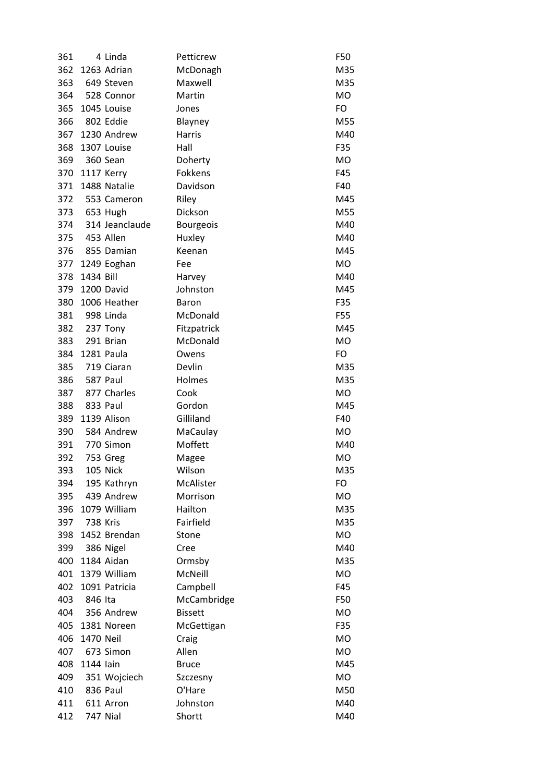| 361 |                 | 4 Linda         | Petticrew        | F50        |
|-----|-----------------|-----------------|------------------|------------|
| 362 |                 | 1263 Adrian     | McDonagh         | M35        |
| 363 |                 | 649 Steven      | Maxwell          | M35        |
|     |                 | 364 528 Connor  | Martin           | <b>MO</b>  |
| 365 |                 | 1045 Louise     | Jones            | FO         |
| 366 | 802 Eddie       |                 | Blayney          | M55        |
| 367 |                 | 1230 Andrew     | Harris           | M40        |
| 368 |                 | 1307 Louise     | Hall             | F35        |
|     | 369 360 Sean    |                 | Doherty          | MO         |
| 370 |                 | 1117 Kerry      | Fokkens          | F45        |
| 371 |                 | 1488 Natalie    | Davidson         | F40        |
|     |                 | 372 553 Cameron | Riley            | M45        |
|     | 373 653 Hugh    |                 | Dickson          | M55        |
| 374 |                 | 314 Jeanclaude  | <b>Bourgeois</b> | M40        |
|     | 375 453 Allen   |                 | Huxley           | M40        |
| 376 |                 | 855 Damian      | Keenan           | M45        |
| 377 |                 | 1249 Eoghan     | Fee              | <b>MO</b>  |
| 378 | 1434 Bill       |                 | Harvey           | M40        |
| 379 |                 | 1200 David      | Johnston         | M45        |
| 380 |                 | 1006 Heather    | <b>Baron</b>     | F35        |
|     | 381 998 Linda   |                 | McDonald         | F55        |
|     | 382 237 Tony    |                 | Fitzpatrick      | M45        |
| 383 |                 | 291 Brian       | McDonald         | <b>MO</b>  |
| 384 |                 | 1281 Paula      | Owens            | FO         |
| 385 |                 | 719 Ciaran      | Devlin           |            |
| 386 | 587 Paul        |                 | Holmes           | M35<br>M35 |
|     |                 |                 |                  |            |
| 387 |                 | 877 Charles     | Cook             | MO         |
| 388 |                 | 833 Paul        | Gordon           | M45        |
| 389 |                 | 1139 Alison     | Gilliland        | F40        |
| 390 |                 | 584 Andrew      | MaCaulay         | <b>MO</b>  |
| 391 |                 | 770 Simon       | Moffett          | M40        |
| 392 |                 | 753 Greg        | Magee            | <b>MO</b>  |
| 393 |                 | 105 Nick        | Wilson           | M35        |
| 394 |                 | 195 Kathryn     | McAlister        | FO         |
| 395 |                 | 439 Andrew      | Morrison         | <b>MO</b>  |
| 396 |                 | 1079 William    | Hailton          | M35        |
| 397 | <b>738 Kris</b> |                 | Fairfield        | M35        |
| 398 |                 | 1452 Brendan    | Stone            | <b>MO</b>  |
| 399 |                 | 386 Nigel       | Cree             | M40        |
| 400 |                 | 1184 Aidan      | Ormsby           | M35        |
| 401 |                 | 1379 William    | McNeill          | MO         |
| 402 |                 | 1091 Patricia   | Campbell         | F45        |
| 403 | 846 Ita         |                 | McCambridge      | F50        |
| 404 |                 | 356 Andrew      | <b>Bissett</b>   | MO         |
| 405 |                 | 1381 Noreen     | McGettigan       | F35        |
| 406 | 1470 Neil       |                 | Craig            | <b>MO</b>  |
| 407 |                 | 673 Simon       | Allen            | MO         |
| 408 | 1144 lain       |                 | <b>Bruce</b>     | M45        |
| 409 |                 | 351 Wojciech    | Szczesny         | <b>MO</b>  |
| 410 |                 | 836 Paul        | O'Hare           | M50        |
| 411 |                 | 611 Arron       | Johnston         | M40        |
| 412 |                 | <b>747 Nial</b> | Shortt           | M40        |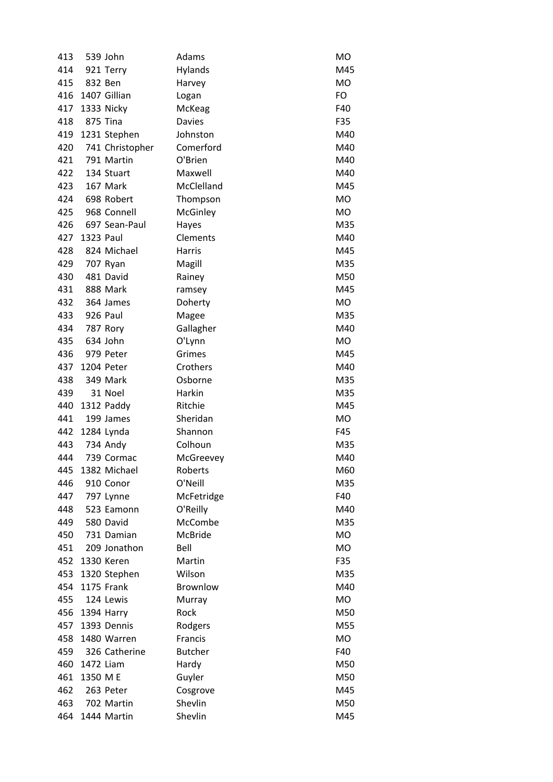| 413 |           | 539 John        | Adams          | MO         |
|-----|-----------|-----------------|----------------|------------|
| 414 |           | 921 Terry       | Hylands        | M45        |
| 415 | 832 Ben   |                 | Harvey         | MO         |
| 416 |           | 1407 Gillian    | Logan          | FO         |
| 417 |           | 1333 Nicky      | McKeag         | F40        |
| 418 |           | 875 Tina        | <b>Davies</b>  | F35        |
| 419 |           | 1231 Stephen    | Johnston       | M40        |
| 420 |           | 741 Christopher | Comerford      | M40        |
| 421 |           | 791 Martin      | O'Brien        | M40        |
| 422 |           | 134 Stuart      | Maxwell        | M40        |
| 423 |           | 167 Mark        | McClelland     | M45        |
| 424 |           | 698 Robert      | Thompson       | <b>MO</b>  |
| 425 |           | 968 Connell     | McGinley       | MO         |
| 426 |           | 697 Sean-Paul   | Hayes          | M35        |
| 427 | 1323 Paul |                 | Clements       | M40        |
| 428 |           | 824 Michael     | Harris         | M45        |
| 429 |           | 707 Ryan        | Magill         | M35        |
| 430 |           | 481 David       | Rainey         | M50        |
| 431 |           | 888 Mark        | ramsey         | M45        |
| 432 |           | 364 James       | Doherty        | MO         |
| 433 | 926 Paul  |                 | Magee          | M35        |
| 434 |           | 787 Rory        | Gallagher      | M40        |
| 435 |           | 634 John        | O'Lynn         | MO         |
| 436 |           | 979 Peter       | Grimes         | M45        |
| 437 |           | 1204 Peter      | Crothers       | M40        |
| 438 |           | 349 Mark        | Osborne        | M35        |
| 439 |           | 31 Noel         | Harkin         | M35        |
| 440 |           | 1312 Paddy      | Ritchie        | M45        |
| 441 |           | 199 James       | Sheridan       | <b>MO</b>  |
| 442 |           | 1284 Lynda      | Shannon        | F45        |
| 443 |           | 734 Andy        | Colhoun        | M35        |
| 444 |           | 739 Cormac      | McGreevey      | M40        |
| 445 |           | 1382 Michael    | Roberts        | M60        |
| 446 |           | 910 Conor       | O'Neill        | M35        |
| 447 |           | 797 Lynne       | McFetridge     | F40        |
| 448 |           | 523 Eamonn      | O'Reilly       | M40        |
| 449 |           | 580 David       | McCombe        | M35        |
| 450 |           | 731 Damian      | McBride        | MO         |
| 451 |           | 209 Jonathon    | Bell           | <b>MO</b>  |
| 452 |           | 1330 Keren      | Martin         | F35        |
| 453 |           | 1320 Stephen    | Wilson         |            |
| 454 |           | 1175 Frank      | Brownlow       | M35<br>M40 |
| 455 |           | 124 Lewis       |                | MO         |
|     |           |                 | Murray         |            |
| 456 |           | 1394 Harry      | Rock           | M50        |
| 457 |           | 1393 Dennis     | Rodgers        | M55        |
| 458 |           | 1480 Warren     | Francis        | <b>MO</b>  |
| 459 |           | 326 Catherine   | <b>Butcher</b> | F40        |
| 460 | 1472 Liam |                 | Hardy          | M50        |
| 461 | 1350 M E  |                 | Guyler         | M50        |
| 462 |           | 263 Peter       | Cosgrove       | M45        |
| 463 |           | 702 Martin      | Shevlin        | M50        |
| 464 |           | 1444 Martin     | Shevlin        | M45        |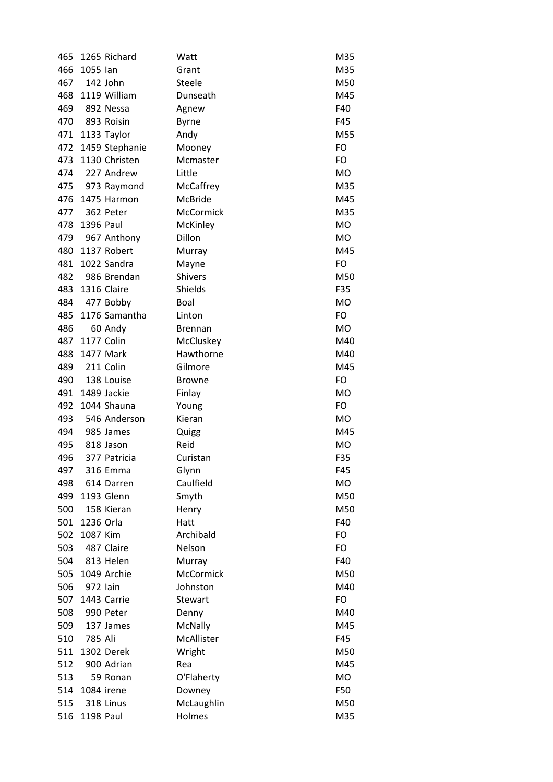| 465 |                  | 1265 Richard      | Watt           | M35       |
|-----|------------------|-------------------|----------------|-----------|
| 466 | 1055 lan         |                   | Grant          | M35       |
| 467 |                  | 142 John          | Steele         | M50       |
| 468 |                  | 1119 William      | Dunseath       | M45       |
| 469 |                  | 892 Nessa         | Agnew          | F40       |
| 470 |                  | 893 Roisin        | <b>Byrne</b>   | F45       |
| 471 |                  | 1133 Taylor       | Andy           | M55       |
| 472 |                  | 1459 Stephanie    | Mooney         | FO        |
| 473 |                  | 1130 Christen     | Mcmaster       | FO        |
| 474 |                  | 227 Andrew        | Little         | <b>MO</b> |
| 475 |                  | 973 Raymond       | McCaffrey      | M35       |
| 476 |                  | 1475 Harmon       | McBride        | M45       |
| 477 |                  | 362 Peter         | McCormick      | M35       |
| 478 | 1396 Paul        |                   | McKinley       | <b>MO</b> |
| 479 |                  | 967 Anthony       | Dillon         | MO        |
| 480 |                  | 1137 Robert       | Murray         | M45       |
| 481 |                  | 1022 Sandra       | Mayne          | FO        |
| 482 |                  | 986 Brendan       | <b>Shivers</b> | M50       |
| 483 |                  | 1316 Claire       | Shields        | F35       |
| 484 |                  | 477 Bobby         | Boal           | <b>MO</b> |
| 485 |                  | 1176 Samantha     | Linton         | FO        |
| 486 |                  | 60 Andy           | <b>Brennan</b> | <b>MO</b> |
| 487 |                  | <b>1177 Colin</b> | McCluskey      | M40       |
| 488 |                  | 1477 Mark         | Hawthorne      | M40       |
| 489 |                  | 211 Colin         | Gilmore        | M45       |
| 490 |                  | 138 Louise        | <b>Browne</b>  | FO        |
| 491 |                  | 1489 Jackie       | Finlay         | <b>MO</b> |
| 492 |                  | 1044 Shauna       | Young          | FO        |
| 493 |                  | 546 Anderson      | Kieran         | <b>MO</b> |
| 494 |                  | 985 James         | Quigg          | M45       |
| 495 |                  | 818 Jason         | Reid           | MO        |
| 496 |                  | 377 Patricia      | Curistan       | F35       |
| 497 |                  | 316 Emma          | Glynn          | F45       |
| 498 |                  | 614 Darren        | Caulfield      | MO        |
| 499 |                  | 1193 Glenn        | Smyth          | M50       |
| 500 |                  | 158 Kieran        | Henry          | M50       |
| 501 | 1236 Orla        |                   | Hatt           | F40       |
| 502 | 1087 Kim         |                   | Archibald      | FO        |
| 503 |                  | 487 Claire        | Nelson         | FO        |
| 504 |                  | 813 Helen         | Murray         | F40       |
| 505 |                  | 1049 Archie       | McCormick      | M50       |
| 506 | 972 lain         |                   | Johnston       | M40       |
| 507 |                  | 1443 Carrie       | Stewart        | FO        |
| 508 |                  | 990 Peter         | Denny          | M40       |
| 509 |                  | 137 James         | <b>McNally</b> | M45       |
| 510 | 785 Ali          |                   | McAllister     | F45       |
| 511 |                  | 1302 Derek        | Wright         | M50       |
| 512 |                  | 900 Adrian        | Rea            | M45       |
| 513 |                  | 59 Ronan          | O'Flaherty     | <b>MO</b> |
| 514 |                  | 1084 irene        | Downey         | F50       |
| 515 |                  | 318 Linus         | McLaughlin     | M50       |
| 516 | <b>1198 Paul</b> |                   | Holmes         | M35       |
|     |                  |                   |                |           |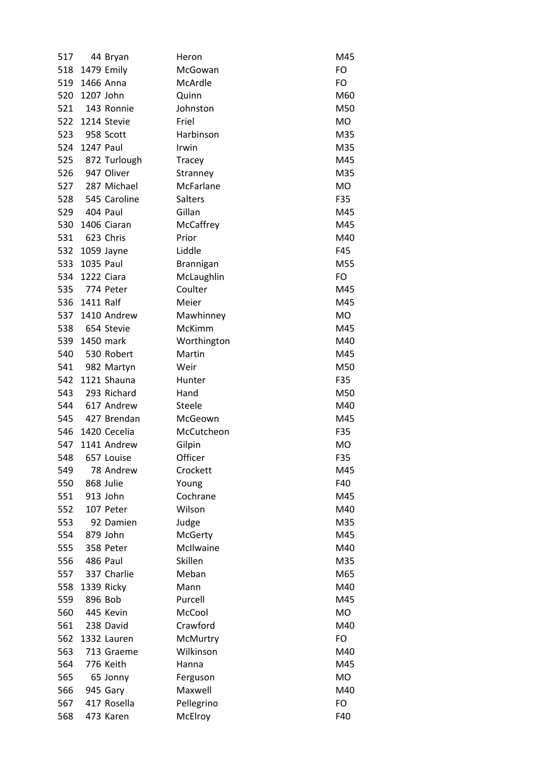| 517 |               | 44 Bryan        | Heron         | M45       |
|-----|---------------|-----------------|---------------|-----------|
| 518 |               | 1479 Emily      | McGowan       | <b>FO</b> |
| 519 | 1466 Anna     |                 | McArdle       | FO        |
| 520 | 1207 John     |                 | Quinn         | M60       |
| 521 |               | 143 Ronnie      | Johnston      | M50       |
| 522 |               | 1214 Stevie     | Friel         | MO.       |
| 523 |               | 958 Scott       | Harbinson     | M35       |
| 524 | 1247 Paul     |                 | Irwin         | M35       |
| 525 |               | 872 Turlough    | Tracey        | M45       |
| 526 |               | 947 Oliver      | Stranney      | M35       |
|     |               | 527 287 Michael | McFarlane     | <b>MO</b> |
| 528 |               | 545 Caroline    | Salters       | F35       |
| 529 | 404 Paul      |                 | Gillan        | M45       |
| 530 |               | 1406 Ciaran     | McCaffrey     | M45       |
|     | 531 623 Chris |                 | Prior         | M40       |
| 532 |               | 1059 Jayne      | Liddle        | F45       |
| 533 | 1035 Paul     |                 | Brannigan     | M55       |
| 534 |               | 1222 Ciara      | McLaughlin    | FO        |
|     | 535 774 Peter |                 | Coulter       | M45       |
| 536 | 1411 Ralf     |                 | Meier         | M45       |
| 537 |               | 1410 Andrew     | Mawhinney     | MO        |
| 538 |               | 654 Stevie      | McKimm        | M45       |
| 539 |               | 1450 mark       | Worthington   | M40       |
| 540 |               | 530 Robert      | Martin        | M45       |
| 541 |               | 982 Martyn      | Weir          | M50       |
| 542 |               | 1121 Shauna     | Hunter        | F35       |
| 543 |               | 293 Richard     | Hand          | M50       |
| 544 |               | 617 Andrew      | <b>Steele</b> | M40       |
|     |               | 545 427 Brendan | McGeown       | M45       |
| 546 |               | 1420 Cecelia    | McCutcheon    | F35       |
| 547 |               | 1141 Andrew     | Gilpin        | MO        |
| 548 |               | 657 Louise      | Officer       | F35       |
| 549 |               | 78 Andrew       | Crockett      | M45       |
| 550 |               | 868 Julie       | Young         | F40       |
| 551 |               | 913 John        | Cochrane      | M45       |
| 552 |               | 107 Peter       | Wilson        | M40       |
| 553 |               | 92 Damien       | Judge         | M35       |
| 554 |               | 879 John        | McGerty       | M45       |
| 555 |               | 358 Peter       | McIlwaine     | M40       |
| 556 |               | 486 Paul        | Skillen       | M35       |
| 557 |               | 337 Charlie     | Meban         | M65       |
| 558 |               | 1339 Ricky      | Mann          | M40       |
| 559 |               | 896 Bob         | Purcell       | M45       |
| 560 |               | 445 Kevin       | McCool        | MO        |
| 561 |               | 238 David       | Crawford      | M40       |
| 562 |               | 1332 Lauren     | McMurtry      | FO        |
| 563 |               | 713 Graeme      | Wilkinson     | M40       |
| 564 |               | 776 Keith       | Hanna         | M45       |
| 565 |               | 65 Jonny        | Ferguson      | <b>MO</b> |
| 566 |               | 945 Gary        | Maxwell       | M40       |
| 567 |               | 417 Rosella     | Pellegrino    | FO        |
| 568 |               | 473 Karen       | McElroy       | F40       |
|     |               |                 |               |           |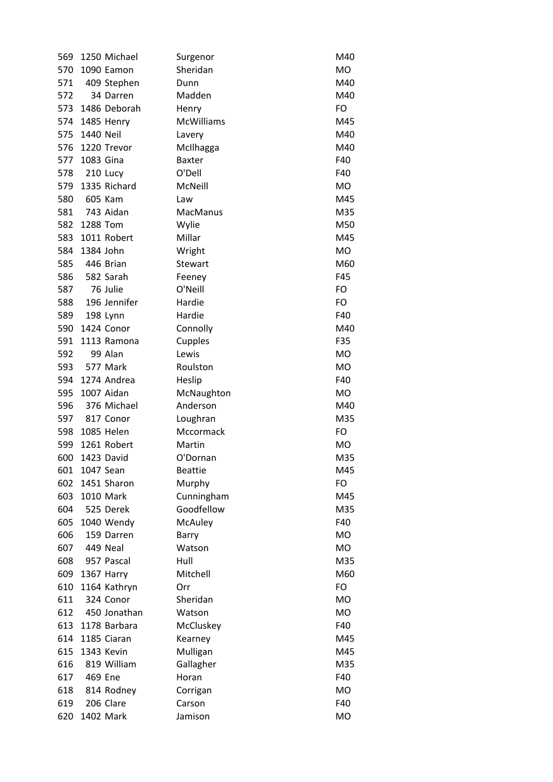| 569 |           | 1250 Michael            | Surgenor           | M40       |
|-----|-----------|-------------------------|--------------------|-----------|
| 570 |           | 1090 Eamon              | Sheridan           | <b>MO</b> |
| 571 |           | 409 Stephen             | Dunn               | M40       |
| 572 |           | 34 Darren               | Madden             | M40       |
| 573 |           | 1486 Deborah            | Henry              | FO        |
| 574 |           | 1485 Henry              | <b>McWilliams</b>  | M45       |
| 575 | 1440 Neil |                         | Lavery             | M40       |
| 576 |           | 1220 Trevor             | McIlhagga          | M40       |
| 577 | 1083 Gina |                         | <b>Baxter</b>      | F40       |
| 578 | 210 Lucy  |                         | O'Dell             | F40       |
| 579 |           | 1335 Richard            | McNeill            | MO        |
| 580 | 605 Kam   |                         | Law                | M45       |
| 581 |           | 743 Aidan               | MacManus           | M35       |
| 582 | 1288 Tom  |                         | Wylie              | M50       |
| 583 |           | 1011 Robert             | Millar             | M45       |
| 584 | 1384 John |                         | Wright             | MO        |
| 585 |           | 446 Brian               | Stewart            | M60       |
| 586 |           | 582 Sarah               | Feeney             | F45       |
| 587 | 76 Julie  |                         | O'Neill            | FO        |
| 588 |           | 196 Jennifer            | Hardie             | FO        |
| 589 |           | 198 Lynn                | Hardie             | F40       |
| 590 |           | 1424 Conor              | Connolly           | M40       |
| 591 |           | 1113 Ramona             | Cupples            | F35       |
| 592 |           | 99 Alan                 | Lewis              | MO        |
| 593 | 577 Mark  |                         | Roulston           | MO        |
| 594 |           | 1274 Andrea             | Heslip             | F40       |
| 595 |           | 1007 Aidan              | McNaughton         | MO        |
| 596 |           | 376 Michael             | Anderson           | M40       |
| 597 |           | 817 Conor               | Loughran           | M35       |
| 598 |           | 1085 Helen              | Mccormack          | FO        |
| 599 |           | 1261 Robert             | Martin             | MO        |
| 600 |           | 1423 David              | O'Dornan           | M35       |
| 601 | 1047 Sean |                         | <b>Beattie</b>     | M45       |
| 602 |           | 1451 Sharon             | Murphy             | FO        |
| 603 |           | 1010 Mark               | Cunningham         | M45       |
| 604 |           | 525 Derek               | Goodfellow         | M35       |
| 605 |           | 1040 Wendy              | McAuley            | F40       |
| 606 |           | 159 Darren              | Barry              | MO        |
| 607 |           | 449 Neal                | Watson             | <b>MO</b> |
| 608 |           | 957 Pascal              | Hull               | M35       |
| 609 |           | 1367 Harry              | Mitchell           | M60       |
| 610 |           | 1164 Kathryn            | Orr                | FO        |
| 611 |           | 324 Conor               | Sheridan           | MO        |
| 612 |           | 450 Jonathan            | Watson             | MO        |
| 613 |           | 1178 Barbara            | McCluskey          | F40       |
| 614 |           | 1185 Ciaran             | Kearney            | M45       |
| 615 |           | 1343 Kevin              |                    | M45       |
| 616 |           | 819 William             | Mulligan           | M35       |
| 617 | 469 Ene   |                         | Gallagher<br>Horan | F40       |
|     |           |                         |                    | MO        |
| 618 |           | 814 Rodney<br>206 Clare | Corrigan           | F40       |
| 619 |           |                         | Carson             |           |
| 620 |           | 1402 Mark               | Jamison            | <b>MO</b> |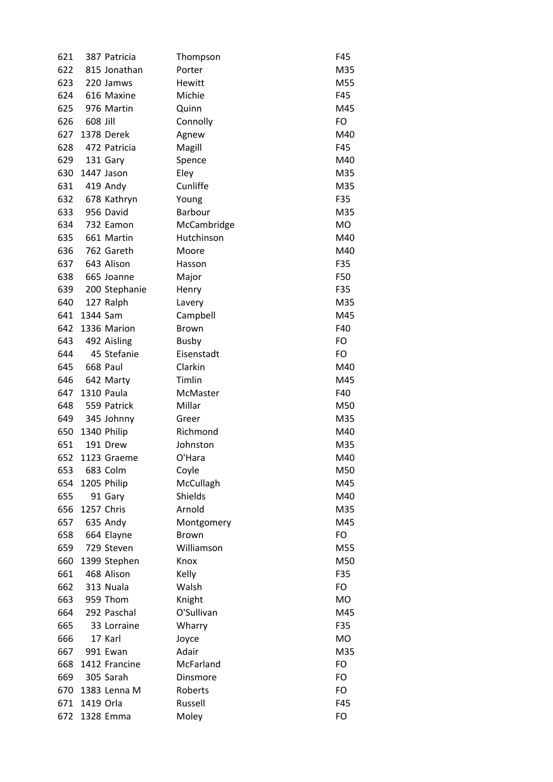| 621 |           | 387 Patricia      | Thompson     | F45       |
|-----|-----------|-------------------|--------------|-----------|
| 622 |           | 815 Jonathan      | Porter       | M35       |
| 623 |           | 220 Jamws         | Hewitt       | M55       |
| 624 |           | 616 Maxine        | Michie       | F45       |
| 625 |           | 976 Martin        | Quinn        | M45       |
| 626 | 608 Jill  |                   | Connolly     | FO        |
| 627 |           | 1378 Derek        | Agnew        | M40       |
| 628 |           | 472 Patricia      | Magill       | F45       |
| 629 |           | 131 Gary          | Spence       | M40       |
| 630 |           | 1447 Jason        | Eley         | M35       |
| 631 |           | 419 Andy          | Cunliffe     | M35       |
| 632 |           | 678 Kathryn       | Young        | F35       |
| 633 |           | 956 David         | Barbour      | M35       |
| 634 |           | 732 Eamon         | McCambridge  | <b>MO</b> |
| 635 |           | 661 Martin        | Hutchinson   | M40       |
| 636 |           | 762 Gareth        | Moore        | M40       |
| 637 |           | 643 Alison        | Hasson       | F35       |
| 638 |           | 665 Joanne        | Major        | F50       |
| 639 |           | 200 Stephanie     | Henry        | F35       |
| 640 |           | 127 Ralph         | Lavery       | M35       |
| 641 | 1344 Sam  |                   | Campbell     | M45       |
| 642 |           | 1336 Marion       | <b>Brown</b> | F40       |
| 643 |           | 492 Aisling       | <b>Busby</b> | FO        |
| 644 |           | 45 Stefanie       | Eisenstadt   | FO        |
| 645 |           | 668 Paul          | Clarkin      | M40       |
| 646 |           | 642 Marty         | Timlin       | M45       |
| 647 |           | <b>1310 Paula</b> | McMaster     | F40       |
| 648 |           | 559 Patrick       | Millar       | M50       |
| 649 |           | 345 Johnny        | Greer        | M35       |
| 650 |           | 1340 Philip       | Richmond     | M40       |
| 651 |           | 191 Drew          | Johnston     | M35       |
| 652 |           | 1123 Graeme       | O'Hara       | M40       |
| 653 |           | 683 Colm          | Coyle        | M50       |
| 654 |           | 1205 Philip       | McCullagh    | M45       |
| 655 |           | 91 Gary           | Shields      | M40       |
| 656 |           | 1257 Chris        | Arnold       | M35       |
| 657 |           | 635 Andy          | Montgomery   | M45       |
| 658 |           | 664 Elayne        | <b>Brown</b> | FO        |
| 659 |           | 729 Steven        | Williamson   | M55       |
| 660 |           | 1399 Stephen      | Knox         | M50       |
| 661 |           | 468 Alison        | Kelly        | F35       |
| 662 |           | 313 Nuala         | Walsh        | FO        |
| 663 |           | 959 Thom          | Knight       | <b>MO</b> |
| 664 |           | 292 Paschal       | O'Sullivan   | M45       |
|     |           |                   |              |           |
| 665 |           | 33 Lorraine       | Wharry       | F35       |
| 666 |           | 17 Karl           | Joyce        | <b>MO</b> |
| 667 |           | 991 Ewan          | Adair        | M35       |
| 668 |           | 1412 Francine     | McFarland    | FO        |
| 669 |           | 305 Sarah         | Dinsmore     | FO        |
| 670 |           | 1383 Lenna M      | Roberts      | FO        |
| 671 | 1419 Orla |                   | Russell      | F45       |
| 672 |           | 1328 Emma         | Moley        | FO        |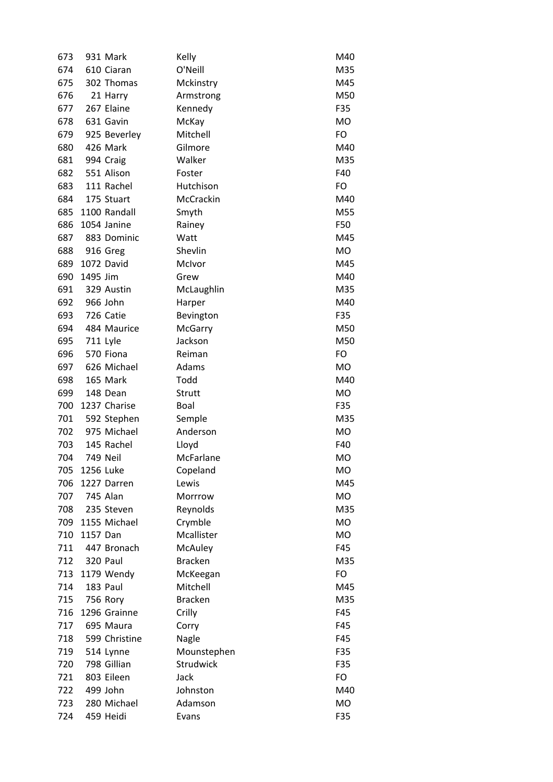| 673 |           | 931 Mark        | Kelly          | M40       |
|-----|-----------|-----------------|----------------|-----------|
| 674 |           | 610 Ciaran      | O'Neill        | M35       |
| 675 |           | 302 Thomas      | Mckinstry      | M45       |
| 676 |           | 21 Harry        | Armstrong      | M50       |
| 677 |           | 267 Elaine      | Kennedy        | F35       |
| 678 |           | 631 Gavin       | McKay          | <b>MO</b> |
| 679 |           | 925 Beverley    | Mitchell       | FO        |
| 680 |           | 426 Mark        | Gilmore        | M40       |
| 681 |           | 994 Craig       | Walker         | M35       |
| 682 |           | 551 Alison      | Foster         | F40       |
| 683 |           | 111 Rachel      | Hutchison      | FO        |
| 684 |           | 175 Stuart      | McCrackin      | M40       |
| 685 |           | 1100 Randall    | Smyth          | M55       |
| 686 |           | 1054 Janine     | Rainey         | F50       |
| 687 |           | 883 Dominic     | Watt           | M45       |
| 688 |           | 916 Greg        | Shevlin        | <b>MO</b> |
| 689 |           | 1072 David      | McIvor         | M45       |
| 690 | 1495 Jim  |                 | Grew           | M40       |
| 691 |           | 329 Austin      | McLaughlin     | M35       |
| 692 |           | 966 John        | Harper         | M40       |
| 693 |           | 726 Catie       | Bevington      | F35       |
| 694 |           | 484 Maurice     | McGarry        | M50       |
| 695 |           | <b>711 Lyle</b> | Jackson        | M50       |
| 696 |           | 570 Fiona       | Reiman         | FO        |
| 697 |           | 626 Michael     | Adams          | MO        |
| 698 |           | 165 Mark        | Todd           | M40       |
| 699 |           | 148 Dean        | Strutt         | MO        |
| 700 |           | 1237 Charise    | <b>Boal</b>    | F35       |
| 701 |           | 592 Stephen     | Semple         | M35       |
| 702 |           | 975 Michael     | Anderson       | MO        |
| 703 |           | 145 Rachel      | Lloyd          | F40       |
| 704 |           | <b>749 Neil</b> | McFarlane      | <b>MO</b> |
| 705 | 1256 Luke |                 | Copeland       | <b>MO</b> |
| 706 |           | 1227 Darren     | Lewis          | M45       |
| 707 |           | 745 Alan        | Morrrow        | <b>MO</b> |
| 708 |           | 235 Steven      | Reynolds       | M35       |
| 709 |           | 1155 Michael    | Crymble        | MO        |
| 710 | 1157 Dan  |                 | Mcallister     | <b>MO</b> |
| 711 |           | 447 Bronach     | McAuley        | F45       |
| 712 |           | 320 Paul        | <b>Bracken</b> | M35       |
| 713 |           | 1179 Wendy      | McKeegan       | FO        |
| 714 |           | 183 Paul        | Mitchell       | M45       |
| 715 |           | 756 Rory        | <b>Bracken</b> | M35       |
| 716 |           | 1296 Grainne    | Crilly         | F45       |
| 717 |           | 695 Maura       | Corry          | F45       |
| 718 |           | 599 Christine   | Nagle          | F45       |
| 719 |           | 514 Lynne       | Mounstephen    | F35       |
| 720 |           | 798 Gillian     | Strudwick      | F35       |
| 721 |           | 803 Eileen      | Jack           | FO        |
| 722 |           | 499 John        | Johnston       | M40       |
| 723 |           | 280 Michael     | Adamson        | MO        |
| 724 |           | 459 Heidi       | Evans          | F35       |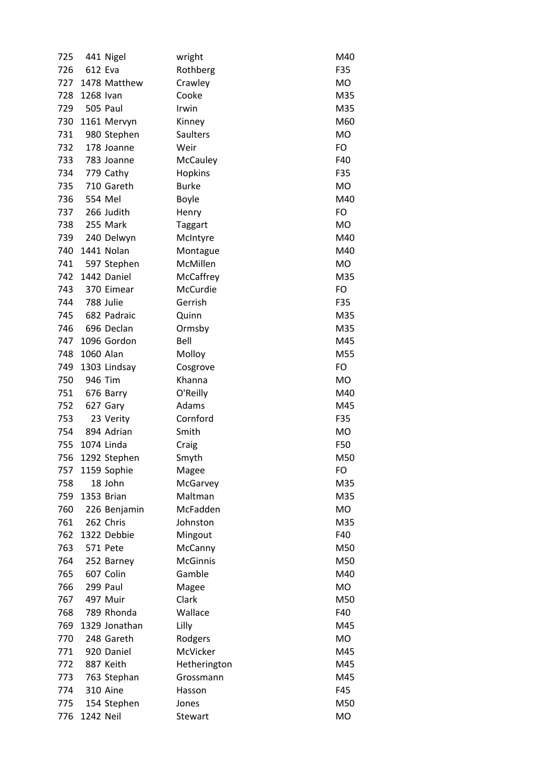| 725 |           | 441 Nigel     | wright          | M40       |
|-----|-----------|---------------|-----------------|-----------|
| 726 | 612 Eva   |               | Rothberg        | F35       |
| 727 |           | 1478 Matthew  | Crawley         | MO        |
| 728 | 1268 Ivan |               | Cooke           | M35       |
| 729 |           | 505 Paul      | Irwin           | M35       |
| 730 |           | 1161 Mervyn   | Kinney          | M60       |
| 731 |           | 980 Stephen   | Saulters        | <b>MO</b> |
| 732 |           | 178 Joanne    | Weir            | FO        |
| 733 |           | 783 Joanne    | <b>McCauley</b> | F40       |
| 734 |           | 779 Cathy     | Hopkins         | F35       |
| 735 |           | 710 Gareth    | <b>Burke</b>    | <b>MO</b> |
| 736 | 554 Mel   |               | Boyle           | M40       |
| 737 |           | 266 Judith    | Henry           | FO        |
| 738 |           | 255 Mark      | Taggart         | <b>MO</b> |
| 739 |           | 240 Delwyn    | McIntyre        | M40       |
| 740 |           | 1441 Nolan    | Montague        | M40       |
| 741 |           | 597 Stephen   | McMillen        | MO        |
| 742 |           | 1442 Daniel   | McCaffrey       | M35       |
| 743 |           | 370 Eimear    | McCurdie        | FO        |
| 744 |           | 788 Julie     | Gerrish         | F35       |
| 745 |           | 682 Padraic   | Quinn           | M35       |
| 746 |           | 696 Declan    | Ormsby          | M35       |
| 747 |           | 1096 Gordon   | Bell            | M45       |
| 748 | 1060 Alan |               | Molloy          | M55       |
| 749 |           | 1303 Lindsay  | Cosgrove        | FO        |
| 750 | 946 Tim   |               | Khanna          | MO        |
| 751 |           | 676 Barry     | O'Reilly        | M40       |
| 752 |           | 627 Gary      | Adams           | M45       |
| 753 |           | 23 Verity     | Cornford        | F35       |
| 754 |           | 894 Adrian    | Smith           | MO        |
| 755 |           | 1074 Linda    | Craig           | F50       |
| 756 |           | 1292 Stephen  | Smyth           | M50       |
| 757 |           | 1159 Sophie   | Magee           | FO        |
| 758 |           | 18 John       | McGarvey        | M35       |
| 759 |           | 1353 Brian    | Maltman         | M35       |
| 760 |           | 226 Benjamin  | McFadden        | MO        |
| 761 |           | 262 Chris     | Johnston        | M35       |
| 762 |           | 1322 Debbie   | Mingout         | F40       |
| 763 |           | 571 Pete      | McCanny         | M50       |
| 764 |           | 252 Barney    | <b>McGinnis</b> | M50       |
| 765 |           | 607 Colin     | Gamble          | M40       |
| 766 |           | 299 Paul      | Magee           | MO        |
| 767 |           | 497 Muir      | Clark           | M50       |
| 768 |           | 789 Rhonda    | Wallace         | F40       |
| 769 |           | 1329 Jonathan | Lilly           | M45       |
| 770 |           | 248 Gareth    | Rodgers         | MO        |
| 771 |           | 920 Daniel    | McVicker        | M45       |
| 772 |           | 887 Keith     | Hetherington    | M45       |
| 773 |           | 763 Stephan   | Grossmann       | M45       |
| 774 |           | 310 Aine      | Hasson          | F45       |
| 775 |           | 154 Stephen   | Jones           | M50       |
| 776 | 1242 Neil |               | Stewart         | MO        |
|     |           |               |                 |           |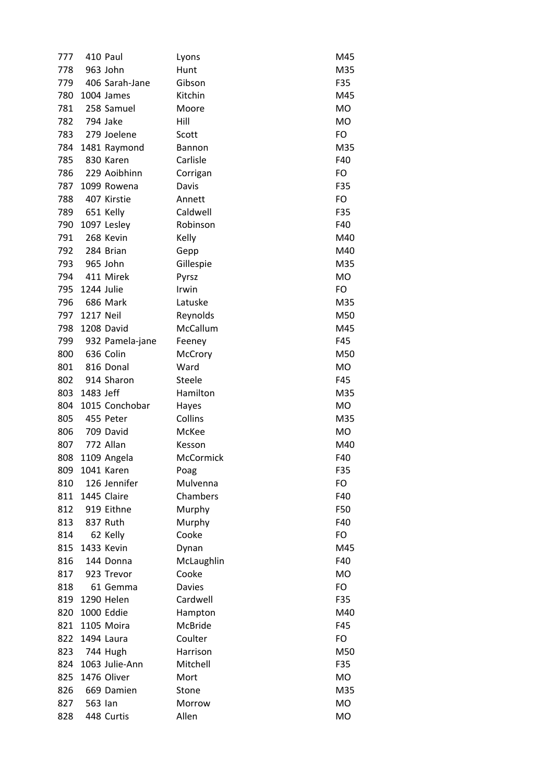| 777 |            | 410 Paul                     | Lyons         | M45       |
|-----|------------|------------------------------|---------------|-----------|
| 778 |            | 963 John                     | Hunt          | M35       |
| 779 |            | 406 Sarah-Jane               | Gibson        | F35       |
| 780 |            | 1004 James                   | Kitchin       | M45       |
| 781 |            | 258 Samuel                   | Moore         | <b>MO</b> |
| 782 |            | 794 Jake                     | Hill          | <b>MO</b> |
| 783 |            | 279 Joelene                  | Scott         | FO        |
| 784 |            | 1481 Raymond                 | Bannon        | M35       |
| 785 |            | 830 Karen                    | Carlisle      | F40       |
| 786 |            | 229 Aoibhinn                 | Corrigan      | FO        |
| 787 |            | 1099 Rowena                  | Davis         | F35       |
| 788 |            | 407 Kirstie                  | Annett        | FO        |
| 789 |            | 651 Kelly                    | Caldwell      | F35       |
| 790 |            | 1097 Lesley                  | Robinson      | F40       |
| 791 |            | 268 Kevin                    | Kelly         | M40       |
| 792 |            | 284 Brian                    | Gepp          | M40       |
| 793 |            | 965 John                     | Gillespie     | M35       |
| 794 |            | 411 Mirek                    | Pyrsz         | <b>MO</b> |
| 795 | 1244 Julie |                              | Irwin         | FO        |
| 796 |            | 686 Mark                     | Latuske       | M35       |
| 797 | 1217 Neil  |                              | Reynolds      | M50       |
| 798 |            | 1208 David                   | McCallum      | M45       |
| 799 |            |                              |               | F45       |
| 800 |            | 932 Pamela-jane<br>636 Colin | Feeney        | M50       |
|     |            | 816 Donal                    | McCrory       |           |
| 801 |            | 914 Sharon                   | Ward          | <b>MO</b> |
| 802 |            |                              | Steele        | F45       |
| 803 | 1483 Jeff  |                              | Hamilton      | M35       |
| 804 |            | 1015 Conchobar               | Hayes         | MO        |
| 805 |            | 455 Peter                    | Collins       | M35       |
| 806 |            | 709 David                    | McKee         | <b>MO</b> |
| 807 |            | 772 Allan                    | Kesson        | M40       |
| 808 |            | 1109 Angela                  | McCormick     | F40       |
| 809 |            | 1041 Karen                   | Poag          | F35       |
| 810 |            | 126 Jennifer                 | Mulvenna      | FO        |
| 811 |            | 1445 Claire                  | Chambers      | F40       |
| 812 |            | 919 Eithne                   | Murphy        | F50       |
| 813 |            | 837 Ruth                     | Murphy        | F40       |
| 814 |            | 62 Kelly                     | Cooke         | FO        |
| 815 |            | 1433 Kevin                   | Dynan         | M45       |
| 816 |            | 144 Donna                    | McLaughlin    | F40       |
| 817 |            | 923 Trevor                   | Cooke         | <b>MO</b> |
| 818 |            | 61 Gemma                     | <b>Davies</b> | FO        |
| 819 |            | 1290 Helen                   | Cardwell      | F35       |
| 820 |            | 1000 Eddie                   | Hampton       | M40       |
| 821 |            | 1105 Moira                   | McBride       | F45       |
| 822 |            | 1494 Laura                   | Coulter       | FO        |
| 823 |            | 744 Hugh                     | Harrison      | M50       |
| 824 |            | 1063 Julie-Ann               | Mitchell      | F35       |
| 825 |            | 1476 Oliver                  | Mort          | <b>MO</b> |
| 826 |            | 669 Damien                   | Stone         | M35       |
| 827 | 563 lan    |                              | Morrow        | <b>MO</b> |
| 828 |            | 448 Curtis                   | Allen         | <b>MO</b> |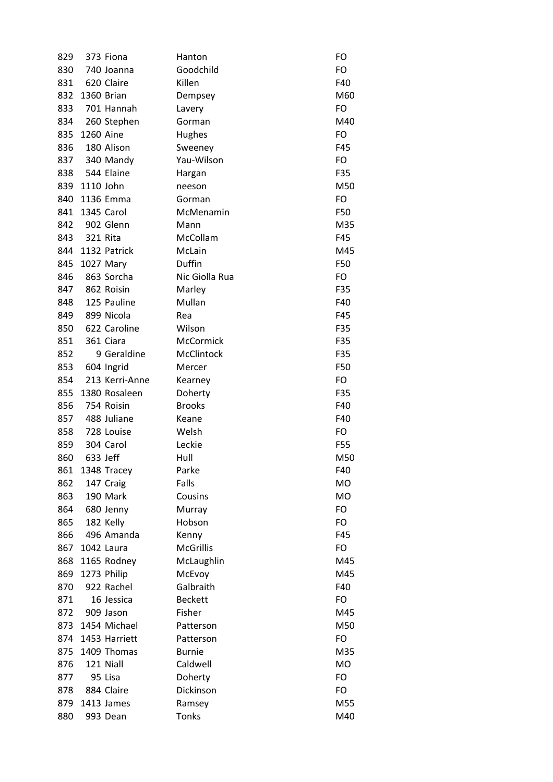| 829 |           | 373 Fiona      | Hanton           | FO        |
|-----|-----------|----------------|------------------|-----------|
| 830 |           | 740 Joanna     | Goodchild        | FO        |
| 831 |           | 620 Claire     | Killen           | F40       |
| 832 |           | 1360 Brian     | Dempsey          | M60       |
| 833 |           | 701 Hannah     | Lavery           | FO        |
| 834 |           | 260 Stephen    | Gorman           | M40       |
| 835 | 1260 Aine |                | Hughes           | FO        |
| 836 |           | 180 Alison     | Sweeney          | F45       |
| 837 |           | 340 Mandy      | Yau-Wilson       | FO        |
| 838 |           | 544 Elaine     | Hargan           | F35       |
| 839 | 1110 John |                | neeson           | M50       |
| 840 |           | 1136 Emma      | Gorman           | FO        |
| 841 |           | 1345 Carol     | McMenamin        | F50       |
| 842 |           | 902 Glenn      | Mann             | M35       |
| 843 | 321 Rita  |                | McCollam         | F45       |
| 844 |           | 1132 Patrick   | McLain           | M45       |
| 845 |           | 1027 Mary      | Duffin           | F50       |
| 846 |           | 863 Sorcha     | Nic Giolla Rua   | FO        |
| 847 |           | 862 Roisin     | Marley           | F35       |
| 848 |           | 125 Pauline    | Mullan           | F40       |
| 849 |           | 899 Nicola     | Rea              | F45       |
| 850 |           | 622 Caroline   | Wilson           | F35       |
| 851 |           | 361 Ciara      | McCormick        | F35       |
| 852 |           | 9 Geraldine    | McClintock       | F35       |
| 853 |           | 604 Ingrid     | Mercer           | F50       |
| 854 |           | 213 Kerri-Anne | Kearney          | FO        |
| 855 |           | 1380 Rosaleen  | Doherty          | F35       |
| 856 |           | 754 Roisin     | <b>Brooks</b>    | F40       |
| 857 |           | 488 Juliane    | Keane            | F40       |
| 858 |           | 728 Louise     | Welsh            | FO        |
| 859 |           | 304 Carol      | Leckie           | F55       |
| 860 | 633 Jeff  |                | Hull             | M50       |
| 861 |           | 1348 Tracey    | Parke            | F40       |
| 862 |           | 147 Craig      | Falls            | <b>MO</b> |
| 863 |           | 190 Mark       | Cousins          | <b>MO</b> |
| 864 |           | 680 Jenny      | Murray           | FO        |
| 865 |           | 182 Kelly      | Hobson           | FO        |
| 866 |           | 496 Amanda     | Kenny            | F45       |
| 867 |           | 1042 Laura     | <b>McGrillis</b> | FO        |
| 868 |           | 1165 Rodney    | McLaughlin       | M45       |
| 869 |           | 1273 Philip    | McEvoy           | M45       |
| 870 |           | 922 Rachel     | Galbraith        | F40       |
| 871 |           | 16 Jessica     | <b>Beckett</b>   | FO        |
|     |           |                | Fisher           | M45       |
| 872 |           | 909 Jason      |                  |           |
| 873 |           | 1454 Michael   | Patterson        | M50       |
| 874 |           | 1453 Harriett  | Patterson        | FO        |
| 875 |           | 1409 Thomas    | <b>Burnie</b>    | M35       |
| 876 |           | 121 Niall      | Caldwell         | <b>MO</b> |
| 877 |           | 95 Lisa        | Doherty          | FO        |
| 878 |           | 884 Claire     | Dickinson        | FO        |
| 879 |           | 1413 James     | Ramsey           | M55       |
| 880 |           | 993 Dean       | <b>Tonks</b>     | M40       |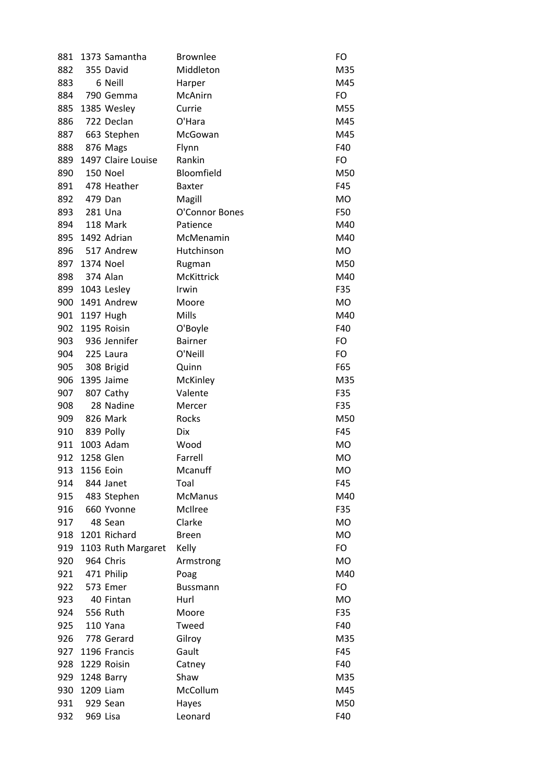| 881 |           | 1373 Samantha      | <b>Brownlee</b> | FO        |
|-----|-----------|--------------------|-----------------|-----------|
| 882 |           | 355 David          | Middleton       | M35       |
| 883 |           | 6 Neill            | Harper          | M45       |
| 884 |           | 790 Gemma          | McAnirn         | FO        |
| 885 |           | 1385 Wesley        | Currie          | M55       |
| 886 |           | 722 Declan         | O'Hara          | M45       |
| 887 |           | 663 Stephen        | McGowan         | M45       |
| 888 |           | 876 Mags           | Flynn           | F40       |
| 889 |           | 1497 Claire Louise | Rankin          | FO        |
| 890 |           | 150 Noel           | Bloomfield      | M50       |
| 891 |           | 478 Heather        | <b>Baxter</b>   | F45       |
| 892 | 479 Dan   |                    | Magill          | <b>MO</b> |
| 893 |           | 281 Una            | O'Connor Bones  | F50       |
| 894 |           | 118 Mark           | Patience        | M40       |
| 895 |           | 1492 Adrian        | McMenamin       | M40       |
| 896 |           | 517 Andrew         | Hutchinson      | <b>MO</b> |
| 897 | 1374 Noel |                    | Rugman          | M50       |
| 898 |           | 374 Alan           | McKittrick      | M40       |
| 899 |           | 1043 Lesley        | Irwin           | F35       |
| 900 |           | 1491 Andrew        | Moore           | MO        |
| 901 |           | 1197 Hugh          | <b>Mills</b>    | M40       |
| 902 |           | 1195 Roisin        | O'Boyle         | F40       |
| 903 |           | 936 Jennifer       | <b>Bairner</b>  | FO        |
| 904 | 225 Laura |                    | O'Neill         | FO        |
| 905 |           | 308 Brigid         | Quinn           | F65       |
| 906 |           | 1395 Jaime         | McKinley        | M35       |
| 907 |           | 807 Cathy          | Valente         | F35       |
| 908 |           | 28 Nadine          | Mercer          | F35       |
| 909 |           | 826 Mark           | Rocks           | M50       |
| 910 |           | 839 Polly          | Dix             | F45       |
| 911 |           | 1003 Adam          | Wood            | MO        |
| 912 | 1258 Glen |                    | Farrell         | <b>MO</b> |
| 913 | 1156 Eoin |                    | Mcanuff         | МO        |
| 914 |           | 844 Janet          | Toal            | F45       |
| 915 |           | 483 Stephen        | <b>McManus</b>  | M40       |
| 916 |           | 660 Yvonne         | McIlree         | F35       |
| 917 |           | 48 Sean            | Clarke          | MO        |
| 918 |           | 1201 Richard       | <b>Breen</b>    | <b>MO</b> |
| 919 |           | 1103 Ruth Margaret | Kelly           | FO        |
| 920 |           | 964 Chris          | Armstrong       | <b>MO</b> |
| 921 |           | 471 Philip         | Poag            | M40       |
| 922 |           | 573 Emer           | <b>Bussmann</b> | FO        |
| 923 |           | 40 Fintan          | Hurl            | MO        |
| 924 |           | 556 Ruth           | Moore           | F35       |
| 925 |           | 110 Yana           | Tweed           | F40       |
| 926 |           | 778 Gerard         | Gilroy          | M35       |
| 927 |           | 1196 Francis       | Gault           | F45       |
| 928 |           | 1229 Roisin        | Catney          | F40       |
| 929 |           | 1248 Barry         | Shaw            | M35       |
| 930 | 1209 Liam |                    | McCollum        | M45       |
|     |           |                    |                 |           |
| 931 |           | 929 Sean           | Hayes           | M50       |
| 932 | 969 Lisa  |                    | Leonard         | F40       |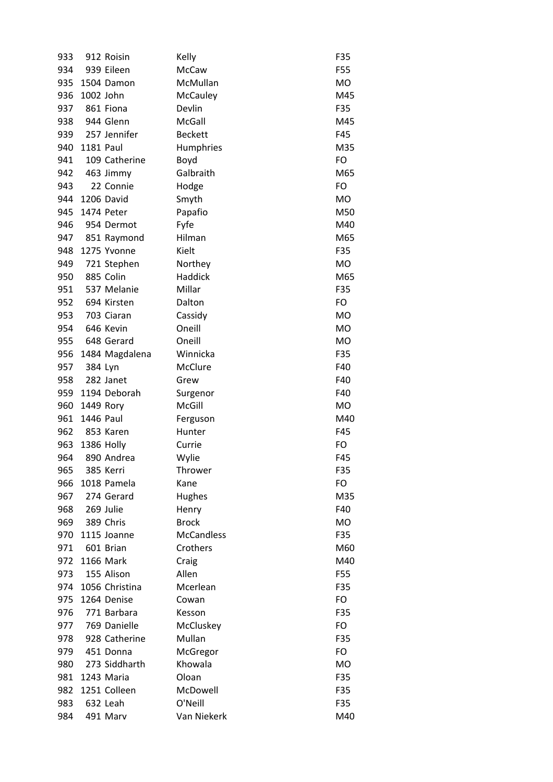| 933 |                  | 912 Roisin     | Kelly             | F35       |
|-----|------------------|----------------|-------------------|-----------|
| 934 |                  | 939 Eileen     | McCaw             | F55       |
| 935 |                  | 1504 Damon     | McMullan          | <b>MO</b> |
| 936 | 1002 John        |                | McCauley          | M45       |
| 937 |                  | 861 Fiona      | Devlin            | F35       |
| 938 |                  | 944 Glenn      | McGall            | M45       |
| 939 |                  | 257 Jennifer   | <b>Beckett</b>    | F45       |
| 940 | <b>1181 Paul</b> |                | Humphries         | M35       |
| 941 |                  | 109 Catherine  | Boyd              | FO        |
| 942 |                  | 463 Jimmy      | Galbraith         | M65       |
| 943 |                  | 22 Connie      | Hodge             | FO        |
| 944 |                  | 1206 David     | Smyth             | <b>MO</b> |
| 945 |                  | 1474 Peter     | Papafio           | M50       |
| 946 |                  | 954 Dermot     | Fyfe              | M40       |
| 947 |                  | 851 Raymond    | Hilman            | M65       |
| 948 |                  | 1275 Yvonne    | Kielt             | F35       |
| 949 |                  | 721 Stephen    | Northey           | <b>MO</b> |
| 950 |                  | 885 Colin      | <b>Haddick</b>    | M65       |
| 951 |                  | 537 Melanie    | Millar            | F35       |
| 952 |                  | 694 Kirsten    | Dalton            | FO        |
| 953 |                  | 703 Ciaran     | Cassidy           | <b>MO</b> |
| 954 |                  | 646 Kevin      | Oneill            | <b>MO</b> |
| 955 |                  | 648 Gerard     | Oneill            | <b>MO</b> |
| 956 |                  | 1484 Magdalena | Winnicka          | F35       |
| 957 | 384 Lyn          |                | McClure           | F40       |
| 958 |                  | 282 Janet      | Grew              | F40       |
| 959 |                  | 1194 Deborah   | Surgenor          | F40       |
| 960 | 1449 Rory        |                | McGill            | <b>MO</b> |
| 961 | 1446 Paul        |                | Ferguson          | M40       |
| 962 |                  | 853 Karen      | Hunter            | F45       |
| 963 |                  | 1386 Holly     | Currie            | FO        |
| 964 |                  | 890 Andrea     | Wylie             | F45       |
| 965 |                  | 385 Kerri      | Thrower           | F35       |
| 966 |                  | 1018 Pamela    | Kane              | FO        |
| 967 |                  | 274 Gerard     | Hughes            | M35       |
| 968 |                  | 269 Julie      | Henry             | F40       |
| 969 |                  | 389 Chris      | <b>Brock</b>      | MO        |
| 970 |                  | 1115 Joanne    | <b>McCandless</b> | F35       |
| 971 |                  | 601 Brian      | Crothers          | M60       |
| 972 |                  | 1166 Mark      | Craig             | M40       |
| 973 |                  | 155 Alison     | Allen             | F55       |
| 974 |                  | 1056 Christina | Mcerlean          | F35       |
| 975 |                  | 1264 Denise    | Cowan             | FO        |
| 976 |                  | 771 Barbara    | Kesson            | F35       |
| 977 |                  | 769 Danielle   | McCluskey         | FO        |
| 978 |                  | 928 Catherine  | Mullan            | F35       |
| 979 |                  | 451 Donna      | McGregor          | FO        |
| 980 |                  | 273 Siddharth  | Khowala           | MO        |
| 981 |                  | 1243 Maria     | Oloan             | F35       |
| 982 |                  | 1251 Colleen   | McDowell          | F35       |
| 983 |                  | 632 Leah       | O'Neill           | F35       |
| 984 |                  | 491 Marv       | Van Niekerk       | M40       |
|     |                  |                |                   |           |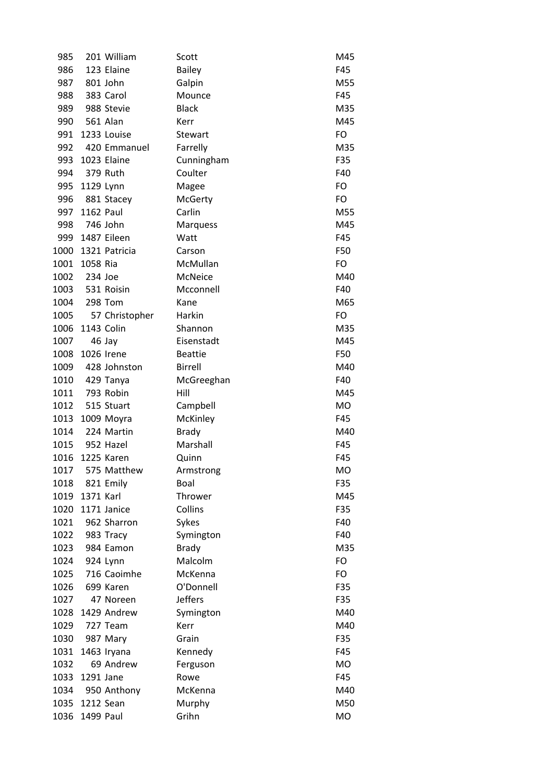| 985             |           | 201 William     | Scott          | M45       |
|-----------------|-----------|-----------------|----------------|-----------|
| 986             |           | 123 Elaine      | <b>Bailey</b>  | F45       |
| 987             |           | 801 John        | Galpin         | M55       |
| 988             |           | 383 Carol       | Mounce         | F45       |
| 989             |           | 988 Stevie      | <b>Black</b>   | M35       |
| 990             |           | 561 Alan        | Kerr           | M45       |
| 991             |           | 1233 Louise     | Stewart        | FO        |
| 992             |           | 420 Emmanuel    | Farrelly       | M35       |
| 993             |           | 1023 Elaine     | Cunningham     | F35       |
| 994             |           | 379 Ruth        | Coulter        | F40       |
| 995             | 1129 Lynn |                 | Magee          | FO        |
| 996             |           | 881 Stacey      | <b>McGerty</b> | FO        |
| 997             | 1162 Paul |                 | Carlin         | M55       |
| 998             | 746 John  |                 | Marquess       | M45       |
|                 |           | 999 1487 Eileen | Watt           | F45       |
| 1000            |           | 1321 Patricia   | Carson         | F50       |
| 1001            | 1058 Ria  |                 | McMullan       | FO        |
| 1002            | 234 Joe   |                 | McNeice        | M40       |
| 1003            |           | 531 Roisin      | Mcconnell      | F40       |
| 1004            |           | 298 Tom         | Kane           | M65       |
| 1005            |           | 57 Christopher  | Harkin         | FO        |
| 1006 1143 Colin |           |                 | Shannon        | M35       |
| 1007            |           | 46 Jay          | Eisenstadt     | M45       |
| 1008            |           | 1026 Irene      | <b>Beattie</b> | F50       |
| 1009            |           | 428 Johnston    | <b>Birrell</b> | M40       |
| 1010            |           | 429 Tanya       | McGreeghan     | F40       |
| 1011            |           | 793 Robin       | Hill           | M45       |
| 1012            |           | 515 Stuart      | Campbell       | MO        |
| 1013            |           | 1009 Moyra      | McKinley       | F45       |
| 1014            |           | 224 Martin      | <b>Brady</b>   | M40       |
| 1015            |           | 952 Hazel       | Marshall       | F45       |
| 1016            |           | 1225 Karen      | Quinn          | F45       |
| 1017            |           | 575 Matthew     | Armstrong      | <b>MO</b> |
| 1018            |           | 821 Emily       | Boal           | F35       |
| 1019            | 1371 Karl |                 | Thrower        | M45       |
| 1020            |           | 1171 Janice     | Collins        | F35       |
| 1021            |           | 962 Sharron     | Sykes          | F40       |
| 1022            |           | 983 Tracy       | Symington      | F40       |
| 1023            |           | 984 Eamon       | <b>Brady</b>   | M35       |
| 1024            |           | 924 Lynn        | Malcolm        | FO        |
| 1025            |           | 716 Caoimhe     | McKenna        | FO        |
| 1026            |           | 699 Karen       | O'Donnell      | F35       |
| 1027            |           | 47 Noreen       | <b>Jeffers</b> | F35       |
| 1028            |           | 1429 Andrew     | Symington      | M40       |
| 1029            |           | 727 Team        | Kerr           | M40       |
| 1030            |           | 987 Mary        | Grain          | F35       |
| 1031            |           | 1463 Iryana     | Kennedy        | F45       |
| 1032            |           | 69 Andrew       | Ferguson       | <b>MO</b> |
| 1033            | 1291 Jane |                 | Rowe           | F45       |
| 1034            |           | 950 Anthony     | McKenna        | M40       |
| 1035            | 1212 Sean |                 | Murphy         | M50       |
| 1036            | 1499 Paul |                 | Grihn          | <b>MO</b> |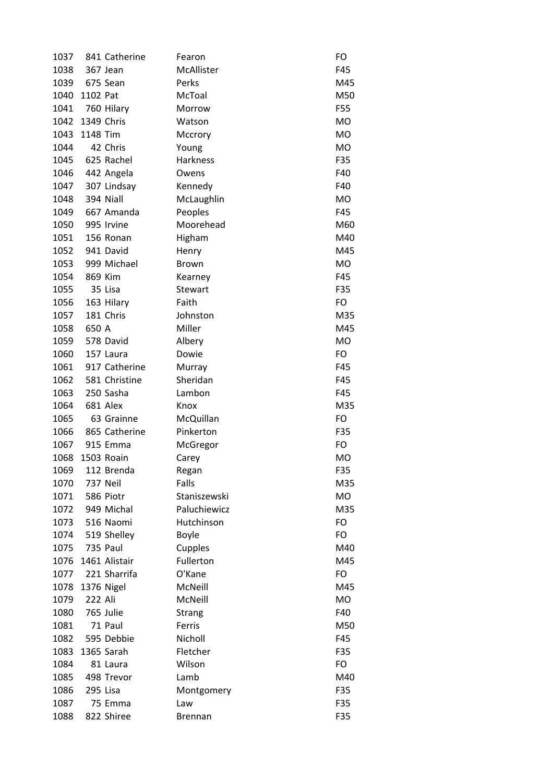| 1037 |            | 841 Catherine | Fearon          | FO        |
|------|------------|---------------|-----------------|-----------|
| 1038 |            | 367 Jean      | McAllister      | F45       |
| 1039 |            | 675 Sean      | Perks           | M45       |
| 1040 | 1102 Pat   |               | McToal          | M50       |
| 1041 |            | 760 Hilary    | Morrow          | F55       |
| 1042 | 1349 Chris |               | Watson          | <b>MO</b> |
| 1043 | 1148 Tim   |               | Mccrory         | <b>MO</b> |
| 1044 |            | 42 Chris      | Young           | <b>MO</b> |
| 1045 |            | 625 Rachel    | <b>Harkness</b> | F35       |
| 1046 |            | 442 Angela    | Owens           | F40       |
| 1047 |            | 307 Lindsay   | Kennedy         | F40       |
| 1048 |            | 394 Niall     | McLaughlin      | <b>MO</b> |
| 1049 |            | 667 Amanda    | Peoples         | F45       |
| 1050 |            | 995 Irvine    | Moorehead       | M60       |
| 1051 |            | 156 Ronan     | Higham          | M40       |
| 1052 |            | 941 David     | Henry           | M45       |
| 1053 |            | 999 Michael   | <b>Brown</b>    | <b>MO</b> |
| 1054 |            | 869 Kim       | Kearney         | F45       |
| 1055 |            | 35 Lisa       | <b>Stewart</b>  | F35       |
| 1056 |            | 163 Hilary    | Faith           | FO        |
| 1057 |            | 181 Chris     | Johnston        | M35       |
| 1058 | 650 A      |               | Miller          | M45       |
| 1059 |            | 578 David     | Albery          | <b>MO</b> |
| 1060 |            | 157 Laura     | Dowie           | FO        |
| 1061 |            | 917 Catherine | Murray          | F45       |
| 1062 |            | 581 Christine | Sheridan        | F45       |
| 1063 |            | 250 Sasha     | Lambon          | F45       |
| 1064 |            | 681 Alex      | Knox            | M35       |
| 1065 |            | 63 Grainne    | McQuillan       | FO        |
| 1066 |            | 865 Catherine | Pinkerton       | F35       |
| 1067 |            | 915 Emma      | McGregor        | FO        |
| 1068 |            | 1503 Roain    | Carey           | <b>MO</b> |
| 1069 |            | 112 Brenda    | Regan           | F35       |
| 1070 |            | 737 Neil      | Falls           | M35       |
| 1071 |            | 586 Piotr     | Staniszewski    | MO        |
| 1072 |            | 949 Michal    | Paluchiewicz    | M35       |
| 1073 |            | 516 Naomi     | Hutchinson      | <b>FO</b> |
| 1074 |            | 519 Shelley   | Boyle           | FO        |
| 1075 |            | 735 Paul      | Cupples         | M40       |
| 1076 |            | 1461 Alistair | Fullerton       | M45       |
| 1077 |            | 221 Sharrifa  | O'Kane          | FO        |
| 1078 |            | 1376 Nigel    | McNeill         | M45       |
| 1079 | 222 Ali    |               | McNeill         | <b>MO</b> |
| 1080 |            | 765 Julie     | <b>Strang</b>   | F40       |
| 1081 |            | 71 Paul       | Ferris          | M50       |
| 1082 |            | 595 Debbie    | Nicholl         | F45       |
| 1083 |            | 1365 Sarah    | Fletcher        | F35       |
| 1084 |            | 81 Laura      | Wilson          | FO        |
| 1085 |            | 498 Trevor    | Lamb            | M40       |
| 1086 |            | 295 Lisa      | Montgomery      | F35       |
| 1087 |            | 75 Emma       | Law             | F35       |
| 1088 |            | 822 Shiree    | <b>Brennan</b>  | F35       |
|      |            |               |                 |           |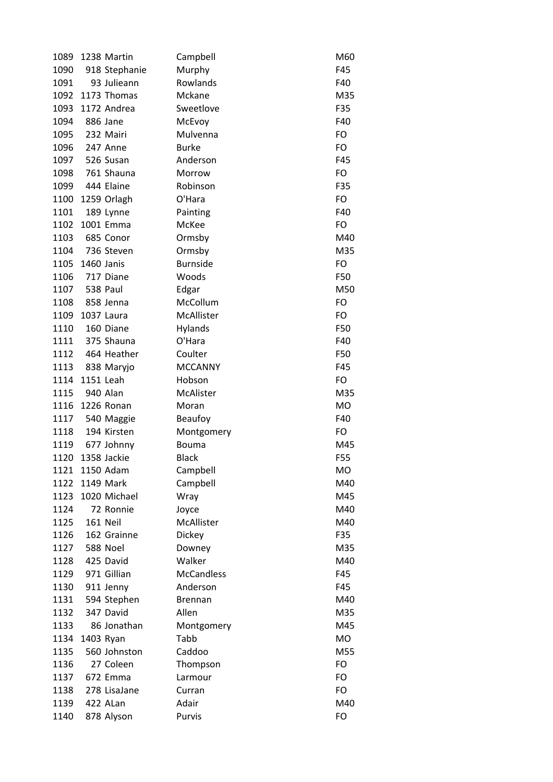| 1089 |            | 1238 Martin   | Campbell          | M60        |
|------|------------|---------------|-------------------|------------|
| 1090 |            | 918 Stephanie | Murphy            | F45        |
| 1091 |            | 93 Julieann   | Rowlands          | F40        |
| 1092 |            | 1173 Thomas   | Mckane            | M35        |
| 1093 |            | 1172 Andrea   | Sweetlove         | F35        |
| 1094 |            | 886 Jane      | McEvoy            | F40        |
| 1095 |            | 232 Mairi     | Mulvenna          | FO         |
| 1096 |            | 247 Anne      | <b>Burke</b>      | FO         |
| 1097 |            | 526 Susan     | Anderson          | F45        |
| 1098 |            | 761 Shauna    | Morrow            | FO         |
| 1099 |            | 444 Elaine    | Robinson          | F35        |
| 1100 |            | 1259 Orlagh   | O'Hara            | FO         |
| 1101 |            | 189 Lynne     | Painting          | F40        |
| 1102 |            | 1001 Emma     | McKee             | FO         |
| 1103 |            | 685 Conor     | Ormsby            | M40        |
| 1104 |            | 736 Steven    | Ormsby            | M35        |
| 1105 | 1460 Janis |               | <b>Burnside</b>   | FO         |
| 1106 |            | 717 Diane     | Woods             | F50        |
| 1107 |            | 538 Paul      | Edgar             | M50        |
| 1108 |            | 858 Jenna     | McCollum          | FO         |
| 1109 |            | 1037 Laura    | McAllister        | FO         |
| 1110 |            | 160 Diane     | Hylands           | F50        |
| 1111 |            | 375 Shauna    | O'Hara            | F40        |
| 1112 |            | 464 Heather   | Coulter           | F50        |
| 1113 |            | 838 Maryjo    | <b>MCCANNY</b>    | F45        |
| 1114 | 1151 Leah  |               | Hobson            | FO         |
| 1115 |            | 940 Alan      | McAlister         | M35        |
| 1116 |            | 1226 Ronan    | Moran             | <b>MO</b>  |
| 1117 |            | 540 Maggie    | Beaufoy           | F40        |
| 1118 |            | 194 Kirsten   | Montgomery        | FO         |
| 1119 |            | 677 Johnny    | Bouma             | M45        |
| 1120 |            | 1358 Jackie   | <b>Black</b>      | F55        |
| 1121 |            | 1150 Adam     | Campbell          | MO         |
| 1122 |            | 1149 Mark     | Campbell          | M40        |
| 1123 |            | 1020 Michael  | Wray              | M45        |
| 1124 |            | 72 Ronnie     | Joyce             | M40        |
| 1125 |            | 161 Neil      | McAllister        | M40        |
| 1126 |            | 162 Grainne   | Dickey            | F35        |
| 1127 |            | 588 Noel      |                   | M35        |
|      |            | 425 David     | Downey<br>Walker  | M40        |
| 1128 |            | 971 Gillian   | <b>McCandless</b> |            |
| 1129 |            |               |                   | F45        |
| 1130 |            | 911 Jenny     | Anderson          | F45<br>M40 |
| 1131 |            | 594 Stephen   | <b>Brennan</b>    |            |
| 1132 |            | 347 David     | Allen             | M35        |
| 1133 |            | 86 Jonathan   | Montgomery        | M45        |
| 1134 |            | 1403 Ryan     | Tabb              | MO         |
| 1135 |            | 560 Johnston  | Caddoo            | M55        |
| 1136 |            | 27 Coleen     | Thompson          | FO         |
| 1137 |            | 672 Emma      | Larmour           | FO         |
| 1138 |            | 278 LisaJane  | Curran            | FO         |
| 1139 |            | 422 ALan      | Adair             | M40        |
| 1140 |            | 878 Alyson    | Purvis            | FO         |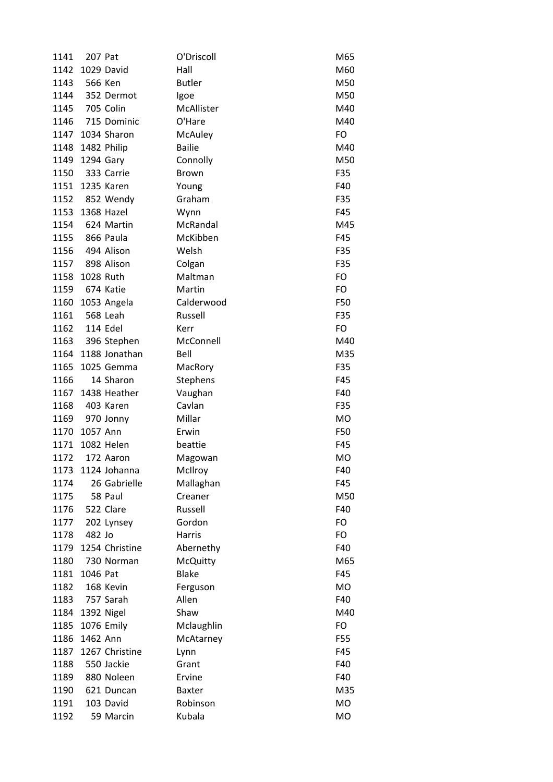| 1141 | 207 Pat    |                | O'Driscoll      | M65       |
|------|------------|----------------|-----------------|-----------|
| 1142 |            | 1029 David     | Hall            | M60       |
| 1143 | 566 Ken    |                | <b>Butler</b>   | M50       |
| 1144 |            | 352 Dermot     | Igoe            | M50       |
| 1145 |            | 705 Colin      | McAllister      | M40       |
| 1146 |            | 715 Dominic    | O'Hare          | M40       |
| 1147 |            | 1034 Sharon    | McAuley         | FO        |
| 1148 |            | 1482 Philip    | <b>Bailie</b>   | M40       |
| 1149 | 1294 Gary  |                | Connolly        | M50       |
| 1150 |            | 333 Carrie     | <b>Brown</b>    | F35       |
| 1151 |            | 1235 Karen     | Young           | F40       |
|      |            | 1152 852 Wendy | Graham          | F35       |
| 1153 | 1368 Hazel |                | Wynn            | F45       |
| 1154 |            | 624 Martin     | McRandal        | M45       |
| 1155 |            | 866 Paula      | McKibben        | F45       |
| 1156 |            | 494 Alison     | Welsh           | F35       |
| 1157 |            | 898 Alison     | Colgan          | F35       |
| 1158 | 1028 Ruth  |                | Maltman         | FO        |
| 1159 | 674 Katie  |                | Martin          | FO        |
| 1160 |            | 1053 Angela    | Calderwood      | F50       |
| 1161 | 568 Leah   |                | Russell         | F35       |
| 1162 |            | 114 Edel       | Kerr            | FO        |
| 1163 |            | 396 Stephen    | McConnell       | M40       |
| 1164 |            | 1188 Jonathan  | Bell            | M35       |
| 1165 |            | 1025 Gemma     | MacRory         | F35       |
| 1166 |            | 14 Sharon      | Stephens        | F45       |
| 1167 |            | 1438 Heather   | Vaughan         | F40       |
| 1168 |            | 403 Karen      | Cavlan          | F35       |
| 1169 |            | 970 Jonny      | Millar          | <b>MO</b> |
| 1170 | 1057 Ann   |                | Erwin           | F50       |
| 1171 |            | 1082 Helen     | beattie         | F45       |
| 1172 |            | 172 Aaron      | Magowan         | MO        |
| 1173 |            | 1124 Johanna   | McIlroy         | F40       |
| 1174 |            | 26 Gabrielle   | Mallaghan       | F45       |
| 1175 |            | 58 Paul        | Creaner         | M50       |
| 1176 |            | 522 Clare      | Russell         | F40       |
| 1177 |            | 202 Lynsey     | Gordon          | FO        |
| 1178 | 482 Jo     |                | Harris          | FO        |
| 1179 |            | 1254 Christine | Abernethy       | F40       |
| 1180 |            | 730 Norman     | <b>McQuitty</b> | M65       |
| 1181 | 1046 Pat   |                | <b>Blake</b>    | F45       |
| 1182 |            | 168 Kevin      | Ferguson        | MO        |
| 1183 |            | 757 Sarah      | Allen           | F40       |
| 1184 |            | 1392 Nigel     | Shaw            | M40       |
|      |            |                |                 |           |
| 1185 | 1462 Ann   | 1076 Emily     | Mclaughlin      | FO        |
| 1186 |            |                | McAtarney       | F55       |
| 1187 |            | 1267 Christine | Lynn            | F45       |
| 1188 |            | 550 Jackie     | Grant           | F40       |
| 1189 |            | 880 Noleen     | Ervine          | F40       |
| 1190 |            | 621 Duncan     | <b>Baxter</b>   | M35       |
| 1191 |            | 103 David      | Robinson        | MO        |
| 1192 |            | 59 Marcin      | Kubala          | <b>MO</b> |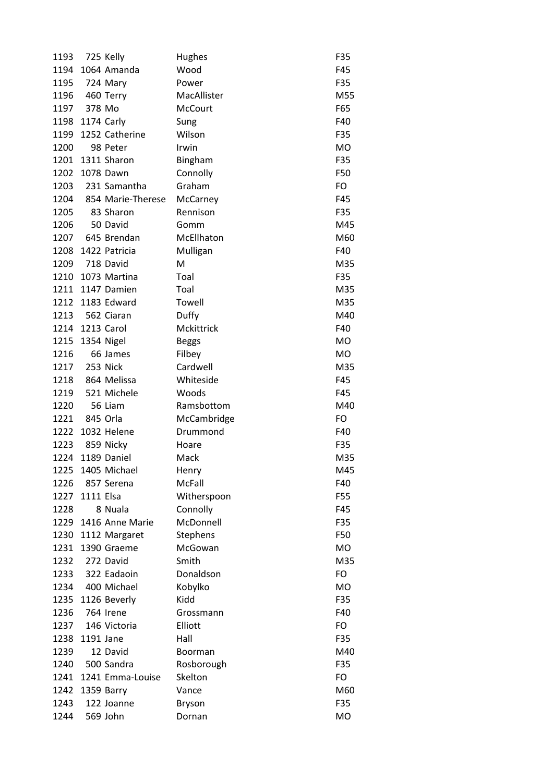| 1193 |            | 725 Kelly             | <b>Hughes</b>  | F35       |
|------|------------|-----------------------|----------------|-----------|
|      |            | 1194 1064 Amanda      | Wood           | F45       |
| 1195 |            | 724 Mary              | Power          | F35       |
| 1196 |            | 460 Terry             | MacAllister    | M55       |
| 1197 | 378 Mo     |                       | <b>McCourt</b> | F65       |
| 1198 | 1174 Carly |                       | Sung           | F40       |
| 1199 |            | 1252 Catherine        | Wilson         | F35       |
| 1200 |            | 98 Peter              | Irwin          | <b>MO</b> |
|      |            | 1201 1311 Sharon      | Bingham        | F35       |
| 1202 |            | 1078 Dawn             | Connolly       | F50       |
| 1203 |            | 231 Samantha          | Graham         | FO        |
| 1204 |            | 854 Marie-Therese     | McCarney       | F45       |
| 1205 |            | 83 Sharon             | Rennison       | F35       |
| 1206 |            | 50 David              | Gomm           | M45       |
| 1207 |            | 645 Brendan           | McEllhaton     | M60       |
| 1208 |            | 1422 Patricia         | Mulligan       | F40       |
| 1209 |            | 718 David             | M              | M35       |
| 1210 |            | 1073 Martina          | Toal           | F35       |
|      |            | 1211 1147 Damien      | Toal           | M35       |
| 1212 |            | 1183 Edward           | Towell         | M35       |
| 1213 |            | 562 Ciaran            | Duffy          | M40       |
| 1214 | 1213 Carol |                       | Mckittrick     | F40       |
| 1215 |            | 1354 Nigel            | <b>Beggs</b>   | <b>MO</b> |
| 1216 |            | 66 James              | Filbey         | MO        |
| 1217 |            | 253 Nick              | Cardwell       | M35       |
| 1218 |            | 864 Melissa           | Whiteside      | F45       |
| 1219 |            | 521 Michele           | Woods          | F45       |
| 1220 |            | 56 Liam               | Ramsbottom     | M40       |
| 1221 |            | 845 Orla              | McCambridge    | FO        |
| 1222 |            | 1032 Helene           | Drummond       | F40       |
| 1223 |            | 859 Nicky             | Hoare          | F35       |
| 1224 |            | 1189 Daniel           | Mack           | M35       |
| 1225 |            | 1405 Michael          | Henry          | M45       |
| 1226 |            | 857 Serena            | <b>McFall</b>  | F40       |
| 1227 | 1111 Elsa  |                       | Witherspoon    | F55       |
| 1228 |            | 8 Nuala               | Connolly       | F45       |
|      |            | 1229 1416 Anne Marie  | McDonnell      | F35       |
|      |            | 1230 1112 Margaret    | Stephens       | F50       |
| 1231 |            | 1390 Graeme           | McGowan        | MO        |
| 1232 |            | 272 David             | Smith          | M35       |
| 1233 |            | 322 Eadaoin           | Donaldson      | FO        |
| 1234 |            | 400 Michael           | Kobylko        | MO        |
|      |            | 1235 1126 Beverly     | Kidd           | F35       |
| 1236 |            | 764 Irene             | Grossmann      | F40       |
| 1237 |            | 146 Victoria          | Elliott        | FO        |
|      |            |                       |                |           |
| 1238 | 1191 Jane  |                       | Hall           | F35       |
| 1239 |            | 12 David              | <b>Boorman</b> | M40       |
| 1240 |            | 500 Sandra            | Rosborough     | F35       |
|      |            | 1241 1241 Emma-Louise | Skelton        | FO        |
| 1242 |            | 1359 Barry            | Vance          | M60       |
| 1243 |            | 122 Joanne            | Bryson         | F35       |
| 1244 |            | 569 John              | Dornan         | MO        |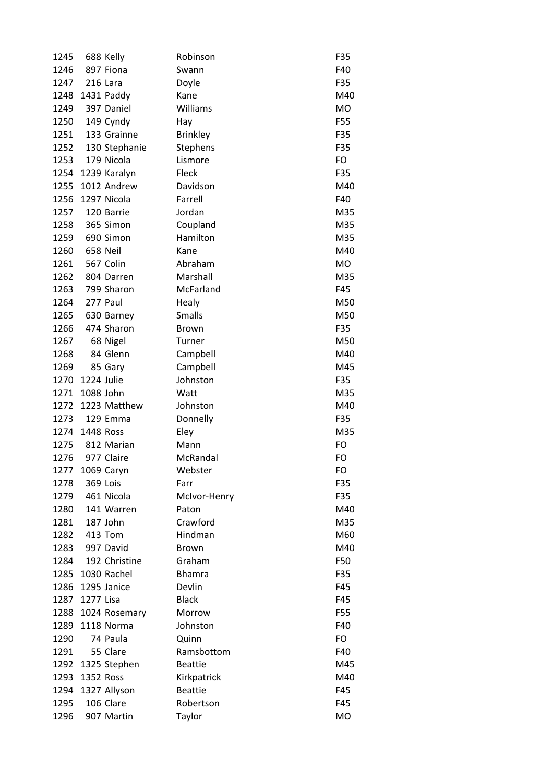| 1245 |            | 688 Kelly     | Robinson        | F35       |
|------|------------|---------------|-----------------|-----------|
| 1246 |            | 897 Fiona     | Swann           | F40       |
| 1247 |            | 216 Lara      | Doyle           | F35       |
| 1248 |            | 1431 Paddy    | Kane            | M40       |
| 1249 |            | 397 Daniel    | Williams        | <b>MO</b> |
| 1250 |            | 149 Cyndy     | Hay             | F55       |
| 1251 |            | 133 Grainne   | <b>Brinkley</b> | F35       |
| 1252 |            | 130 Stephanie | <b>Stephens</b> | F35       |
| 1253 |            | 179 Nicola    | Lismore         | FO        |
| 1254 |            | 1239 Karalyn  | Fleck           | F35       |
| 1255 |            | 1012 Andrew   | Davidson        | M40       |
| 1256 |            | 1297 Nicola   | Farrell         | F40       |
| 1257 |            | 120 Barrie    | Jordan          | M35       |
| 1258 |            | 365 Simon     | Coupland        | M35       |
| 1259 |            | 690 Simon     | Hamilton        | M35       |
| 1260 |            | 658 Neil      | Kane            | M40       |
| 1261 |            | 567 Colin     | Abraham         | MO        |
| 1262 |            | 804 Darren    | Marshall        | M35       |
| 1263 |            | 799 Sharon    | McFarland       | F45       |
| 1264 |            | 277 Paul      | Healy           | M50       |
| 1265 |            | 630 Barney    | <b>Smalls</b>   | M50       |
| 1266 |            | 474 Sharon    | <b>Brown</b>    | F35       |
| 1267 |            | 68 Nigel      | Turner          | M50       |
| 1268 |            | 84 Glenn      | Campbell        | M40       |
| 1269 |            | 85 Gary       | Campbell        | M45       |
| 1270 | 1224 Julie |               | Johnston        | F35       |
| 1271 | 1088 John  |               | Watt            | M35       |
| 1272 |            | 1223 Matthew  | Johnston        | M40       |
| 1273 |            | 129 Emma      | Donnelly        | F35       |
| 1274 | 1448 Ross  |               | Eley            | M35       |
| 1275 |            | 812 Marian    | Mann            | FO        |
| 1276 |            | 977 Claire    | McRandal        | FO        |
| 1277 |            | 1069 Caryn    | Webster         | FO        |
| 1278 |            | 369 Lois      | Farr            | F35       |
| 1279 |            | 461 Nicola    | McIvor-Henry    | F35       |
| 1280 |            | 141 Warren    | Paton           | M40       |
| 1281 |            | 187 John      | Crawford        | M35       |
| 1282 |            | 413 Tom       | Hindman         | M60       |
| 1283 |            | 997 David     | <b>Brown</b>    | M40       |
| 1284 |            | 192 Christine | Graham          | F50       |
| 1285 |            | 1030 Rachel   | <b>Bhamra</b>   | F35       |
| 1286 |            | 1295 Janice   | Devlin          | F45       |
| 1287 | 1277 Lisa  |               | <b>Black</b>    | F45       |
| 1288 |            | 1024 Rosemary | Morrow          | F55       |
|      |            | 1118 Norma    |                 |           |
| 1289 |            |               | Johnston        | F40       |
| 1290 |            | 74 Paula      | Quinn           | FO        |
| 1291 |            | 55 Clare      | Ramsbottom      | F40       |
| 1292 |            | 1325 Stephen  | <b>Beattie</b>  | M45       |
| 1293 | 1352 Ross  |               | Kirkpatrick     | M40       |
| 1294 |            | 1327 Allyson  | <b>Beattie</b>  | F45       |
| 1295 |            | 106 Clare     | Robertson       | F45       |
| 1296 |            | 907 Martin    | Taylor          | <b>MO</b> |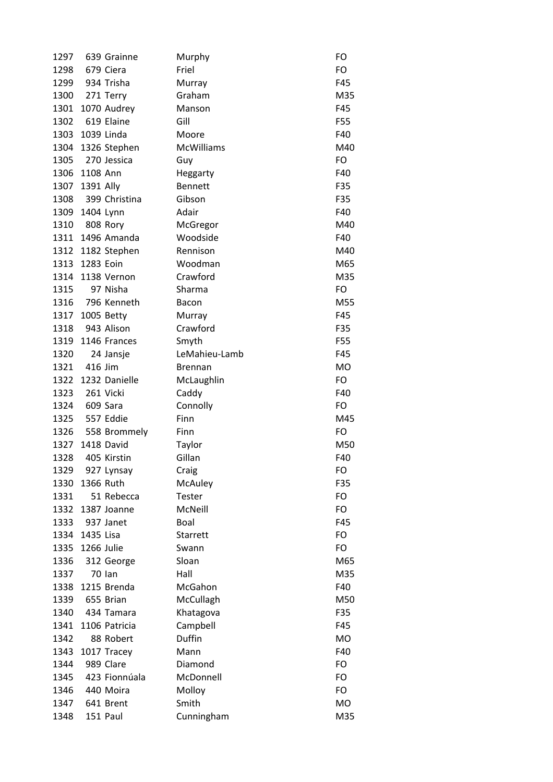| 1297 |            | 639 Grainne       | Murphy            | FO        |
|------|------------|-------------------|-------------------|-----------|
| 1298 |            | 679 Ciera         | Friel             | FO        |
| 1299 |            | 934 Trisha        | Murray            | F45       |
| 1300 |            | 271 Terry         | Graham            | M35       |
| 1301 |            | 1070 Audrey       | Manson            | F45       |
| 1302 |            | 619 Elaine        | Gill              | F55       |
| 1303 | 1039 Linda |                   | Moore             | F40       |
| 1304 |            | 1326 Stephen      | <b>McWilliams</b> | M40       |
| 1305 |            | 270 Jessica       | Guy               | FO        |
| 1306 | 1108 Ann   |                   | Heggarty          | F40       |
| 1307 | 1391 Ally  |                   | <b>Bennett</b>    | F35       |
| 1308 |            | 399 Christina     | Gibson            | F35       |
| 1309 | 1404 Lynn  |                   | Adair             | F40       |
| 1310 |            | 808 Rory          | McGregor          | M40       |
|      |            | 1311 1496 Amanda  | Woodside          | F40       |
|      |            | 1312 1182 Stephen | Rennison          | M40       |
| 1313 | 1283 Eoin  |                   | Woodman           | M65       |
| 1314 |            | 1138 Vernon       | Crawford          | M35       |
| 1315 |            | 97 Nisha          | Sharma            | FO        |
| 1316 |            | 796 Kenneth       | <b>Bacon</b>      | M55       |
| 1317 |            | 1005 Betty        | Murray            | F45       |
| 1318 |            | 943 Alison        | Crawford          | F35       |
| 1319 |            | 1146 Frances      | Smyth             | F55       |
| 1320 |            | 24 Jansje         | LeMahieu-Lamb     | F45       |
| 1321 | 416 Jim    |                   | <b>Brennan</b>    | <b>MO</b> |
| 1322 |            | 1232 Danielle     | McLaughlin        | FO        |
| 1323 |            | 261 Vicki         | Caddy             | F40       |
| 1324 |            | 609 Sara          | Connolly          | FO        |
| 1325 |            | 557 Eddie         | Finn              | M45       |
| 1326 |            | 558 Brommely      | Finn              | FO        |
| 1327 |            | 1418 David        | Taylor            | M50       |
| 1328 |            | 405 Kirstin       | Gillan            | F40       |
| 1329 |            | 927 Lynsay        | Craig             | FO        |
| 1330 | 1366 Ruth  |                   | McAuley           | F35       |
| 1331 |            | 51 Rebecca        | Tester            | FO        |
| 1332 |            | 1387 Joanne       | McNeill           | FO        |
| 1333 |            | 937 Janet         | Boal              | F45       |
| 1334 | 1435 Lisa  |                   | Starrett          | FO        |
| 1335 | 1266 Julie |                   | Swann             | FO        |
| 1336 |            | 312 George        | Sloan             | M65       |
| 1337 |            | <b>70 Ian</b>     | Hall              | M35       |
| 1338 |            | 1215 Brenda       | McGahon           | F40       |
| 1339 |            | 655 Brian         | McCullagh         | M50       |
| 1340 |            | 434 Tamara        | Khatagova         | F35       |
| 1341 |            | 1106 Patricia     | Campbell          | F45       |
| 1342 |            | 88 Robert         | Duffin            | <b>MO</b> |
| 1343 |            | 1017 Tracey       | Mann              | F40       |
| 1344 |            | 989 Clare         | Diamond           | FO        |
| 1345 |            | 423 Fionnúala     | McDonnell         | FO        |
| 1346 |            | 440 Moira         | Molloy            | FO        |
| 1347 |            | 641 Brent         | Smith             | <b>MO</b> |
| 1348 |            | 151 Paul          | Cunningham        | M35       |
|      |            |                   |                   |           |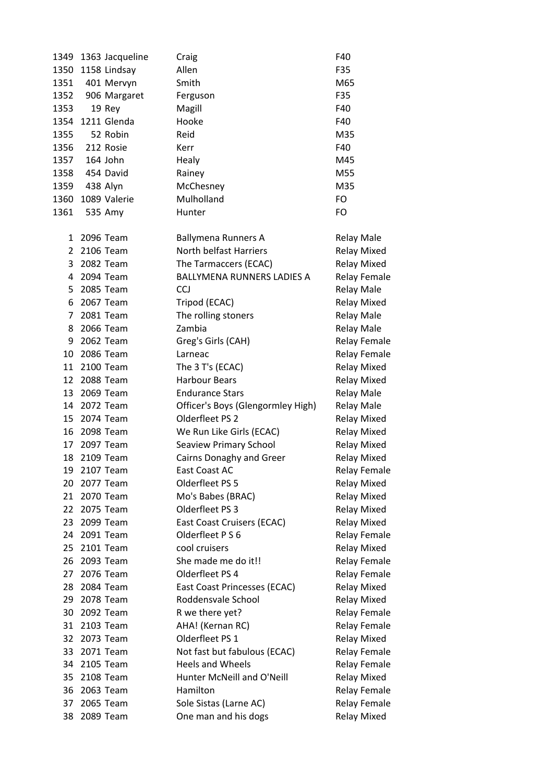|                 | 1349 1363 Jacqueline | Craig                             | F40                 |
|-----------------|----------------------|-----------------------------------|---------------------|
|                 | 1350 1158 Lindsay    | Allen                             | F35                 |
| 1351            | 401 Mervyn           | Smith                             | M65                 |
| 1352            | 906 Margaret         | Ferguson                          | F35                 |
| 1353            | 19 Rey               | Magill                            | F40                 |
| 1354            | 1211 Glenda          | Hooke                             | F40                 |
| 1355            | 52 Robin             | Reid                              | M35                 |
| 1356            | 212 Rosie            | Kerr                              | F40                 |
| 1357            | 164 John             | Healy                             | M45                 |
| 1358            | 454 David            | Rainey                            | M55                 |
| 1359            | 438 Alyn             | McChesney                         | M35                 |
| 1360            | 1089 Valerie         | Mulholland                        | FO                  |
| 1361            | 535 Amy              | Hunter                            | FO                  |
|                 |                      |                                   |                     |
|                 | 1 2096 Team          | Ballymena Runners A               | <b>Relay Male</b>   |
| $\overline{2}$  | 2106 Team            | <b>North belfast Harriers</b>     | <b>Relay Mixed</b>  |
| 3               | 2082 Team            | The Tarmaccers (ECAC)             | <b>Relay Mixed</b>  |
| 4               | 2094 Team            | <b>BALLYMENA RUNNERS LADIES A</b> | <b>Relay Female</b> |
| 5.              | 2085 Team            | <b>CCJ</b>                        | <b>Relay Male</b>   |
| 6               | 2067 Team            | Tripod (ECAC)                     | <b>Relay Mixed</b>  |
| $\overline{7}$  | 2081 Team            | The rolling stoners               | <b>Relay Male</b>   |
| 8               | 2066 Team            | Zambia                            | <b>Relay Male</b>   |
| 9               | 2062 Team            | Greg's Girls (CAH)                | <b>Relay Female</b> |
| 10              | 2086 Team            | Larneac                           | <b>Relay Female</b> |
| 11              | 2100 Team            | The 3 T's (ECAC)                  | <b>Relay Mixed</b>  |
|                 | 12 2088 Team         | <b>Harbour Bears</b>              | <b>Relay Mixed</b>  |
| 13              | 2069 Team            | <b>Endurance Stars</b>            | <b>Relay Male</b>   |
|                 | 14 2072 Team         | Officer's Boys (Glengormley High) | Relay Male          |
| 15              | 2074 Team            | Olderfleet PS 2                   | <b>Relay Mixed</b>  |
|                 | 16 2098 Team         | We Run Like Girls (ECAC)          | <b>Relay Mixed</b>  |
| 17 <sup>2</sup> | 2097 Team            | <b>Seaview Primary School</b>     | Relay Mixed         |
|                 | 18 2109 Team         | Cairns Donaghy and Greer          | <b>Relay Mixed</b>  |
| 19              | 2107 Team            | East Coast AC                     | <b>Relay Female</b> |
| 20              | 2077 Team            | Olderfleet PS 5                   | <b>Relay Mixed</b>  |
| 21              | 2070 Team            | Mo's Babes (BRAC)                 | <b>Relay Mixed</b>  |
|                 | 22 2075 Team         | Olderfleet PS 3                   | <b>Relay Mixed</b>  |
| 23              | 2099 Team            | East Coast Cruisers (ECAC)        | <b>Relay Mixed</b>  |
|                 | 24 2091 Team         | Olderfleet P S 6                  | <b>Relay Female</b> |
|                 | 25 2101 Team         | cool cruisers                     | <b>Relay Mixed</b>  |
| 26              | 2093 Team            | She made me do it!!               | <b>Relay Female</b> |
| 27              | 2076 Team            | Olderfleet PS 4                   | <b>Relay Female</b> |
|                 | 28 2084 Team         | East Coast Princesses (ECAC)      | <b>Relay Mixed</b>  |
| 29              | 2078 Team            | Roddensvale School                | <b>Relay Mixed</b>  |
|                 | 30 2092 Team         | R we there yet?                   | <b>Relay Female</b> |
|                 | 31 2103 Team         | AHA! (Kernan RC)                  | <b>Relay Female</b> |
| 32              | 2073 Team            | Olderfleet PS 1                   | <b>Relay Mixed</b>  |
| 33              | 2071 Team            | Not fast but fabulous (ECAC)      | <b>Relay Female</b> |
|                 | 34 2105 Team         | <b>Heels and Wheels</b>           | <b>Relay Female</b> |
| 35              | 2108 Team            | Hunter McNeill and O'Neill        | <b>Relay Mixed</b>  |
|                 | 36 2063 Team         | Hamilton                          | <b>Relay Female</b> |
| 37              | 2065 Team            | Sole Sistas (Larne AC)            | <b>Relay Female</b> |
| 38              | 2089 Team            | One man and his dogs              | <b>Relay Mixed</b>  |
|                 |                      |                                   |                     |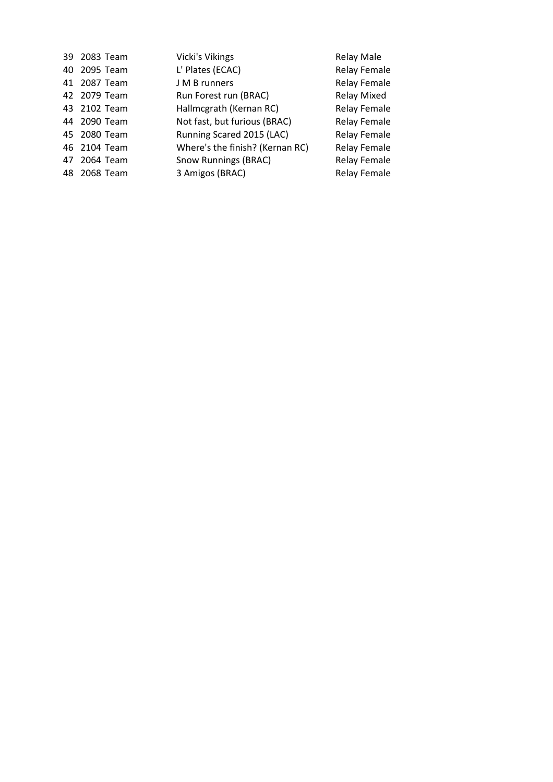| 39 2083 Team | <b>Vicki's Vikings</b>          | Relay Male          |
|--------------|---------------------------------|---------------------|
| 40 2095 Team | L' Plates (ECAC)                | <b>Relay Female</b> |
| 41 2087 Team | J M B runners                   | <b>Relay Female</b> |
| 42 2079 Team | Run Forest run (BRAC)           | Relay Mixed         |
| 43 2102 Team | Hallmcgrath (Kernan RC)         | <b>Relay Female</b> |
| 44 2090 Team | Not fast, but furious (BRAC)    | <b>Relay Female</b> |
| 45 2080 Team | Running Scared 2015 (LAC)       | <b>Relay Female</b> |
| 46 2104 Team | Where's the finish? (Kernan RC) | <b>Relay Female</b> |
| 47 2064 Team | <b>Snow Runnings (BRAC)</b>     | <b>Relay Female</b> |
| 48 2068 Team | 3 Amigos (BRAC)                 | <b>Relay Female</b> |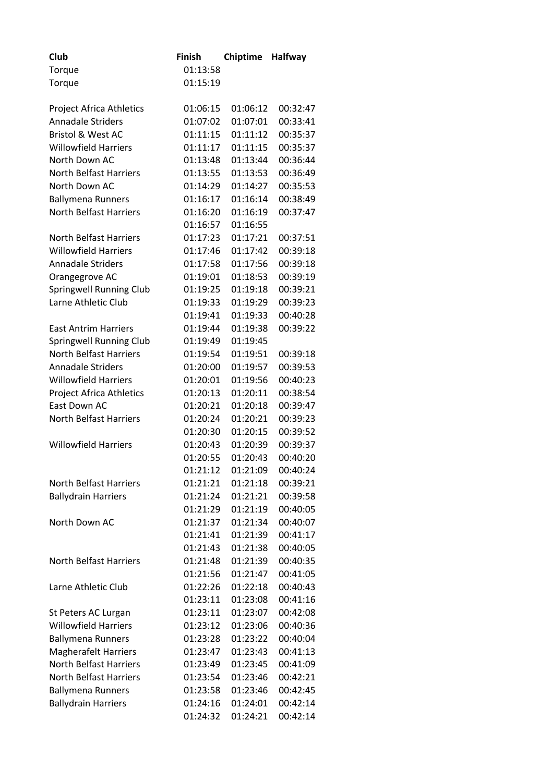| Club                            | <b>Finish</b> | <b>Chiptime</b> | <b>Halfway</b> |
|---------------------------------|---------------|-----------------|----------------|
| Torque                          | 01:13:58      |                 |                |
| Torque                          | 01:15:19      |                 |                |
|                                 |               |                 |                |
| <b>Project Africa Athletics</b> | 01:06:15      | 01:06:12        | 00:32:47       |
| <b>Annadale Striders</b>        | 01:07:02      | 01:07:01        | 00:33:41       |
| <b>Bristol &amp; West AC</b>    | 01:11:15      | 01:11:12        | 00:35:37       |
| <b>Willowfield Harriers</b>     | 01:11:17      | 01:11:15        | 00:35:37       |
| North Down AC                   | 01:13:48      | 01:13:44        | 00:36:44       |
| <b>North Belfast Harriers</b>   | 01:13:55      | 01:13:53        | 00:36:49       |
| North Down AC                   | 01:14:29      | 01:14:27        | 00:35:53       |
| <b>Ballymena Runners</b>        | 01:16:17      | 01:16:14        | 00:38:49       |
| <b>North Belfast Harriers</b>   | 01:16:20      | 01:16:19        | 00:37:47       |
|                                 | 01:16:57      | 01:16:55        |                |
| <b>North Belfast Harriers</b>   | 01:17:23      | 01:17:21        | 00:37:51       |
| <b>Willowfield Harriers</b>     | 01:17:46      | 01:17:42        | 00:39:18       |
| <b>Annadale Striders</b>        | 01:17:58      | 01:17:56        | 00:39:18       |
| Orangegrove AC                  | 01:19:01      | 01:18:53        | 00:39:19       |
| <b>Springwell Running Club</b>  | 01:19:25      | 01:19:18        | 00:39:21       |
| Larne Athletic Club             | 01:19:33      | 01:19:29        | 00:39:23       |
|                                 | 01:19:41      | 01:19:33        | 00:40:28       |
| <b>East Antrim Harriers</b>     | 01:19:44      | 01:19:38        | 00:39:22       |
| Springwell Running Club         | 01:19:49      | 01:19:45        |                |
| <b>North Belfast Harriers</b>   | 01:19:54      | 01:19:51        | 00:39:18       |
| <b>Annadale Striders</b>        | 01:20:00      | 01:19:57        | 00:39:53       |
| <b>Willowfield Harriers</b>     | 01:20:01      | 01:19:56        | 00:40:23       |
| <b>Project Africa Athletics</b> | 01:20:13      | 01:20:11        | 00:38:54       |
| East Down AC                    | 01:20:21      | 01:20:18        | 00:39:47       |
| <b>North Belfast Harriers</b>   | 01:20:24      | 01:20:21        | 00:39:23       |
|                                 | 01:20:30      | 01:20:15        | 00:39:52       |
| <b>Willowfield Harriers</b>     | 01:20:43      | 01:20:39        | 00:39:37       |
|                                 | 01:20:55      | 01:20:43        | 00:40:20       |
|                                 | 01:21:12      | 01:21:09        | 00:40:24       |
| North Belfast Harriers          | 01:21:21      | 01:21:18        | 00:39:21       |
| <b>Ballydrain Harriers</b>      | 01:21:24      | 01:21:21        | 00:39:58       |
|                                 | 01:21:29      | 01:21:19        | 00:40:05       |
| North Down AC                   | 01:21:37      | 01:21:34        | 00:40:07       |
|                                 | 01:21:41      | 01:21:39        | 00:41:17       |
|                                 | 01:21:43      | 01:21:38        | 00:40:05       |
| <b>North Belfast Harriers</b>   | 01:21:48      | 01:21:39        | 00:40:35       |
|                                 | 01:21:56      | 01:21:47        | 00:41:05       |
| Larne Athletic Club             | 01:22:26      | 01:22:18        | 00:40:43       |
|                                 | 01:23:11      | 01:23:08        | 00:41:16       |
| St Peters AC Lurgan             | 01:23:11      | 01:23:07        | 00:42:08       |
| <b>Willowfield Harriers</b>     | 01:23:12      | 01:23:06        | 00:40:36       |
| <b>Ballymena Runners</b>        | 01:23:28      | 01:23:22        | 00:40:04       |
| <b>Magherafelt Harriers</b>     | 01:23:47      | 01:23:43        | 00:41:13       |
| <b>North Belfast Harriers</b>   | 01:23:49      | 01:23:45        | 00:41:09       |
| <b>North Belfast Harriers</b>   | 01:23:54      | 01:23:46        | 00:42:21       |
| <b>Ballymena Runners</b>        | 01:23:58      | 01:23:46        | 00:42:45       |
| <b>Ballydrain Harriers</b>      | 01:24:16      | 01:24:01        | 00:42:14       |
|                                 | 01:24:32      | 01:24:21        | 00:42:14       |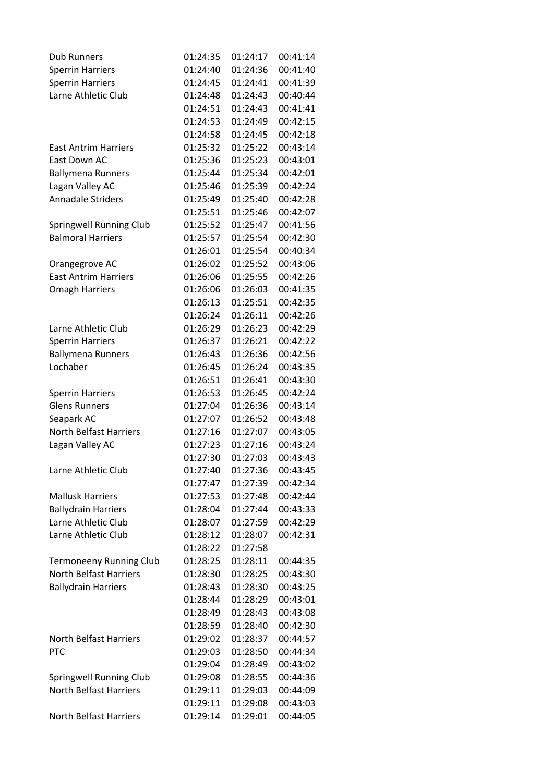| <b>Dub Runners</b>             | 01:24:35 | 01:24:17 | 00:41:14 |
|--------------------------------|----------|----------|----------|
| <b>Sperrin Harriers</b>        | 01:24:40 | 01:24:36 | 00:41:40 |
| <b>Sperrin Harriers</b>        | 01:24:45 | 01:24:41 | 00:41:39 |
| Larne Athletic Club            | 01:24:48 | 01:24:43 | 00:40:44 |
|                                | 01:24:51 | 01:24:43 | 00:41:41 |
|                                | 01:24:53 | 01:24:49 | 00:42:15 |
|                                | 01:24:58 | 01:24:45 | 00:42:18 |
| <b>East Antrim Harriers</b>    | 01:25:32 | 01:25:22 | 00:43:14 |
| East Down AC                   | 01:25:36 | 01:25:23 | 00:43:01 |
| <b>Ballymena Runners</b>       | 01:25:44 | 01:25:34 | 00:42:01 |
| Lagan Valley AC                | 01:25:46 | 01:25:39 | 00:42:24 |
| <b>Annadale Striders</b>       | 01:25:49 | 01:25:40 | 00:42:28 |
|                                | 01:25:51 | 01:25:46 | 00:42:07 |
| Springwell Running Club        | 01:25:52 | 01:25:47 | 00:41:56 |
| <b>Balmoral Harriers</b>       | 01:25:57 | 01:25:54 | 00:42:30 |
|                                | 01:26:01 | 01:25:54 | 00:40:34 |
| Orangegrove AC                 | 01:26:02 | 01:25:52 | 00:43:06 |
| <b>East Antrim Harriers</b>    | 01:26:06 | 01:25:55 | 00:42:26 |
| <b>Omagh Harriers</b>          | 01:26:06 | 01:26:03 | 00:41:35 |
|                                | 01:26:13 | 01:25:51 | 00:42:35 |
|                                | 01:26:24 | 01:26:11 | 00:42:26 |
| Larne Athletic Club            | 01:26:29 | 01:26:23 | 00:42:29 |
| <b>Sperrin Harriers</b>        | 01:26:37 | 01:26:21 | 00:42:22 |
| <b>Ballymena Runners</b>       | 01:26:43 | 01:26:36 | 00:42:56 |
| Lochaber                       | 01:26:45 | 01:26:24 | 00:43:35 |
|                                | 01:26:51 | 01:26:41 | 00:43:30 |
| <b>Sperrin Harriers</b>        | 01:26:53 | 01:26:45 | 00:42:24 |
| <b>Glens Runners</b>           | 01:27:04 | 01:26:36 | 00:43:14 |
| Seapark AC                     | 01:27:07 | 01:26:52 | 00:43:48 |
| North Belfast Harriers         | 01:27:16 | 01:27:07 | 00:43:05 |
| Lagan Valley AC                | 01:27:23 | 01:27:16 | 00:43:24 |
|                                | 01:27:30 | 01:27:03 | 00:43:43 |
| Larne Athletic Club            | 01:27:40 | 01:27:36 | 00:43:45 |
|                                | 01:27:47 | 01:27:39 | 00:42:34 |
| <b>Mallusk Harriers</b>        | 01:27:53 | 01:27:48 | 00:42:44 |
| <b>Ballydrain Harriers</b>     | 01:28:04 | 01:27:44 | 00:43:33 |
| Larne Athletic Club            | 01:28:07 | 01:27:59 | 00:42:29 |
| Larne Athletic Club            | 01:28:12 | 01:28:07 | 00:42:31 |
|                                | 01:28:22 | 01:27:58 |          |
| <b>Termoneeny Running Club</b> | 01:28:25 | 01:28:11 | 00:44:35 |
| <b>North Belfast Harriers</b>  | 01:28:30 | 01:28:25 | 00:43:30 |
| <b>Ballydrain Harriers</b>     | 01:28:43 | 01:28:30 | 00:43:25 |
|                                | 01:28:44 | 01:28:29 | 00:43:01 |
|                                | 01:28:49 | 01:28:43 | 00:43:08 |
|                                | 01:28:59 | 01:28:40 | 00:42:30 |
| <b>North Belfast Harriers</b>  | 01:29:02 | 01:28:37 | 00:44:57 |
| <b>PTC</b>                     | 01:29:03 | 01:28:50 | 00:44:34 |
|                                | 01:29:04 | 01:28:49 | 00:43:02 |
| Springwell Running Club        | 01:29:08 | 01:28:55 | 00:44:36 |
| <b>North Belfast Harriers</b>  | 01:29:11 | 01:29:03 | 00:44:09 |
|                                | 01:29:11 | 01:29:08 | 00:43:03 |
| <b>North Belfast Harriers</b>  | 01:29:14 | 01:29:01 | 00:44:05 |
|                                |          |          |          |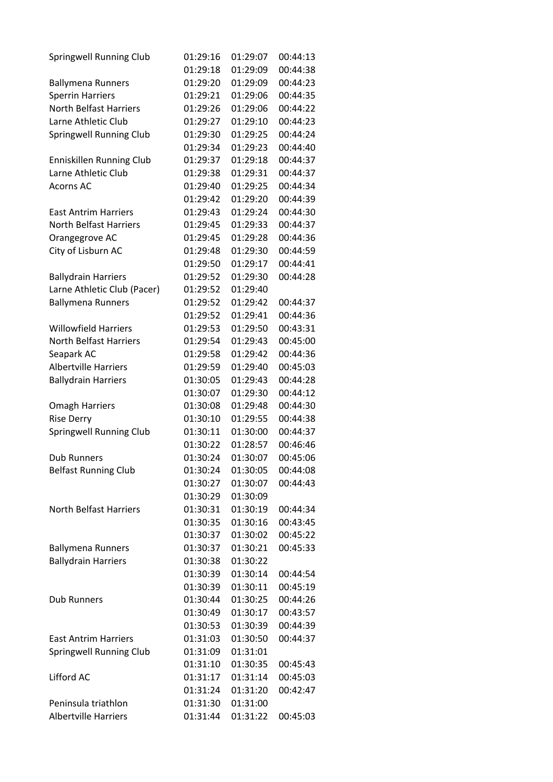| Springwell Running Club        | 01:29:16 | 01:29:07 | 00:44:13 |
|--------------------------------|----------|----------|----------|
|                                | 01:29:18 | 01:29:09 | 00:44:38 |
| <b>Ballymena Runners</b>       | 01:29:20 | 01:29:09 | 00:44:23 |
| <b>Sperrin Harriers</b>        | 01:29:21 | 01:29:06 | 00:44:35 |
| <b>North Belfast Harriers</b>  | 01:29:26 | 01:29:06 | 00:44:22 |
| Larne Athletic Club            | 01:29:27 | 01:29:10 | 00:44:23 |
| Springwell Running Club        | 01:29:30 | 01:29:25 | 00:44:24 |
|                                | 01:29:34 | 01:29:23 | 00:44:40 |
| Enniskillen Running Club       | 01:29:37 | 01:29:18 | 00:44:37 |
| Larne Athletic Club            | 01:29:38 | 01:29:31 | 00:44:37 |
| <b>Acorns AC</b>               | 01:29:40 | 01:29:25 | 00:44:34 |
|                                | 01:29:42 | 01:29:20 | 00:44:39 |
| <b>East Antrim Harriers</b>    | 01:29:43 | 01:29:24 | 00:44:30 |
| <b>North Belfast Harriers</b>  | 01:29:45 | 01:29:33 | 00:44:37 |
| Orangegrove AC                 | 01:29:45 | 01:29:28 | 00:44:36 |
| City of Lisburn AC             | 01:29:48 | 01:29:30 | 00:44:59 |
|                                | 01:29:50 | 01:29:17 | 00:44:41 |
| <b>Ballydrain Harriers</b>     | 01:29:52 | 01:29:30 | 00:44:28 |
| Larne Athletic Club (Pacer)    | 01:29:52 | 01:29:40 |          |
| <b>Ballymena Runners</b>       | 01:29:52 | 01:29:42 | 00:44:37 |
|                                | 01:29:52 | 01:29:41 | 00:44:36 |
| <b>Willowfield Harriers</b>    | 01:29:53 | 01:29:50 | 00:43:31 |
| <b>North Belfast Harriers</b>  | 01:29:54 | 01:29:43 | 00:45:00 |
| Seapark AC                     | 01:29:58 | 01:29:42 | 00:44:36 |
| <b>Albertville Harriers</b>    | 01:29:59 | 01:29:40 | 00:45:03 |
| <b>Ballydrain Harriers</b>     | 01:30:05 | 01:29:43 | 00:44:28 |
|                                | 01:30:07 | 01:29:30 | 00:44:12 |
| <b>Omagh Harriers</b>          | 01:30:08 | 01:29:48 | 00:44:30 |
| <b>Rise Derry</b>              | 01:30:10 | 01:29:55 | 00:44:38 |
| <b>Springwell Running Club</b> | 01:30:11 | 01:30:00 | 00:44:37 |
|                                | 01:30:22 | 01:28:57 | 00:46:46 |
| <b>Dub Runners</b>             | 01:30:24 | 01:30:07 | 00:45:06 |
| <b>Belfast Running Club</b>    | 01:30:24 | 01:30:05 | 00:44:08 |
|                                | 01:30:27 | 01:30:07 | 00:44:43 |
|                                | 01:30:29 | 01:30:09 |          |
| <b>North Belfast Harriers</b>  | 01:30:31 | 01:30:19 | 00:44:34 |
|                                | 01:30:35 | 01:30:16 | 00:43:45 |
|                                | 01:30:37 | 01:30:02 | 00:45:22 |
| <b>Ballymena Runners</b>       | 01:30:37 | 01:30:21 | 00:45:33 |
| <b>Ballydrain Harriers</b>     | 01:30:38 | 01:30:22 |          |
|                                | 01:30:39 | 01:30:14 | 00:44:54 |
|                                | 01:30:39 | 01:30:11 | 00:45:19 |
| <b>Dub Runners</b>             | 01:30:44 | 01:30:25 | 00:44:26 |
|                                | 01:30:49 | 01:30:17 | 00:43:57 |
|                                | 01:30:53 | 01:30:39 | 00:44:39 |
| <b>East Antrim Harriers</b>    | 01:31:03 | 01:30:50 | 00:44:37 |
| Springwell Running Club        | 01:31:09 | 01:31:01 |          |
|                                | 01:31:10 | 01:30:35 | 00:45:43 |
| Lifford AC                     | 01:31:17 | 01:31:14 | 00:45:03 |
|                                | 01:31:24 | 01:31:20 | 00:42:47 |
| Peninsula triathlon            | 01:31:30 | 01:31:00 |          |
| <b>Albertville Harriers</b>    | 01:31:44 | 01:31:22 | 00:45:03 |
|                                |          |          |          |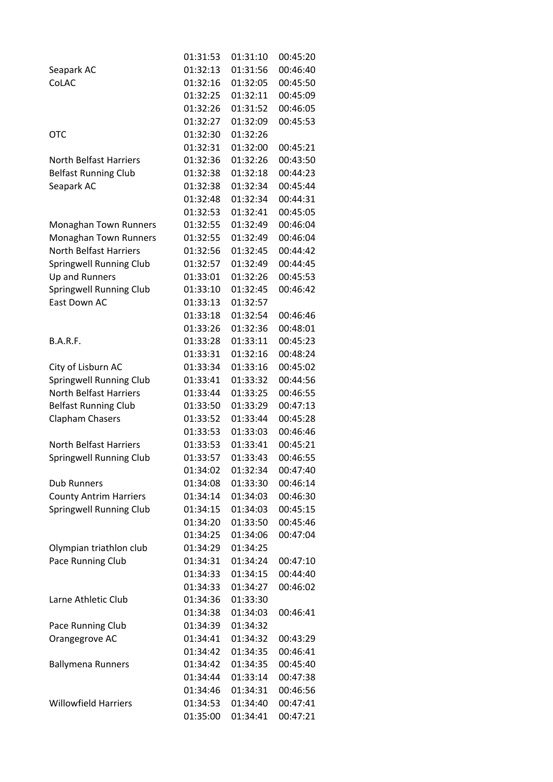|                                | 01:31:53 | 01:31:10 | 00:45:20 |
|--------------------------------|----------|----------|----------|
| Seapark AC                     | 01:32:13 | 01:31:56 | 00:46:40 |
| CoLAC                          | 01:32:16 | 01:32:05 | 00:45:50 |
|                                | 01:32:25 | 01:32:11 | 00:45:09 |
|                                | 01:32:26 | 01:31:52 | 00:46:05 |
|                                | 01:32:27 | 01:32:09 | 00:45:53 |
| <b>OTC</b>                     | 01:32:30 | 01:32:26 |          |
|                                | 01:32:31 | 01:32:00 | 00:45:21 |
| <b>North Belfast Harriers</b>  | 01:32:36 | 01:32:26 | 00:43:50 |
| <b>Belfast Running Club</b>    | 01:32:38 | 01:32:18 | 00:44:23 |
| Seapark AC                     | 01:32:38 | 01:32:34 | 00:45:44 |
|                                | 01:32:48 | 01:32:34 | 00:44:31 |
|                                | 01:32:53 | 01:32:41 | 00:45:05 |
| Monaghan Town Runners          | 01:32:55 | 01:32:49 | 00:46:04 |
| Monaghan Town Runners          | 01:32:55 | 01:32:49 | 00:46:04 |
| <b>North Belfast Harriers</b>  | 01:32:56 | 01:32:45 | 00:44:42 |
| Springwell Running Club        | 01:32:57 | 01:32:49 | 00:44:45 |
| Up and Runners                 | 01:33:01 | 01:32:26 | 00:45:53 |
| <b>Springwell Running Club</b> | 01:33:10 | 01:32:45 | 00:46:42 |
| East Down AC                   | 01:33:13 | 01:32:57 |          |
|                                | 01:33:18 | 01:32:54 | 00:46:46 |
|                                | 01:33:26 | 01:32:36 | 00:48:01 |
| B.A.R.F.                       | 01:33:28 | 01:33:11 | 00:45:23 |
|                                | 01:33:31 | 01:32:16 | 00:48:24 |
| City of Lisburn AC             | 01:33:34 | 01:33:16 | 00:45:02 |
| <b>Springwell Running Club</b> | 01:33:41 | 01:33:32 | 00:44:56 |
| <b>North Belfast Harriers</b>  | 01:33:44 | 01:33:25 | 00:46:55 |
| <b>Belfast Running Club</b>    | 01:33:50 | 01:33:29 | 00:47:13 |
| Clapham Chasers                | 01:33:52 | 01:33:44 | 00:45:28 |
|                                | 01:33:53 | 01:33:03 | 00:46:46 |
| <b>North Belfast Harriers</b>  | 01:33:53 | 01:33:41 | 00:45:21 |
| <b>Springwell Running Club</b> | 01:33:57 | 01:33:43 | 00:46:55 |
|                                | 01:34:02 | 01:32:34 | 00:47:40 |
| <b>Dub Runners</b>             | 01:34:08 | 01:33:30 | 00:46:14 |
| <b>County Antrim Harriers</b>  | 01:34:14 | 01:34:03 | 00:46:30 |
| Springwell Running Club        | 01:34:15 | 01:34:03 | 00:45:15 |
|                                | 01:34:20 | 01:33:50 | 00:45:46 |
|                                | 01:34:25 | 01:34:06 | 00:47:04 |
| Olympian triathlon club        | 01:34:29 | 01:34:25 |          |
| Pace Running Club              | 01:34:31 | 01:34:24 | 00:47:10 |
|                                | 01:34:33 | 01:34:15 | 00:44:40 |
|                                |          |          |          |
| Larne Athletic Club            | 01:34:33 | 01:34:27 | 00:46:02 |
|                                | 01:34:36 | 01:33:30 |          |
|                                | 01:34:38 | 01:34:03 | 00:46:41 |
| Pace Running Club              | 01:34:39 | 01:34:32 |          |
| Orangegrove AC                 | 01:34:41 | 01:34:32 | 00:43:29 |
|                                | 01:34:42 | 01:34:35 | 00:46:41 |
| <b>Ballymena Runners</b>       | 01:34:42 | 01:34:35 | 00:45:40 |
|                                | 01:34:44 | 01:33:14 | 00:47:38 |
|                                | 01:34:46 | 01:34:31 | 00:46:56 |
| <b>Willowfield Harriers</b>    | 01:34:53 | 01:34:40 | 00:47:41 |
|                                | 01:35:00 | 01:34:41 | 00:47:21 |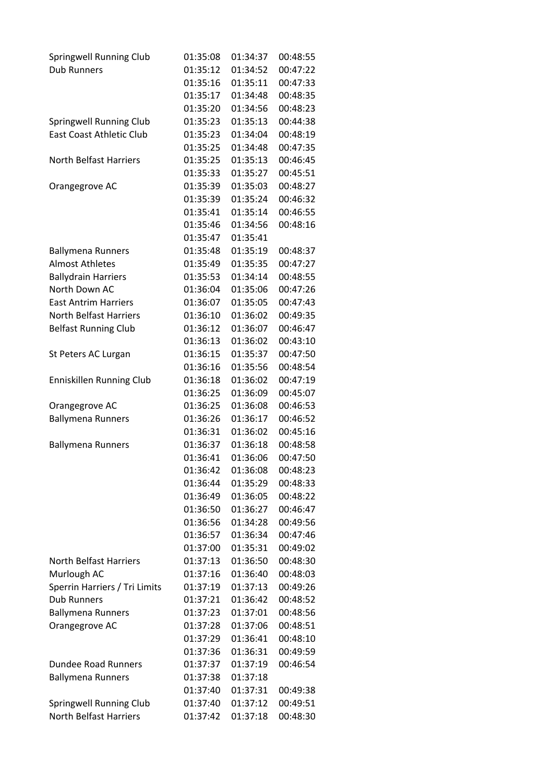| <b>Springwell Running Club</b>  | 01:35:08 | 01:34:37             | 00:48:55 |
|---------------------------------|----------|----------------------|----------|
| <b>Dub Runners</b>              | 01:35:12 | 01:34:52<br>01:35:11 | 00:47:22 |
|                                 | 01:35:16 |                      | 00:47:33 |
|                                 | 01:35:17 | 01:34:48             | 00:48:35 |
|                                 | 01:35:20 | 01:34:56             | 00:48:23 |
| Springwell Running Club         | 01:35:23 | 01:35:13             | 00:44:38 |
| <b>East Coast Athletic Club</b> | 01:35:23 | 01:34:04             | 00:48:19 |
|                                 | 01:35:25 | 01:34:48             | 00:47:35 |
| <b>North Belfast Harriers</b>   | 01:35:25 | 01:35:13             | 00:46:45 |
|                                 | 01:35:33 | 01:35:27             | 00:45:51 |
| Orangegrove AC                  | 01:35:39 | 01:35:03             | 00:48:27 |
|                                 | 01:35:39 | 01:35:24             | 00:46:32 |
|                                 | 01:35:41 | 01:35:14             | 00:46:55 |
|                                 | 01:35:46 | 01:34:56             | 00:48:16 |
|                                 | 01:35:47 | 01:35:41             |          |
| <b>Ballymena Runners</b>        | 01:35:48 | 01:35:19             | 00:48:37 |
| <b>Almost Athletes</b>          | 01:35:49 | 01:35:35             | 00:47:27 |
| <b>Ballydrain Harriers</b>      | 01:35:53 | 01:34:14             | 00:48:55 |
| North Down AC                   | 01:36:04 | 01:35:06             | 00:47:26 |
| <b>East Antrim Harriers</b>     | 01:36:07 | 01:35:05             | 00:47:43 |
| <b>North Belfast Harriers</b>   | 01:36:10 | 01:36:02             | 00:49:35 |
| <b>Belfast Running Club</b>     | 01:36:12 | 01:36:07             | 00:46:47 |
|                                 | 01:36:13 | 01:36:02             | 00:43:10 |
| St Peters AC Lurgan             | 01:36:15 | 01:35:37             | 00:47:50 |
|                                 | 01:36:16 | 01:35:56             | 00:48:54 |
| <b>Enniskillen Running Club</b> | 01:36:18 | 01:36:02             | 00:47:19 |
|                                 | 01:36:25 | 01:36:09             | 00:45:07 |
| Orangegrove AC                  | 01:36:25 | 01:36:08             | 00:46:53 |
| <b>Ballymena Runners</b>        | 01:36:26 | 01:36:17             | 00:46:52 |
|                                 | 01:36:31 | 01:36:02             | 00:45:16 |
| <b>Ballymena Runners</b>        | 01:36:37 | 01:36:18             | 00:48:58 |
|                                 | 01:36:41 | 01:36:06             | 00:47:50 |
|                                 | 01:36:42 | 01:36:08             | 00:48:23 |
|                                 | 01:36:44 | 01:35:29             | 00:48:33 |
|                                 | 01:36:49 | 01:36:05             | 00:48:22 |
|                                 | 01:36:50 | 01:36:27             | 00:46:47 |
|                                 | 01:36:56 | 01:34:28             | 00:49:56 |
|                                 | 01:36:57 | 01:36:34             | 00:47:46 |
|                                 | 01:37:00 | 01:35:31             | 00:49:02 |
| <b>North Belfast Harriers</b>   | 01:37:13 | 01:36:50             | 00:48:30 |
| Murlough AC                     | 01:37:16 | 01:36:40             | 00:48:03 |
| Sperrin Harriers / Tri Limits   | 01:37:19 | 01:37:13             | 00:49:26 |
| <b>Dub Runners</b>              | 01:37:21 | 01:36:42             | 00:48:52 |
| <b>Ballymena Runners</b>        | 01:37:23 | 01:37:01             | 00:48:56 |
| Orangegrove AC                  | 01:37:28 | 01:37:06             | 00:48:51 |
|                                 | 01:37:29 | 01:36:41             | 00:48:10 |
|                                 | 01:37:36 | 01:36:31             | 00:49:59 |
| <b>Dundee Road Runners</b>      | 01:37:37 | 01:37:19             | 00:46:54 |
| <b>Ballymena Runners</b>        | 01:37:38 | 01:37:18             |          |
|                                 | 01:37:40 | 01:37:31             | 00:49:38 |
| <b>Springwell Running Club</b>  | 01:37:40 | 01:37:12             | 00:49:51 |
| <b>North Belfast Harriers</b>   | 01:37:42 | 01:37:18             | 00:48:30 |
|                                 |          |                      |          |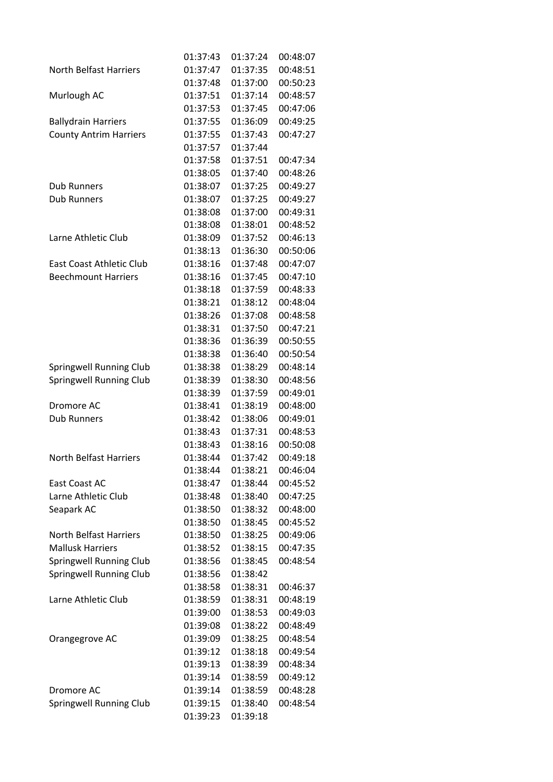|                               | 01:37:43 | 01:37:24 | 00:48:07 |
|-------------------------------|----------|----------|----------|
| <b>North Belfast Harriers</b> | 01:37:47 | 01:37:35 | 00:48:51 |
|                               | 01:37:48 | 01:37:00 | 00:50:23 |
| Murlough AC                   | 01:37:51 | 01:37:14 | 00:48:57 |
|                               | 01:37:53 | 01:37:45 | 00:47:06 |
| <b>Ballydrain Harriers</b>    | 01:37:55 | 01:36:09 | 00:49:25 |
| <b>County Antrim Harriers</b> | 01:37:55 | 01:37:43 | 00:47:27 |
|                               | 01:37:57 | 01:37:44 |          |
|                               | 01:37:58 | 01:37:51 | 00:47:34 |
|                               | 01:38:05 | 01:37:40 | 00:48:26 |
| <b>Dub Runners</b>            | 01:38:07 | 01:37:25 | 00:49:27 |
| <b>Dub Runners</b>            | 01:38:07 | 01:37:25 | 00:49:27 |
|                               | 01:38:08 | 01:37:00 | 00:49:31 |
|                               | 01:38:08 | 01:38:01 | 00:48:52 |
| Larne Athletic Club           | 01:38:09 | 01:37:52 | 00:46:13 |
|                               | 01:38:13 | 01:36:30 | 00:50:06 |
| East Coast Athletic Club      | 01:38:16 | 01:37:48 | 00:47:07 |
| <b>Beechmount Harriers</b>    | 01:38:16 | 01:37:45 | 00:47:10 |
|                               | 01:38:18 | 01:37:59 | 00:48:33 |
|                               | 01:38:21 | 01:38:12 | 00:48:04 |
|                               | 01:38:26 | 01:37:08 | 00:48:58 |
|                               | 01:38:31 | 01:37:50 | 00:47:21 |
|                               | 01:38:36 | 01:36:39 | 00:50:55 |
|                               | 01:38:38 | 01:36:40 | 00:50:54 |
| Springwell Running Club       | 01:38:38 | 01:38:29 | 00:48:14 |
| Springwell Running Club       | 01:38:39 | 01:38:30 | 00:48:56 |
|                               | 01:38:39 | 01:37:59 | 00:49:01 |
| Dromore AC                    | 01:38:41 | 01:38:19 | 00:48:00 |
| <b>Dub Runners</b>            | 01:38:42 | 01:38:06 | 00:49:01 |
|                               | 01:38:43 | 01:37:31 | 00:48:53 |
|                               | 01:38:43 | 01:38:16 | 00:50:08 |
| <b>North Belfast Harriers</b> | 01:38:44 | 01:37:42 | 00:49:18 |
|                               | 01:38:44 | 01:38:21 | 00:46:04 |
| East Coast AC                 | 01:38:47 | 01:38:44 | 00:45:52 |
| Larne Athletic Club           | 01:38:48 | 01:38:40 | 00:47:25 |
| Seapark AC                    | 01:38:50 | 01:38:32 | 00:48:00 |
|                               | 01:38:50 | 01:38:45 | 00:45:52 |
| <b>North Belfast Harriers</b> | 01:38:50 | 01:38:25 | 00:49:06 |
| <b>Mallusk Harriers</b>       | 01:38:52 | 01:38:15 | 00:47:35 |
| Springwell Running Club       | 01:38:56 | 01:38:45 | 00:48:54 |
| Springwell Running Club       | 01:38:56 | 01:38:42 |          |
|                               | 01:38:58 | 01:38:31 | 00:46:37 |
| Larne Athletic Club           | 01:38:59 | 01:38:31 | 00:48:19 |
|                               | 01:39:00 | 01:38:53 | 00:49:03 |
|                               | 01:39:08 | 01:38:22 | 00:48:49 |
| Orangegrove AC                | 01:39:09 | 01:38:25 | 00:48:54 |
|                               | 01:39:12 | 01:38:18 | 00:49:54 |
|                               | 01:39:13 | 01:38:39 | 00:48:34 |
|                               | 01:39:14 | 01:38:59 | 00:49:12 |
| Dromore AC                    | 01:39:14 | 01:38:59 | 00:48:28 |
| Springwell Running Club       | 01:39:15 | 01:38:40 | 00:48:54 |
|                               | 01:39:23 | 01:39:18 |          |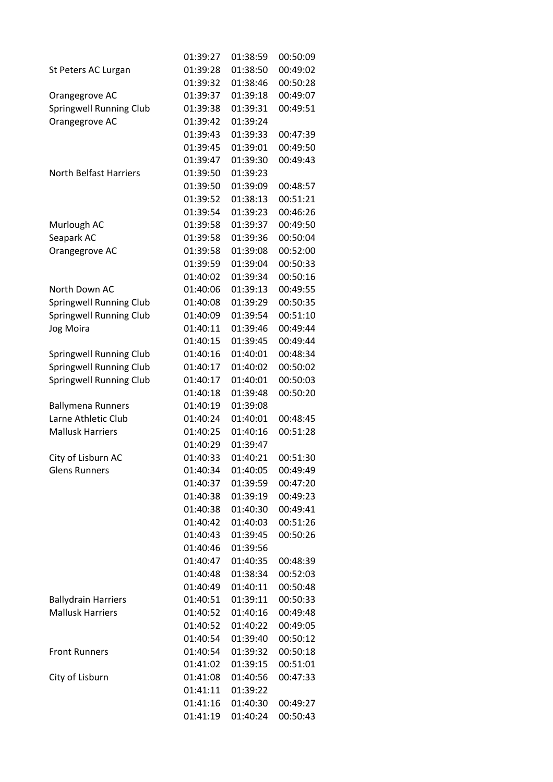|                                | 01:39:27 | 01:38:59 | 00:50:09 |
|--------------------------------|----------|----------|----------|
| St Peters AC Lurgan            | 01:39:28 | 01:38:50 | 00:49:02 |
|                                | 01:39:32 | 01:38:46 | 00:50:28 |
| Orangegrove AC                 | 01:39:37 | 01:39:18 | 00:49:07 |
| <b>Springwell Running Club</b> | 01:39:38 | 01:39:31 | 00:49:51 |
| Orangegrove AC                 | 01:39:42 | 01:39:24 |          |
|                                | 01:39:43 | 01:39:33 | 00:47:39 |
|                                | 01:39:45 | 01:39:01 | 00:49:50 |
|                                | 01:39:47 | 01:39:30 | 00:49:43 |
| <b>North Belfast Harriers</b>  | 01:39:50 | 01:39:23 |          |
|                                | 01:39:50 | 01:39:09 | 00:48:57 |
|                                | 01:39:52 | 01:38:13 | 00:51:21 |
|                                | 01:39:54 | 01:39:23 | 00:46:26 |
| Murlough AC                    | 01:39:58 | 01:39:37 | 00:49:50 |
| Seapark AC                     | 01:39:58 | 01:39:36 | 00:50:04 |
| Orangegrove AC                 | 01:39:58 | 01:39:08 | 00:52:00 |
|                                | 01:39:59 | 01:39:04 | 00:50:33 |
|                                | 01:40:02 | 01:39:34 | 00:50:16 |
| North Down AC                  | 01:40:06 | 01:39:13 | 00:49:55 |
| Springwell Running Club        | 01:40:08 | 01:39:29 | 00:50:35 |
| Springwell Running Club        | 01:40:09 | 01:39:54 | 00:51:10 |
| Jog Moira                      | 01:40:11 | 01:39:46 | 00:49:44 |
|                                | 01:40:15 | 01:39:45 | 00:49:44 |
| Springwell Running Club        | 01:40:16 | 01:40:01 | 00:48:34 |
| <b>Springwell Running Club</b> | 01:40:17 | 01:40:02 | 00:50:02 |
| <b>Springwell Running Club</b> | 01:40:17 | 01:40:01 | 00:50:03 |
|                                | 01:40:18 | 01:39:48 | 00:50:20 |
| <b>Ballymena Runners</b>       | 01:40:19 | 01:39:08 |          |
| Larne Athletic Club            | 01:40:24 | 01:40:01 | 00:48:45 |
| <b>Mallusk Harriers</b>        | 01:40:25 | 01:40:16 | 00:51:28 |
|                                | 01:40:29 | 01:39:47 |          |
| City of Lisburn AC             | 01:40:33 | 01:40:21 | 00:51:30 |
| <b>Glens Runners</b>           | 01:40:34 | 01:40:05 | 00:49:49 |
|                                | 01:40:37 | 01:39:59 | 00:47:20 |
|                                | 01:40:38 | 01:39:19 | 00:49:23 |
|                                | 01:40:38 | 01:40:30 | 00:49:41 |
|                                | 01:40:42 | 01:40:03 | 00:51:26 |
|                                | 01:40:43 | 01:39:45 | 00:50:26 |
|                                | 01:40:46 | 01:39:56 |          |
|                                | 01:40:47 | 01:40:35 | 00:48:39 |
|                                | 01:40:48 | 01:38:34 | 00:52:03 |
|                                | 01:40:49 | 01:40:11 | 00:50:48 |
| <b>Ballydrain Harriers</b>     | 01:40:51 | 01:39:11 | 00:50:33 |
| <b>Mallusk Harriers</b>        | 01:40:52 | 01:40:16 | 00:49:48 |
|                                | 01:40:52 | 01:40:22 | 00:49:05 |
|                                | 01:40:54 | 01:39:40 | 00:50:12 |
| <b>Front Runners</b>           | 01:40:54 | 01:39:32 | 00:50:18 |
|                                | 01:41:02 | 01:39:15 | 00:51:01 |
| City of Lisburn                | 01:41:08 | 01:40:56 | 00:47:33 |
|                                | 01:41:11 | 01:39:22 |          |
|                                | 01:41:16 | 01:40:30 | 00:49:27 |
|                                | 01:41:19 | 01:40:24 | 00:50:43 |
|                                |          |          |          |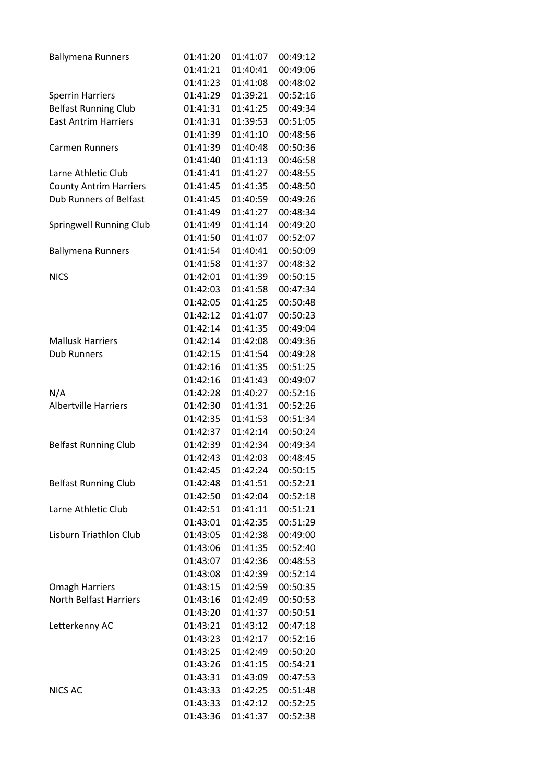| <b>Ballymena Runners</b>      | 01:41:20 | 01:41:07 | 00:49:12 |
|-------------------------------|----------|----------|----------|
|                               | 01:41:21 | 01:40:41 | 00:49:06 |
|                               | 01:41:23 | 01:41:08 | 00:48:02 |
| <b>Sperrin Harriers</b>       | 01:41:29 | 01:39:21 | 00:52:16 |
| <b>Belfast Running Club</b>   | 01:41:31 | 01:41:25 | 00:49:34 |
| <b>East Antrim Harriers</b>   | 01:41:31 | 01:39:53 | 00:51:05 |
|                               | 01:41:39 | 01:41:10 | 00:48:56 |
| <b>Carmen Runners</b>         | 01:41:39 | 01:40:48 | 00:50:36 |
|                               | 01:41:40 | 01:41:13 | 00:46:58 |
| Larne Athletic Club           | 01:41:41 | 01:41:27 | 00:48:55 |
| <b>County Antrim Harriers</b> | 01:41:45 | 01:41:35 | 00:48:50 |
| <b>Dub Runners of Belfast</b> | 01:41:45 | 01:40:59 | 00:49:26 |
|                               | 01:41:49 | 01:41:27 | 00:48:34 |
| Springwell Running Club       | 01:41:49 | 01:41:14 | 00:49:20 |
|                               | 01:41:50 | 01:41:07 | 00:52:07 |
| <b>Ballymena Runners</b>      | 01:41:54 | 01:40:41 | 00:50:09 |
|                               | 01:41:58 | 01:41:37 | 00:48:32 |
| <b>NICS</b>                   | 01:42:01 | 01:41:39 | 00:50:15 |
|                               | 01:42:03 | 01:41:58 | 00:47:34 |
|                               | 01:42:05 | 01:41:25 | 00:50:48 |
|                               | 01:42:12 | 01:41:07 | 00:50:23 |
|                               | 01:42:14 | 01:41:35 | 00:49:04 |
| <b>Mallusk Harriers</b>       | 01:42:14 | 01:42:08 | 00:49:36 |
| <b>Dub Runners</b>            | 01:42:15 | 01:41:54 | 00:49:28 |
|                               | 01:42:16 | 01:41:35 | 00:51:25 |
|                               | 01:42:16 | 01:41:43 | 00:49:07 |
|                               |          |          |          |
| N/A                           | 01:42:28 | 01:40:27 | 00:52:16 |
| <b>Albertville Harriers</b>   | 01:42:30 | 01:41:31 | 00:52:26 |
|                               | 01:42:35 | 01:41:53 | 00:51:34 |
|                               | 01:42:37 | 01:42:14 | 00:50:24 |
| <b>Belfast Running Club</b>   | 01:42:39 | 01:42:34 | 00:49:34 |
|                               | 01:42:43 | 01:42:03 | 00:48:45 |
|                               | 01:42:45 | 01:42:24 | 00:50:15 |
| <b>Belfast Running Club</b>   | 01:42:48 | 01:41:51 | 00:52:21 |
|                               | 01:42:50 | 01:42:04 | 00:52:18 |
| Larne Athletic Club           | 01:42:51 | 01:41:11 | 00:51:21 |
|                               | 01:43:01 | 01:42:35 | 00:51:29 |
| Lisburn Triathlon Club        | 01:43:05 | 01:42:38 | 00:49:00 |
|                               | 01:43:06 | 01:41:35 | 00:52:40 |
|                               | 01:43:07 | 01:42:36 | 00:48:53 |
|                               | 01:43:08 | 01:42:39 | 00:52:14 |
| <b>Omagh Harriers</b>         | 01:43:15 | 01:42:59 | 00:50:35 |
| <b>North Belfast Harriers</b> | 01:43:16 | 01:42:49 | 00:50:53 |
|                               | 01:43:20 | 01:41:37 | 00:50:51 |
| Letterkenny AC                | 01:43:21 | 01:43:12 | 00:47:18 |
|                               | 01:43:23 | 01:42:17 | 00:52:16 |
|                               | 01:43:25 | 01:42:49 | 00:50:20 |
|                               | 01:43:26 | 01:41:15 | 00:54:21 |
|                               | 01:43:31 | 01:43:09 | 00:47:53 |
| <b>NICS AC</b>                | 01:43:33 | 01:42:25 | 00:51:48 |
|                               | 01:43:33 | 01:42:12 | 00:52:25 |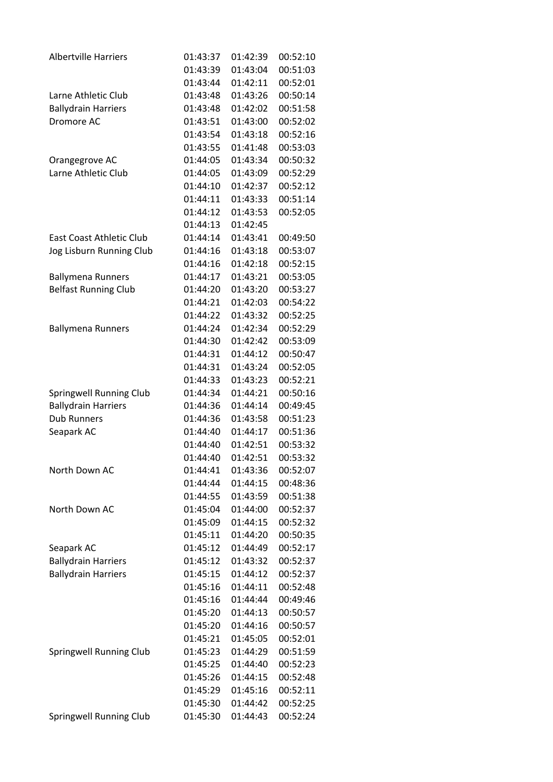| <b>Albertville Harriers</b><br>01:43:37<br>01:42:39<br>00:52:10<br>01:43:39<br>01:43:04<br>00:51:03<br>00:52:01<br>01:43:44<br>01:42:11<br>01:43:48<br>01:43:26<br>00:50:14<br>Larne Athletic Club<br><b>Ballydrain Harriers</b><br>01:43:48<br>01:42:02<br>00:51:58<br>Dromore AC<br>01:43:51<br>01:43:00<br>00:52:02<br>01:43:54<br>01:43:18<br>00:52:16<br>01:43:55<br>01:41:48<br>00:53:03<br>01:44:05<br>01:43:34<br>Orangegrove AC<br>00:50:32<br>Larne Athletic Club<br>01:44:05<br>01:43:09<br>00:52:29<br>01:44:10<br>01:42:37<br>00:52:12<br>01:44:11<br>01:43:33<br>00:51:14<br>00:52:05<br>01:44:12<br>01:43:53<br>01:44:13<br>01:42:45<br><b>East Coast Athletic Club</b><br>01:44:14<br>01:43:41<br>00:49:50<br>Jog Lisburn Running Club<br>01:44:16<br>01:43:18<br>00:53:07<br>01:44:16<br>01:42:18<br>00:52:15<br>01:44:17<br>01:43:21<br>00:53:05<br><b>Ballymena Runners</b><br><b>Belfast Running Club</b><br>00:53:27<br>01:44:20<br>01:43:20<br>01:44:21<br>01:42:03<br>00:54:22<br>01:44:22<br>01:43:32<br>00:52:25<br>01:44:24<br>01:42:34<br>00:52:29<br><b>Ballymena Runners</b><br>01:44:30<br>01:42:42<br>00:53:09<br>01:44:31<br>01:44:12<br>00:50:47<br>01:44:31<br>00:52:05<br>01:43:24<br>01:44:33<br>00:52:21<br>01:43:23<br>01:44:34<br>01:44:21<br>Springwell Running Club<br>00:50:16<br><b>Ballydrain Harriers</b><br>01:44:36<br>01:44:14<br>00:49:45<br><b>Dub Runners</b><br>01:44:36<br>01:43:58<br>00:51:23<br>01:44:40<br>01:44:17<br>00:51:36<br>Seapark AC<br>01:44:40<br>01:42:51<br>00:53:32<br>01:44:40<br>01:42:51<br>00:53:32<br>North Down AC<br>01:44:41<br>01:43:36<br>00:52:07<br>01:44:44<br>01:44:15<br>00:48:36<br>01:44:55<br>01:43:59<br>00:51:38<br>North Down AC<br>01:45:04<br>01:44:00<br>00:52:37<br>01:45:09<br>01:44:15<br>00:52:32<br>01:45:11<br>01:44:20<br>00:50:35<br>00:52:17<br>01:45:12<br>01:44:49<br>Seapark AC<br><b>Ballydrain Harriers</b><br>01:45:12<br>01:43:32<br>00:52:37<br><b>Ballydrain Harriers</b><br>01:45:15<br>01:44:12<br>00:52:37<br>01:45:16<br>01:44:11<br>00:52:48<br>01:45:16<br>01:44:44<br>00:49:46<br>01:45:20<br>01:44:13<br>00:50:57<br>01:44:16<br>00:50:57<br>01:45:20<br>00:52:01<br>01:45:21<br>01:45:05<br>01:44:29<br>00:51:59<br>Springwell Running Club<br>01:45:23<br>01:45:25<br>01:44:40<br>00:52:23<br>01:44:15<br>00:52:48<br>01:45:26<br>01:45:29<br>01:45:16<br>00:52:11<br>01:45:30<br>01:44:42<br>00:52:25<br><b>Springwell Running Club</b><br>01:45:30<br>01:44:43<br>00:52:24 |  |  |
|---------------------------------------------------------------------------------------------------------------------------------------------------------------------------------------------------------------------------------------------------------------------------------------------------------------------------------------------------------------------------------------------------------------------------------------------------------------------------------------------------------------------------------------------------------------------------------------------------------------------------------------------------------------------------------------------------------------------------------------------------------------------------------------------------------------------------------------------------------------------------------------------------------------------------------------------------------------------------------------------------------------------------------------------------------------------------------------------------------------------------------------------------------------------------------------------------------------------------------------------------------------------------------------------------------------------------------------------------------------------------------------------------------------------------------------------------------------------------------------------------------------------------------------------------------------------------------------------------------------------------------------------------------------------------------------------------------------------------------------------------------------------------------------------------------------------------------------------------------------------------------------------------------------------------------------------------------------------------------------------------------------------------------------------------------------------------------------------------------------------------------------------------------------------------------------------------------------------------------------------------------------------------------------------------------------------------------------------------------------------------------------------------------------------------------------------------------------------------------------------------------|--|--|
|                                                                                                                                                                                                                                                                                                                                                                                                                                                                                                                                                                                                                                                                                                                                                                                                                                                                                                                                                                                                                                                                                                                                                                                                                                                                                                                                                                                                                                                                                                                                                                                                                                                                                                                                                                                                                                                                                                                                                                                                                                                                                                                                                                                                                                                                                                                                                                                                                                                                                                         |  |  |
|                                                                                                                                                                                                                                                                                                                                                                                                                                                                                                                                                                                                                                                                                                                                                                                                                                                                                                                                                                                                                                                                                                                                                                                                                                                                                                                                                                                                                                                                                                                                                                                                                                                                                                                                                                                                                                                                                                                                                                                                                                                                                                                                                                                                                                                                                                                                                                                                                                                                                                         |  |  |
|                                                                                                                                                                                                                                                                                                                                                                                                                                                                                                                                                                                                                                                                                                                                                                                                                                                                                                                                                                                                                                                                                                                                                                                                                                                                                                                                                                                                                                                                                                                                                                                                                                                                                                                                                                                                                                                                                                                                                                                                                                                                                                                                                                                                                                                                                                                                                                                                                                                                                                         |  |  |
|                                                                                                                                                                                                                                                                                                                                                                                                                                                                                                                                                                                                                                                                                                                                                                                                                                                                                                                                                                                                                                                                                                                                                                                                                                                                                                                                                                                                                                                                                                                                                                                                                                                                                                                                                                                                                                                                                                                                                                                                                                                                                                                                                                                                                                                                                                                                                                                                                                                                                                         |  |  |
|                                                                                                                                                                                                                                                                                                                                                                                                                                                                                                                                                                                                                                                                                                                                                                                                                                                                                                                                                                                                                                                                                                                                                                                                                                                                                                                                                                                                                                                                                                                                                                                                                                                                                                                                                                                                                                                                                                                                                                                                                                                                                                                                                                                                                                                                                                                                                                                                                                                                                                         |  |  |
|                                                                                                                                                                                                                                                                                                                                                                                                                                                                                                                                                                                                                                                                                                                                                                                                                                                                                                                                                                                                                                                                                                                                                                                                                                                                                                                                                                                                                                                                                                                                                                                                                                                                                                                                                                                                                                                                                                                                                                                                                                                                                                                                                                                                                                                                                                                                                                                                                                                                                                         |  |  |
|                                                                                                                                                                                                                                                                                                                                                                                                                                                                                                                                                                                                                                                                                                                                                                                                                                                                                                                                                                                                                                                                                                                                                                                                                                                                                                                                                                                                                                                                                                                                                                                                                                                                                                                                                                                                                                                                                                                                                                                                                                                                                                                                                                                                                                                                                                                                                                                                                                                                                                         |  |  |
|                                                                                                                                                                                                                                                                                                                                                                                                                                                                                                                                                                                                                                                                                                                                                                                                                                                                                                                                                                                                                                                                                                                                                                                                                                                                                                                                                                                                                                                                                                                                                                                                                                                                                                                                                                                                                                                                                                                                                                                                                                                                                                                                                                                                                                                                                                                                                                                                                                                                                                         |  |  |
|                                                                                                                                                                                                                                                                                                                                                                                                                                                                                                                                                                                                                                                                                                                                                                                                                                                                                                                                                                                                                                                                                                                                                                                                                                                                                                                                                                                                                                                                                                                                                                                                                                                                                                                                                                                                                                                                                                                                                                                                                                                                                                                                                                                                                                                                                                                                                                                                                                                                                                         |  |  |
|                                                                                                                                                                                                                                                                                                                                                                                                                                                                                                                                                                                                                                                                                                                                                                                                                                                                                                                                                                                                                                                                                                                                                                                                                                                                                                                                                                                                                                                                                                                                                                                                                                                                                                                                                                                                                                                                                                                                                                                                                                                                                                                                                                                                                                                                                                                                                                                                                                                                                                         |  |  |
|                                                                                                                                                                                                                                                                                                                                                                                                                                                                                                                                                                                                                                                                                                                                                                                                                                                                                                                                                                                                                                                                                                                                                                                                                                                                                                                                                                                                                                                                                                                                                                                                                                                                                                                                                                                                                                                                                                                                                                                                                                                                                                                                                                                                                                                                                                                                                                                                                                                                                                         |  |  |
|                                                                                                                                                                                                                                                                                                                                                                                                                                                                                                                                                                                                                                                                                                                                                                                                                                                                                                                                                                                                                                                                                                                                                                                                                                                                                                                                                                                                                                                                                                                                                                                                                                                                                                                                                                                                                                                                                                                                                                                                                                                                                                                                                                                                                                                                                                                                                                                                                                                                                                         |  |  |
|                                                                                                                                                                                                                                                                                                                                                                                                                                                                                                                                                                                                                                                                                                                                                                                                                                                                                                                                                                                                                                                                                                                                                                                                                                                                                                                                                                                                                                                                                                                                                                                                                                                                                                                                                                                                                                                                                                                                                                                                                                                                                                                                                                                                                                                                                                                                                                                                                                                                                                         |  |  |
|                                                                                                                                                                                                                                                                                                                                                                                                                                                                                                                                                                                                                                                                                                                                                                                                                                                                                                                                                                                                                                                                                                                                                                                                                                                                                                                                                                                                                                                                                                                                                                                                                                                                                                                                                                                                                                                                                                                                                                                                                                                                                                                                                                                                                                                                                                                                                                                                                                                                                                         |  |  |
|                                                                                                                                                                                                                                                                                                                                                                                                                                                                                                                                                                                                                                                                                                                                                                                                                                                                                                                                                                                                                                                                                                                                                                                                                                                                                                                                                                                                                                                                                                                                                                                                                                                                                                                                                                                                                                                                                                                                                                                                                                                                                                                                                                                                                                                                                                                                                                                                                                                                                                         |  |  |
|                                                                                                                                                                                                                                                                                                                                                                                                                                                                                                                                                                                                                                                                                                                                                                                                                                                                                                                                                                                                                                                                                                                                                                                                                                                                                                                                                                                                                                                                                                                                                                                                                                                                                                                                                                                                                                                                                                                                                                                                                                                                                                                                                                                                                                                                                                                                                                                                                                                                                                         |  |  |
|                                                                                                                                                                                                                                                                                                                                                                                                                                                                                                                                                                                                                                                                                                                                                                                                                                                                                                                                                                                                                                                                                                                                                                                                                                                                                                                                                                                                                                                                                                                                                                                                                                                                                                                                                                                                                                                                                                                                                                                                                                                                                                                                                                                                                                                                                                                                                                                                                                                                                                         |  |  |
|                                                                                                                                                                                                                                                                                                                                                                                                                                                                                                                                                                                                                                                                                                                                                                                                                                                                                                                                                                                                                                                                                                                                                                                                                                                                                                                                                                                                                                                                                                                                                                                                                                                                                                                                                                                                                                                                                                                                                                                                                                                                                                                                                                                                                                                                                                                                                                                                                                                                                                         |  |  |
|                                                                                                                                                                                                                                                                                                                                                                                                                                                                                                                                                                                                                                                                                                                                                                                                                                                                                                                                                                                                                                                                                                                                                                                                                                                                                                                                                                                                                                                                                                                                                                                                                                                                                                                                                                                                                                                                                                                                                                                                                                                                                                                                                                                                                                                                                                                                                                                                                                                                                                         |  |  |
|                                                                                                                                                                                                                                                                                                                                                                                                                                                                                                                                                                                                                                                                                                                                                                                                                                                                                                                                                                                                                                                                                                                                                                                                                                                                                                                                                                                                                                                                                                                                                                                                                                                                                                                                                                                                                                                                                                                                                                                                                                                                                                                                                                                                                                                                                                                                                                                                                                                                                                         |  |  |
|                                                                                                                                                                                                                                                                                                                                                                                                                                                                                                                                                                                                                                                                                                                                                                                                                                                                                                                                                                                                                                                                                                                                                                                                                                                                                                                                                                                                                                                                                                                                                                                                                                                                                                                                                                                                                                                                                                                                                                                                                                                                                                                                                                                                                                                                                                                                                                                                                                                                                                         |  |  |
|                                                                                                                                                                                                                                                                                                                                                                                                                                                                                                                                                                                                                                                                                                                                                                                                                                                                                                                                                                                                                                                                                                                                                                                                                                                                                                                                                                                                                                                                                                                                                                                                                                                                                                                                                                                                                                                                                                                                                                                                                                                                                                                                                                                                                                                                                                                                                                                                                                                                                                         |  |  |
|                                                                                                                                                                                                                                                                                                                                                                                                                                                                                                                                                                                                                                                                                                                                                                                                                                                                                                                                                                                                                                                                                                                                                                                                                                                                                                                                                                                                                                                                                                                                                                                                                                                                                                                                                                                                                                                                                                                                                                                                                                                                                                                                                                                                                                                                                                                                                                                                                                                                                                         |  |  |
|                                                                                                                                                                                                                                                                                                                                                                                                                                                                                                                                                                                                                                                                                                                                                                                                                                                                                                                                                                                                                                                                                                                                                                                                                                                                                                                                                                                                                                                                                                                                                                                                                                                                                                                                                                                                                                                                                                                                                                                                                                                                                                                                                                                                                                                                                                                                                                                                                                                                                                         |  |  |
|                                                                                                                                                                                                                                                                                                                                                                                                                                                                                                                                                                                                                                                                                                                                                                                                                                                                                                                                                                                                                                                                                                                                                                                                                                                                                                                                                                                                                                                                                                                                                                                                                                                                                                                                                                                                                                                                                                                                                                                                                                                                                                                                                                                                                                                                                                                                                                                                                                                                                                         |  |  |
|                                                                                                                                                                                                                                                                                                                                                                                                                                                                                                                                                                                                                                                                                                                                                                                                                                                                                                                                                                                                                                                                                                                                                                                                                                                                                                                                                                                                                                                                                                                                                                                                                                                                                                                                                                                                                                                                                                                                                                                                                                                                                                                                                                                                                                                                                                                                                                                                                                                                                                         |  |  |
|                                                                                                                                                                                                                                                                                                                                                                                                                                                                                                                                                                                                                                                                                                                                                                                                                                                                                                                                                                                                                                                                                                                                                                                                                                                                                                                                                                                                                                                                                                                                                                                                                                                                                                                                                                                                                                                                                                                                                                                                                                                                                                                                                                                                                                                                                                                                                                                                                                                                                                         |  |  |
|                                                                                                                                                                                                                                                                                                                                                                                                                                                                                                                                                                                                                                                                                                                                                                                                                                                                                                                                                                                                                                                                                                                                                                                                                                                                                                                                                                                                                                                                                                                                                                                                                                                                                                                                                                                                                                                                                                                                                                                                                                                                                                                                                                                                                                                                                                                                                                                                                                                                                                         |  |  |
|                                                                                                                                                                                                                                                                                                                                                                                                                                                                                                                                                                                                                                                                                                                                                                                                                                                                                                                                                                                                                                                                                                                                                                                                                                                                                                                                                                                                                                                                                                                                                                                                                                                                                                                                                                                                                                                                                                                                                                                                                                                                                                                                                                                                                                                                                                                                                                                                                                                                                                         |  |  |
|                                                                                                                                                                                                                                                                                                                                                                                                                                                                                                                                                                                                                                                                                                                                                                                                                                                                                                                                                                                                                                                                                                                                                                                                                                                                                                                                                                                                                                                                                                                                                                                                                                                                                                                                                                                                                                                                                                                                                                                                                                                                                                                                                                                                                                                                                                                                                                                                                                                                                                         |  |  |
|                                                                                                                                                                                                                                                                                                                                                                                                                                                                                                                                                                                                                                                                                                                                                                                                                                                                                                                                                                                                                                                                                                                                                                                                                                                                                                                                                                                                                                                                                                                                                                                                                                                                                                                                                                                                                                                                                                                                                                                                                                                                                                                                                                                                                                                                                                                                                                                                                                                                                                         |  |  |
|                                                                                                                                                                                                                                                                                                                                                                                                                                                                                                                                                                                                                                                                                                                                                                                                                                                                                                                                                                                                                                                                                                                                                                                                                                                                                                                                                                                                                                                                                                                                                                                                                                                                                                                                                                                                                                                                                                                                                                                                                                                                                                                                                                                                                                                                                                                                                                                                                                                                                                         |  |  |
|                                                                                                                                                                                                                                                                                                                                                                                                                                                                                                                                                                                                                                                                                                                                                                                                                                                                                                                                                                                                                                                                                                                                                                                                                                                                                                                                                                                                                                                                                                                                                                                                                                                                                                                                                                                                                                                                                                                                                                                                                                                                                                                                                                                                                                                                                                                                                                                                                                                                                                         |  |  |
|                                                                                                                                                                                                                                                                                                                                                                                                                                                                                                                                                                                                                                                                                                                                                                                                                                                                                                                                                                                                                                                                                                                                                                                                                                                                                                                                                                                                                                                                                                                                                                                                                                                                                                                                                                                                                                                                                                                                                                                                                                                                                                                                                                                                                                                                                                                                                                                                                                                                                                         |  |  |
|                                                                                                                                                                                                                                                                                                                                                                                                                                                                                                                                                                                                                                                                                                                                                                                                                                                                                                                                                                                                                                                                                                                                                                                                                                                                                                                                                                                                                                                                                                                                                                                                                                                                                                                                                                                                                                                                                                                                                                                                                                                                                                                                                                                                                                                                                                                                                                                                                                                                                                         |  |  |
|                                                                                                                                                                                                                                                                                                                                                                                                                                                                                                                                                                                                                                                                                                                                                                                                                                                                                                                                                                                                                                                                                                                                                                                                                                                                                                                                                                                                                                                                                                                                                                                                                                                                                                                                                                                                                                                                                                                                                                                                                                                                                                                                                                                                                                                                                                                                                                                                                                                                                                         |  |  |
|                                                                                                                                                                                                                                                                                                                                                                                                                                                                                                                                                                                                                                                                                                                                                                                                                                                                                                                                                                                                                                                                                                                                                                                                                                                                                                                                                                                                                                                                                                                                                                                                                                                                                                                                                                                                                                                                                                                                                                                                                                                                                                                                                                                                                                                                                                                                                                                                                                                                                                         |  |  |
|                                                                                                                                                                                                                                                                                                                                                                                                                                                                                                                                                                                                                                                                                                                                                                                                                                                                                                                                                                                                                                                                                                                                                                                                                                                                                                                                                                                                                                                                                                                                                                                                                                                                                                                                                                                                                                                                                                                                                                                                                                                                                                                                                                                                                                                                                                                                                                                                                                                                                                         |  |  |
|                                                                                                                                                                                                                                                                                                                                                                                                                                                                                                                                                                                                                                                                                                                                                                                                                                                                                                                                                                                                                                                                                                                                                                                                                                                                                                                                                                                                                                                                                                                                                                                                                                                                                                                                                                                                                                                                                                                                                                                                                                                                                                                                                                                                                                                                                                                                                                                                                                                                                                         |  |  |
|                                                                                                                                                                                                                                                                                                                                                                                                                                                                                                                                                                                                                                                                                                                                                                                                                                                                                                                                                                                                                                                                                                                                                                                                                                                                                                                                                                                                                                                                                                                                                                                                                                                                                                                                                                                                                                                                                                                                                                                                                                                                                                                                                                                                                                                                                                                                                                                                                                                                                                         |  |  |
|                                                                                                                                                                                                                                                                                                                                                                                                                                                                                                                                                                                                                                                                                                                                                                                                                                                                                                                                                                                                                                                                                                                                                                                                                                                                                                                                                                                                                                                                                                                                                                                                                                                                                                                                                                                                                                                                                                                                                                                                                                                                                                                                                                                                                                                                                                                                                                                                                                                                                                         |  |  |
|                                                                                                                                                                                                                                                                                                                                                                                                                                                                                                                                                                                                                                                                                                                                                                                                                                                                                                                                                                                                                                                                                                                                                                                                                                                                                                                                                                                                                                                                                                                                                                                                                                                                                                                                                                                                                                                                                                                                                                                                                                                                                                                                                                                                                                                                                                                                                                                                                                                                                                         |  |  |
|                                                                                                                                                                                                                                                                                                                                                                                                                                                                                                                                                                                                                                                                                                                                                                                                                                                                                                                                                                                                                                                                                                                                                                                                                                                                                                                                                                                                                                                                                                                                                                                                                                                                                                                                                                                                                                                                                                                                                                                                                                                                                                                                                                                                                                                                                                                                                                                                                                                                                                         |  |  |
|                                                                                                                                                                                                                                                                                                                                                                                                                                                                                                                                                                                                                                                                                                                                                                                                                                                                                                                                                                                                                                                                                                                                                                                                                                                                                                                                                                                                                                                                                                                                                                                                                                                                                                                                                                                                                                                                                                                                                                                                                                                                                                                                                                                                                                                                                                                                                                                                                                                                                                         |  |  |
|                                                                                                                                                                                                                                                                                                                                                                                                                                                                                                                                                                                                                                                                                                                                                                                                                                                                                                                                                                                                                                                                                                                                                                                                                                                                                                                                                                                                                                                                                                                                                                                                                                                                                                                                                                                                                                                                                                                                                                                                                                                                                                                                                                                                                                                                                                                                                                                                                                                                                                         |  |  |
|                                                                                                                                                                                                                                                                                                                                                                                                                                                                                                                                                                                                                                                                                                                                                                                                                                                                                                                                                                                                                                                                                                                                                                                                                                                                                                                                                                                                                                                                                                                                                                                                                                                                                                                                                                                                                                                                                                                                                                                                                                                                                                                                                                                                                                                                                                                                                                                                                                                                                                         |  |  |
|                                                                                                                                                                                                                                                                                                                                                                                                                                                                                                                                                                                                                                                                                                                                                                                                                                                                                                                                                                                                                                                                                                                                                                                                                                                                                                                                                                                                                                                                                                                                                                                                                                                                                                                                                                                                                                                                                                                                                                                                                                                                                                                                                                                                                                                                                                                                                                                                                                                                                                         |  |  |
|                                                                                                                                                                                                                                                                                                                                                                                                                                                                                                                                                                                                                                                                                                                                                                                                                                                                                                                                                                                                                                                                                                                                                                                                                                                                                                                                                                                                                                                                                                                                                                                                                                                                                                                                                                                                                                                                                                                                                                                                                                                                                                                                                                                                                                                                                                                                                                                                                                                                                                         |  |  |
|                                                                                                                                                                                                                                                                                                                                                                                                                                                                                                                                                                                                                                                                                                                                                                                                                                                                                                                                                                                                                                                                                                                                                                                                                                                                                                                                                                                                                                                                                                                                                                                                                                                                                                                                                                                                                                                                                                                                                                                                                                                                                                                                                                                                                                                                                                                                                                                                                                                                                                         |  |  |
|                                                                                                                                                                                                                                                                                                                                                                                                                                                                                                                                                                                                                                                                                                                                                                                                                                                                                                                                                                                                                                                                                                                                                                                                                                                                                                                                                                                                                                                                                                                                                                                                                                                                                                                                                                                                                                                                                                                                                                                                                                                                                                                                                                                                                                                                                                                                                                                                                                                                                                         |  |  |
|                                                                                                                                                                                                                                                                                                                                                                                                                                                                                                                                                                                                                                                                                                                                                                                                                                                                                                                                                                                                                                                                                                                                                                                                                                                                                                                                                                                                                                                                                                                                                                                                                                                                                                                                                                                                                                                                                                                                                                                                                                                                                                                                                                                                                                                                                                                                                                                                                                                                                                         |  |  |
|                                                                                                                                                                                                                                                                                                                                                                                                                                                                                                                                                                                                                                                                                                                                                                                                                                                                                                                                                                                                                                                                                                                                                                                                                                                                                                                                                                                                                                                                                                                                                                                                                                                                                                                                                                                                                                                                                                                                                                                                                                                                                                                                                                                                                                                                                                                                                                                                                                                                                                         |  |  |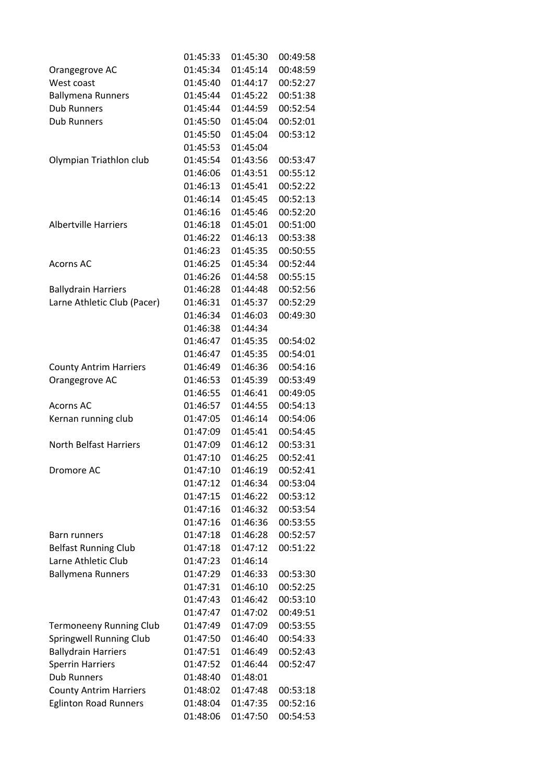|                                | 01:45:33 | 01:45:30 | 00:49:58 |
|--------------------------------|----------|----------|----------|
| Orangegrove AC                 | 01:45:34 | 01:45:14 | 00:48:59 |
| West coast                     | 01:45:40 | 01:44:17 | 00:52:27 |
| <b>Ballymena Runners</b>       | 01:45:44 | 01:45:22 | 00:51:38 |
| <b>Dub Runners</b>             | 01:45:44 | 01:44:59 | 00:52:54 |
| <b>Dub Runners</b>             | 01:45:50 | 01:45:04 | 00:52:01 |
|                                | 01:45:50 | 01:45:04 | 00:53:12 |
|                                | 01:45:53 | 01:45:04 |          |
| Olympian Triathlon club        | 01:45:54 | 01:43:56 | 00:53:47 |
|                                | 01:46:06 | 01:43:51 | 00:55:12 |
|                                | 01:46:13 | 01:45:41 | 00:52:22 |
|                                | 01:46:14 | 01:45:45 | 00:52:13 |
|                                | 01:46:16 | 01:45:46 | 00:52:20 |
| <b>Albertville Harriers</b>    | 01:46:18 | 01:45:01 | 00:51:00 |
|                                | 01:46:22 | 01:46:13 | 00:53:38 |
|                                | 01:46:23 | 01:45:35 | 00:50:55 |
| <b>Acorns AC</b>               | 01:46:25 | 01:45:34 | 00:52:44 |
|                                | 01:46:26 | 01:44:58 | 00:55:15 |
| <b>Ballydrain Harriers</b>     | 01:46:28 | 01:44:48 | 00:52:56 |
| Larne Athletic Club (Pacer)    | 01:46:31 | 01:45:37 | 00:52:29 |
|                                | 01:46:34 | 01:46:03 | 00:49:30 |
|                                | 01:46:38 | 01:44:34 |          |
|                                | 01:46:47 | 01:45:35 | 00:54:02 |
|                                | 01:46:47 | 01:45:35 | 00:54:01 |
| <b>County Antrim Harriers</b>  | 01:46:49 | 01:46:36 | 00:54:16 |
| Orangegrove AC                 | 01:46:53 | 01:45:39 | 00:53:49 |
|                                | 01:46:55 | 01:46:41 | 00:49:05 |
| <b>Acorns AC</b>               | 01:46:57 | 01:44:55 | 00:54:13 |
| Kernan running club            | 01:47:05 | 01:46:14 | 00:54:06 |
|                                | 01:47:09 | 01:45:41 | 00:54:45 |
| <b>North Belfast Harriers</b>  | 01:47:09 | 01:46:12 | 00:53:31 |
|                                | 01:47:10 | 01:46:25 | 00:52:41 |
| Dromore AC                     | 01:47:10 | 01:46:19 | 00:52:41 |
|                                | 01:47:12 | 01:46:34 | 00:53:04 |
|                                | 01:47:15 | 01:46:22 | 00:53:12 |
|                                | 01:47:16 | 01:46:32 | 00:53:54 |
|                                | 01:47:16 | 01:46:36 | 00:53:55 |
| Barn runners                   | 01:47:18 | 01:46:28 | 00:52:57 |
| <b>Belfast Running Club</b>    | 01:47:18 | 01:47:12 | 00:51:22 |
| Larne Athletic Club            | 01:47:23 | 01:46:14 |          |
| <b>Ballymena Runners</b>       | 01:47:29 | 01:46:33 | 00:53:30 |
|                                | 01:47:31 | 01:46:10 | 00:52:25 |
|                                | 01:47:43 | 01:46:42 | 00:53:10 |
|                                | 01:47:47 | 01:47:02 | 00:49:51 |
| <b>Termoneeny Running Club</b> | 01:47:49 | 01:47:09 | 00:53:55 |
| <b>Springwell Running Club</b> | 01:47:50 | 01:46:40 | 00:54:33 |
| <b>Ballydrain Harriers</b>     | 01:47:51 | 01:46:49 | 00:52:43 |
| <b>Sperrin Harriers</b>        | 01:47:52 | 01:46:44 | 00:52:47 |
| <b>Dub Runners</b>             | 01:48:40 | 01:48:01 |          |
| <b>County Antrim Harriers</b>  | 01:48:02 | 01:47:48 | 00:53:18 |
| <b>Eglinton Road Runners</b>   | 01:48:04 | 01:47:35 | 00:52:16 |
|                                | 01:48:06 | 01:47:50 | 00:54:53 |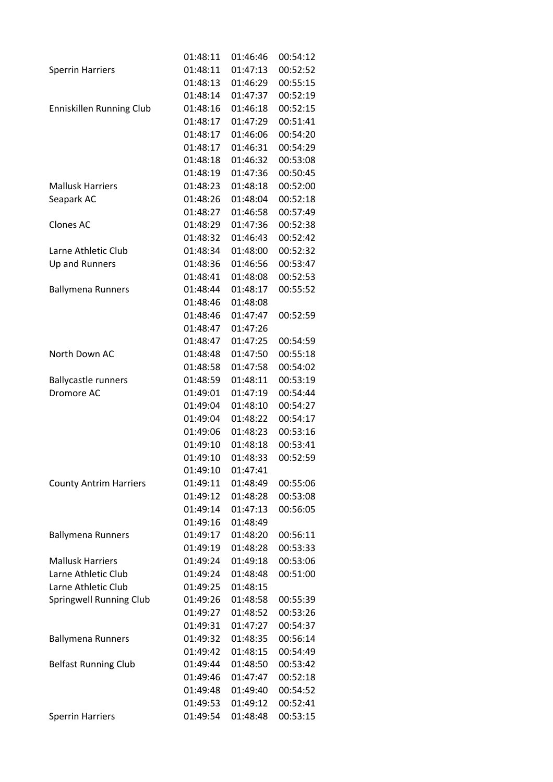|                               | 01:48:11 | 01:46:46 | 00:54:12 |
|-------------------------------|----------|----------|----------|
| <b>Sperrin Harriers</b>       | 01:48:11 | 01:47:13 | 00:52:52 |
|                               | 01:48:13 | 01:46:29 | 00:55:15 |
|                               | 01:48:14 | 01:47:37 | 00:52:19 |
| Enniskillen Running Club      | 01:48:16 | 01:46:18 | 00:52:15 |
|                               | 01:48:17 | 01:47:29 | 00:51:41 |
|                               | 01:48:17 | 01:46:06 | 00:54:20 |
|                               | 01:48:17 | 01:46:31 | 00:54:29 |
|                               | 01:48:18 | 01:46:32 | 00:53:08 |
|                               | 01:48:19 | 01:47:36 | 00:50:45 |
| <b>Mallusk Harriers</b>       | 01:48:23 | 01:48:18 | 00:52:00 |
| Seapark AC                    | 01:48:26 | 01:48:04 | 00:52:18 |
|                               | 01:48:27 | 01:46:58 | 00:57:49 |
| <b>Clones AC</b>              | 01:48:29 | 01:47:36 | 00:52:38 |
|                               | 01:48:32 | 01:46:43 | 00:52:42 |
| Larne Athletic Club           | 01:48:34 | 01:48:00 | 00:52:32 |
| Up and Runners                | 01:48:36 | 01:46:56 | 00:53:47 |
|                               | 01:48:41 | 01:48:08 | 00:52:53 |
| <b>Ballymena Runners</b>      | 01:48:44 | 01:48:17 | 00:55:52 |
|                               | 01:48:46 | 01:48:08 |          |
|                               | 01:48:46 | 01:47:47 | 00:52:59 |
|                               | 01:48:47 | 01:47:26 |          |
|                               | 01:48:47 | 01:47:25 | 00:54:59 |
| North Down AC                 | 01:48:48 | 01:47:50 | 00:55:18 |
|                               | 01:48:58 | 01:47:58 | 00:54:02 |
| <b>Ballycastle runners</b>    | 01:48:59 | 01:48:11 | 00:53:19 |
| Dromore AC                    | 01:49:01 | 01:47:19 | 00:54:44 |
|                               | 01:49:04 | 01:48:10 | 00:54:27 |
|                               | 01:49:04 | 01:48:22 | 00:54:17 |
|                               | 01:49:06 | 01:48:23 | 00:53:16 |
|                               | 01:49:10 | 01:48:18 | 00:53:41 |
|                               | 01:49:10 | 01:48:33 | 00:52:59 |
|                               | 01:49:10 | 01:47:41 |          |
| <b>County Antrim Harriers</b> | 01:49:11 | 01:48:49 | 00:55:06 |
|                               | 01:49:12 | 01:48:28 | 00:53:08 |
|                               | 01:49:14 | 01:47:13 | 00:56:05 |
|                               | 01:49:16 | 01:48:49 |          |
| <b>Ballymena Runners</b>      | 01:49:17 | 01:48:20 | 00:56:11 |
|                               | 01:49:19 | 01:48:28 | 00:53:33 |
| <b>Mallusk Harriers</b>       | 01:49:24 | 01:49:18 | 00:53:06 |
| Larne Athletic Club           | 01:49:24 | 01:48:48 | 00:51:00 |
| Larne Athletic Club           | 01:49:25 | 01:48:15 |          |
| Springwell Running Club       | 01:49:26 | 01:48:58 | 00:55:39 |
|                               | 01:49:27 | 01:48:52 | 00:53:26 |
|                               | 01:49:31 | 01:47:27 | 00:54:37 |
| <b>Ballymena Runners</b>      | 01:49:32 | 01:48:35 | 00:56:14 |
|                               | 01:49:42 | 01:48:15 | 00:54:49 |
| <b>Belfast Running Club</b>   | 01:49:44 | 01:48:50 | 00:53:42 |
|                               | 01:49:46 | 01:47:47 | 00:52:18 |
|                               | 01:49:48 | 01:49:40 | 00:54:52 |
|                               | 01:49:53 | 01:49:12 | 00:52:41 |
| <b>Sperrin Harriers</b>       | 01:49:54 | 01:48:48 | 00:53:15 |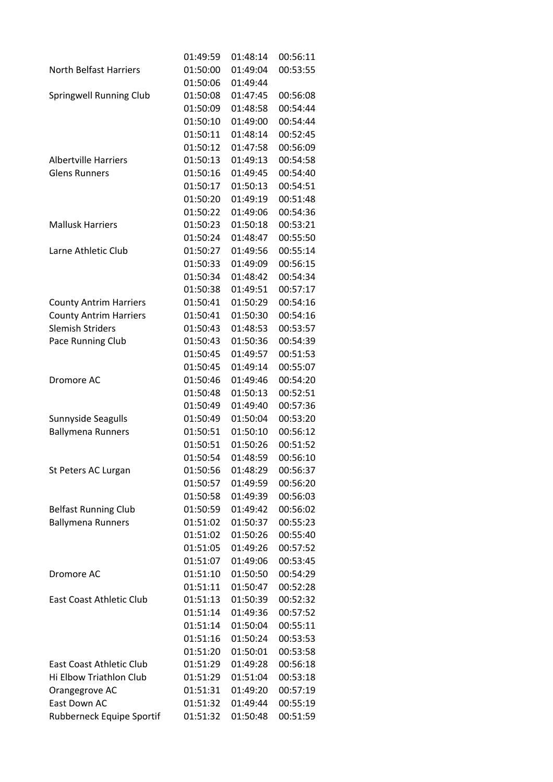|                               | 01:49:59 | 01:48:14             | 00:56:11 |
|-------------------------------|----------|----------------------|----------|
| <b>North Belfast Harriers</b> | 01:50:00 | 01:49:04             | 00:53:55 |
|                               | 01:50:06 | 01:49:44             |          |
| Springwell Running Club       | 01:50:08 | 01:47:45             | 00:56:08 |
|                               | 01:50:09 | 01:48:58             | 00:54:44 |
|                               | 01:50:10 | 01:49:00             | 00:54:44 |
|                               | 01:50:11 | 01:48:14             | 00:52:45 |
|                               | 01:50:12 | 01:47:58             | 00:56:09 |
| <b>Albertville Harriers</b>   | 01:50:13 | 01:49:13             | 00:54:58 |
| <b>Glens Runners</b>          | 01:50:16 | 01:49:45             | 00:54:40 |
|                               | 01:50:17 | 01:50:13             | 00:54:51 |
|                               | 01:50:20 | 01:49:19             | 00:51:48 |
|                               | 01:50:22 | 01:49:06             | 00:54:36 |
| <b>Mallusk Harriers</b>       | 01:50:23 | 01:50:18             | 00:53:21 |
|                               | 01:50:24 | 01:48:47             | 00:55:50 |
| Larne Athletic Club           | 01:50:27 | 01:49:56             | 00:55:14 |
|                               | 01:50:33 | 01:49:09             | 00:56:15 |
|                               | 01:50:34 | 01:48:42             | 00:54:34 |
|                               | 01:50:38 | 01:49:51             | 00:57:17 |
| <b>County Antrim Harriers</b> | 01:50:41 | 01:50:29             | 00:54:16 |
| <b>County Antrim Harriers</b> | 01:50:41 | 01:50:30             | 00:54:16 |
| <b>Slemish Striders</b>       | 01:50:43 | 01:48:53             | 00:53:57 |
| Pace Running Club             | 01:50:43 | 01:50:36             | 00:54:39 |
|                               | 01:50:45 | 01:49:57             | 00:51:53 |
|                               | 01:50:45 | 01:49:14             | 00:55:07 |
| Dromore AC                    | 01:50:46 | 01:49:46             | 00:54:20 |
|                               | 01:50:48 | 01:50:13             | 00:52:51 |
|                               | 01:50:49 | 01:49:40             | 00:57:36 |
| Sunnyside Seagulls            | 01:50:49 | 01:50:04             | 00:53:20 |
| <b>Ballymena Runners</b>      | 01:50:51 | 01:50:10             | 00:56:12 |
|                               | 01:50:51 | 01:50:26             | 00:51:52 |
|                               | 01:50:54 | 01:48:59             | 00:56:10 |
| St Peters AC Lurgan           | 01:50:56 | 01:48:29             | 00:56:37 |
|                               | 01:50:57 | 01:49:59             | 00:56:20 |
|                               | 01:50:58 | 01:49:39             | 00:56:03 |
| <b>Belfast Running Club</b>   | 01:50:59 | 01:49:42             | 00:56:02 |
|                               | 01:51:02 | 01:50:37             | 00:55:23 |
| <b>Ballymena Runners</b>      | 01:51:02 | 01:50:26             | 00:55:40 |
|                               | 01:51:05 | 01:49:26             | 00:57:52 |
|                               |          |                      |          |
|                               | 01:51:07 | 01:49:06<br>01:50:50 | 00:53:45 |
| Dromore AC                    | 01:51:10 |                      | 00:54:29 |
|                               | 01:51:11 | 01:50:47             | 00:52:28 |
| East Coast Athletic Club      | 01:51:13 | 01:50:39             | 00:52:32 |
|                               | 01:51:14 | 01:49:36             | 00:57:52 |
|                               | 01:51:14 | 01:50:04             | 00:55:11 |
|                               | 01:51:16 | 01:50:24             | 00:53:53 |
|                               | 01:51:20 | 01:50:01             | 00:53:58 |
| East Coast Athletic Club      | 01:51:29 | 01:49:28             | 00:56:18 |
| Hi Elbow Triathlon Club       | 01:51:29 | 01:51:04             | 00:53:18 |
| Orangegrove AC                | 01:51:31 | 01:49:20             | 00:57:19 |
| East Down AC                  | 01:51:32 | 01:49:44             | 00:55:19 |
| Rubberneck Equipe Sportif     | 01:51:32 | 01:50:48             | 00:51:59 |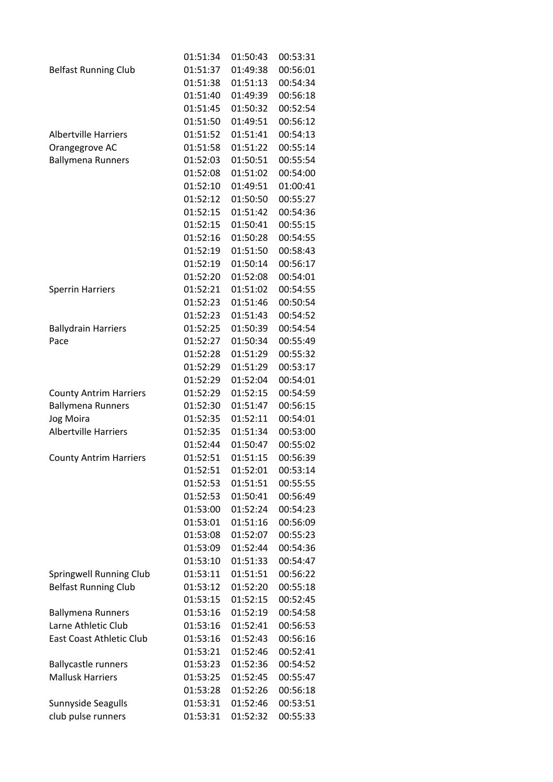|                               | 01:51:34 | 01:50:43 | 00:53:31 |
|-------------------------------|----------|----------|----------|
| <b>Belfast Running Club</b>   | 01:51:37 | 01:49:38 | 00:56:01 |
|                               | 01:51:38 | 01:51:13 | 00:54:34 |
|                               | 01:51:40 | 01:49:39 | 00:56:18 |
|                               | 01:51:45 | 01:50:32 | 00:52:54 |
|                               | 01:51:50 | 01:49:51 | 00:56:12 |
| <b>Albertville Harriers</b>   | 01:51:52 | 01:51:41 | 00:54:13 |
| Orangegrove AC                | 01:51:58 | 01:51:22 | 00:55:14 |
| <b>Ballymena Runners</b>      | 01:52:03 | 01:50:51 | 00:55:54 |
|                               | 01:52:08 | 01:51:02 | 00:54:00 |
|                               | 01:52:10 | 01:49:51 | 01:00:41 |
|                               | 01:52:12 | 01:50:50 | 00:55:27 |
|                               | 01:52:15 | 01:51:42 | 00:54:36 |
|                               | 01:52:15 | 01:50:41 | 00:55:15 |
|                               | 01:52:16 | 01:50:28 | 00:54:55 |
|                               | 01:52:19 | 01:51:50 | 00:58:43 |
|                               | 01:52:19 | 01:50:14 | 00:56:17 |
|                               | 01:52:20 | 01:52:08 | 00:54:01 |
| <b>Sperrin Harriers</b>       | 01:52:21 | 01:51:02 | 00:54:55 |
|                               | 01:52:23 | 01:51:46 | 00:50:54 |
|                               | 01:52:23 | 01:51:43 | 00:54:52 |
| <b>Ballydrain Harriers</b>    | 01:52:25 | 01:50:39 | 00:54:54 |
| Pace                          | 01:52:27 | 01:50:34 | 00:55:49 |
|                               | 01:52:28 | 01:51:29 | 00:55:32 |
|                               | 01:52:29 | 01:51:29 | 00:53:17 |
|                               | 01:52:29 | 01:52:04 | 00:54:01 |
| <b>County Antrim Harriers</b> | 01:52:29 | 01:52:15 | 00:54:59 |
| <b>Ballymena Runners</b>      | 01:52:30 | 01:51:47 | 00:56:15 |
| Jog Moira                     | 01:52:35 | 01:52:11 | 00:54:01 |
| <b>Albertville Harriers</b>   | 01:52:35 | 01:51:34 | 00:53:00 |
|                               | 01:52:44 | 01:50:47 | 00:55:02 |
| <b>County Antrim Harriers</b> | 01:52:51 | 01:51:15 | 00:56:39 |
|                               | 01:52:51 | 01:52:01 | 00:53:14 |
|                               | 01:52:53 | 01:51:51 | 00:55:55 |
|                               | 01:52:53 | 01:50:41 | 00:56:49 |
|                               | 01:53:00 | 01:52:24 | 00:54:23 |
|                               | 01:53:01 | 01:51:16 | 00:56:09 |
|                               | 01:53:08 | 01:52:07 | 00:55:23 |
|                               | 01:53:09 | 01:52:44 | 00:54:36 |
|                               | 01:53:10 | 01:51:33 | 00:54:47 |
| Springwell Running Club       | 01:53:11 | 01:51:51 | 00:56:22 |
| <b>Belfast Running Club</b>   | 01:53:12 | 01:52:20 | 00:55:18 |
|                               | 01:53:15 | 01:52:15 | 00:52:45 |
| <b>Ballymena Runners</b>      | 01:53:16 | 01:52:19 | 00:54:58 |
| Larne Athletic Club           | 01:53:16 | 01:52:41 | 00:56:53 |
| East Coast Athletic Club      | 01:53:16 | 01:52:43 | 00:56:16 |
|                               | 01:53:21 | 01:52:46 | 00:52:41 |
| <b>Ballycastle runners</b>    | 01:53:23 | 01:52:36 | 00:54:52 |
| <b>Mallusk Harriers</b>       | 01:53:25 | 01:52:45 | 00:55:47 |
|                               | 01:53:28 | 01:52:26 | 00:56:18 |
| Sunnyside Seagulls            | 01:53:31 | 01:52:46 | 00:53:51 |
| club pulse runners            | 01:53:31 | 01:52:32 | 00:55:33 |
|                               |          |          |          |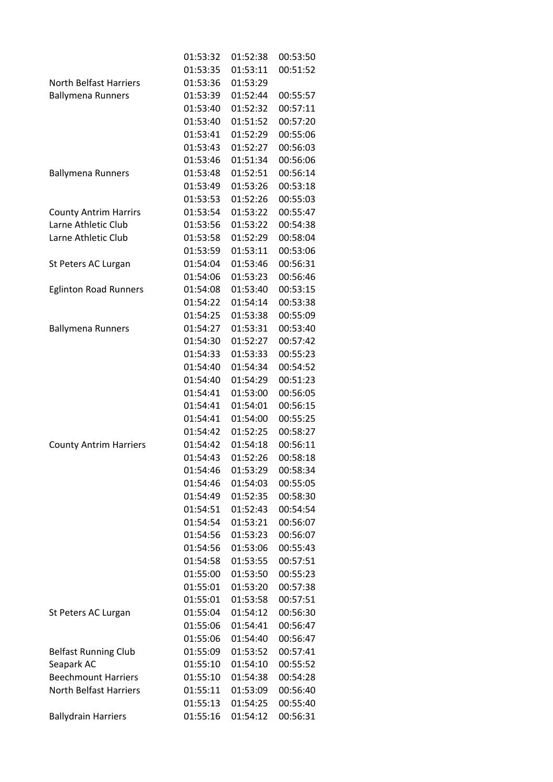|                               | 01:53:32 | 01:52:38 | 00:53:50 |
|-------------------------------|----------|----------|----------|
|                               | 01:53:35 | 01:53:11 | 00:51:52 |
| <b>North Belfast Harriers</b> | 01:53:36 | 01:53:29 |          |
| <b>Ballymena Runners</b>      | 01:53:39 | 01:52:44 | 00:55:57 |
|                               | 01:53:40 | 01:52:32 | 00:57:11 |
|                               | 01:53:40 | 01:51:52 | 00:57:20 |
|                               | 01:53:41 | 01:52:29 | 00:55:06 |
|                               | 01:53:43 | 01:52:27 | 00:56:03 |
|                               | 01:53:46 | 01:51:34 | 00:56:06 |
| <b>Ballymena Runners</b>      | 01:53:48 | 01:52:51 | 00:56:14 |
|                               | 01:53:49 | 01:53:26 | 00:53:18 |
|                               | 01:53:53 | 01:52:26 | 00:55:03 |
| <b>County Antrim Harrirs</b>  | 01:53:54 | 01:53:22 | 00:55:47 |
| Larne Athletic Club           | 01:53:56 | 01:53:22 | 00:54:38 |
| Larne Athletic Club           | 01:53:58 | 01:52:29 | 00:58:04 |
|                               | 01:53:59 | 01:53:11 | 00:53:06 |
| St Peters AC Lurgan           | 01:54:04 | 01:53:46 | 00:56:31 |
|                               | 01:54:06 | 01:53:23 | 00:56:46 |
| <b>Eglinton Road Runners</b>  | 01:54:08 | 01:53:40 | 00:53:15 |
|                               | 01:54:22 | 01:54:14 | 00:53:38 |
|                               | 01:54:25 | 01:53:38 | 00:55:09 |
| <b>Ballymena Runners</b>      | 01:54:27 | 01:53:31 | 00:53:40 |
|                               | 01:54:30 | 01:52:27 | 00:57:42 |
|                               | 01:54:33 | 01:53:33 | 00:55:23 |
|                               | 01:54:40 | 01:54:34 | 00:54:52 |
|                               | 01:54:40 | 01:54:29 | 00:51:23 |
|                               | 01:54:41 | 01:53:00 | 00:56:05 |
|                               | 01:54:41 | 01:54:01 | 00:56:15 |
|                               | 01:54:41 | 01:54:00 | 00:55:25 |
|                               | 01:54:42 | 01:52:25 | 00:58:27 |
| <b>County Antrim Harriers</b> | 01:54:42 | 01:54:18 | 00:56:11 |
|                               | 01:54:43 | 01:52:26 | 00:58:18 |
|                               | 01:54:46 | 01:53:29 | 00:58:34 |
|                               | 01:54:46 | 01:54:03 | 00:55:05 |
|                               | 01:54:49 | 01:52:35 | 00:58:30 |
|                               | 01:54:51 | 01:52:43 | 00:54:54 |
|                               | 01:54:54 | 01:53:21 | 00:56:07 |
|                               | 01:54:56 | 01:53:23 | 00:56:07 |
|                               | 01:54:56 | 01:53:06 | 00:55:43 |
|                               | 01:54:58 | 01:53:55 | 00:57:51 |
|                               | 01:55:00 | 01:53:50 | 00:55:23 |
|                               | 01:55:01 | 01:53:20 | 00:57:38 |
|                               | 01:55:01 | 01:53:58 | 00:57:51 |
| St Peters AC Lurgan           | 01:55:04 | 01:54:12 | 00:56:30 |
|                               | 01:55:06 | 01:54:41 | 00:56:47 |
|                               | 01:55:06 | 01:54:40 | 00:56:47 |
| <b>Belfast Running Club</b>   | 01:55:09 | 01:53:52 | 00:57:41 |
| Seapark AC                    | 01:55:10 | 01:54:10 | 00:55:52 |
| <b>Beechmount Harriers</b>    | 01:55:10 | 01:54:38 | 00:54:28 |
| <b>North Belfast Harriers</b> | 01:55:11 | 01:53:09 | 00:56:40 |
|                               | 01:55:13 | 01:54:25 | 00:55:40 |
| <b>Ballydrain Harriers</b>    | 01:55:16 | 01:54:12 | 00:56:31 |
|                               |          |          |          |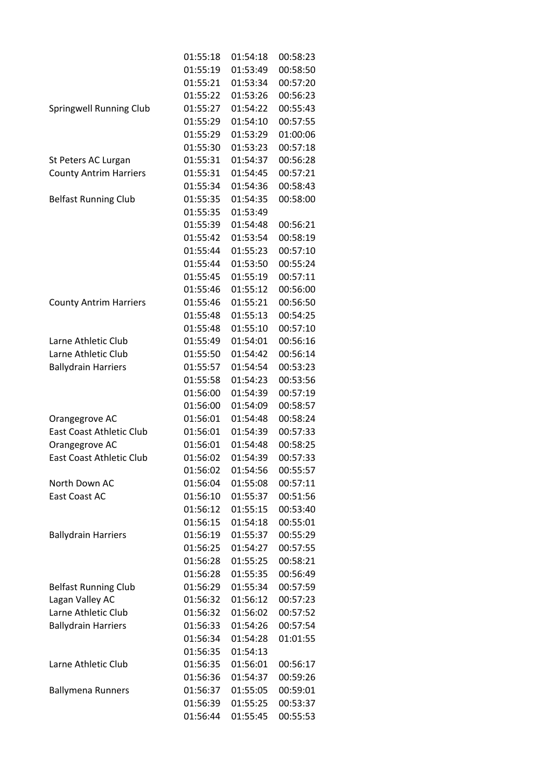|                                 | 01:55:18 | 01:54:18 | 00:58:23 |
|---------------------------------|----------|----------|----------|
|                                 | 01:55:19 | 01:53:49 | 00:58:50 |
|                                 | 01:55:21 | 01:53:34 | 00:57:20 |
|                                 | 01:55:22 | 01:53:26 | 00:56:23 |
| <b>Springwell Running Club</b>  | 01:55:27 | 01:54:22 | 00:55:43 |
|                                 | 01:55:29 | 01:54:10 | 00:57:55 |
|                                 | 01:55:29 | 01:53:29 | 01:00:06 |
|                                 | 01:55:30 | 01:53:23 | 00:57:18 |
| St Peters AC Lurgan             | 01:55:31 | 01:54:37 | 00:56:28 |
| <b>County Antrim Harriers</b>   | 01:55:31 | 01:54:45 | 00:57:21 |
|                                 | 01:55:34 | 01:54:36 | 00:58:43 |
| <b>Belfast Running Club</b>     | 01:55:35 | 01:54:35 | 00:58:00 |
|                                 | 01:55:35 | 01:53:49 |          |
|                                 | 01:55:39 | 01:54:48 | 00:56:21 |
|                                 | 01:55:42 | 01:53:54 | 00:58:19 |
|                                 | 01:55:44 | 01:55:23 | 00:57:10 |
|                                 | 01:55:44 | 01:53:50 | 00:55:24 |
|                                 | 01:55:45 | 01:55:19 | 00:57:11 |
|                                 | 01:55:46 | 01:55:12 | 00:56:00 |
| <b>County Antrim Harriers</b>   | 01:55:46 | 01:55:21 | 00:56:50 |
|                                 | 01:55:48 | 01:55:13 | 00:54:25 |
|                                 | 01:55:48 | 01:55:10 | 00:57:10 |
| Larne Athletic Club             | 01:55:49 | 01:54:01 | 00:56:16 |
| Larne Athletic Club             | 01:55:50 | 01:54:42 | 00:56:14 |
| <b>Ballydrain Harriers</b>      | 01:55:57 | 01:54:54 | 00:53:23 |
|                                 | 01:55:58 | 01:54:23 | 00:53:56 |
|                                 | 01:56:00 | 01:54:39 | 00:57:19 |
|                                 | 01:56:00 | 01:54:09 | 00:58:57 |
| Orangegrove AC                  | 01:56:01 | 01:54:48 | 00:58:24 |
| <b>East Coast Athletic Club</b> | 01:56:01 | 01:54:39 | 00:57:33 |
| Orangegrove AC                  | 01:56:01 | 01:54:48 | 00:58:25 |
| <b>East Coast Athletic Club</b> | 01:56:02 | 01:54:39 | 00:57:33 |
|                                 | 01:56:02 | 01:54:56 | 00:55:57 |
| North Down AC                   | 01:56:04 | 01:55:08 | 00:57:11 |
| East Coast AC                   | 01:56:10 | 01:55:37 | 00:51:56 |
|                                 | 01:56:12 | 01:55:15 | 00:53:40 |
|                                 | 01:56:15 | 01:54:18 | 00:55:01 |
| <b>Ballydrain Harriers</b>      | 01:56:19 | 01:55:37 | 00:55:29 |
|                                 | 01:56:25 | 01:54:27 | 00:57:55 |
|                                 | 01:56:28 | 01:55:25 | 00:58:21 |
|                                 | 01:56:28 | 01:55:35 | 00:56:49 |
| <b>Belfast Running Club</b>     | 01:56:29 | 01:55:34 | 00:57:59 |
| Lagan Valley AC                 | 01:56:32 | 01:56:12 | 00:57:23 |
| Larne Athletic Club             | 01:56:32 | 01:56:02 | 00:57:52 |
| <b>Ballydrain Harriers</b>      | 01:56:33 | 01:54:26 | 00:57:54 |
|                                 | 01:56:34 | 01:54:28 | 01:01:55 |
|                                 | 01:56:35 | 01:54:13 |          |
| Larne Athletic Club             | 01:56:35 | 01:56:01 | 00:56:17 |
|                                 | 01:56:36 | 01:54:37 | 00:59:26 |
| <b>Ballymena Runners</b>        | 01:56:37 | 01:55:05 | 00:59:01 |
|                                 | 01:56:39 | 01:55:25 | 00:53:37 |
|                                 | 01:56:44 | 01:55:45 | 00:55:53 |
|                                 |          |          |          |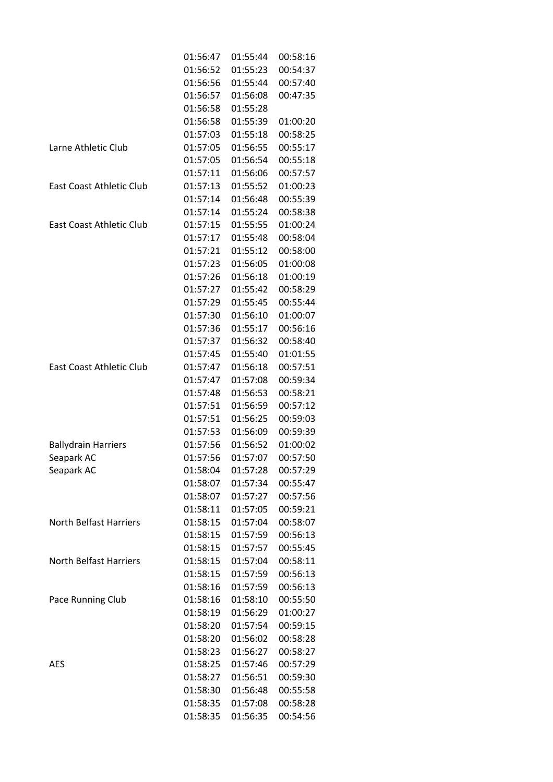|                                 | 01:56:47 | 01:55:44 | 00:58:16 |
|---------------------------------|----------|----------|----------|
|                                 | 01:56:52 | 01:55:23 | 00:54:37 |
|                                 | 01:56:56 | 01:55:44 | 00:57:40 |
|                                 | 01:56:57 | 01:56:08 | 00:47:35 |
|                                 | 01:56:58 | 01:55:28 |          |
|                                 | 01:56:58 | 01:55:39 | 01:00:20 |
|                                 | 01:57:03 | 01:55:18 | 00:58:25 |
| Larne Athletic Club             | 01:57:05 | 01:56:55 | 00:55:17 |
|                                 | 01:57:05 | 01:56:54 | 00:55:18 |
|                                 | 01:57:11 | 01:56:06 | 00:57:57 |
| <b>East Coast Athletic Club</b> | 01:57:13 | 01:55:52 | 01:00:23 |
|                                 | 01:57:14 | 01:56:48 | 00:55:39 |
|                                 | 01:57:14 | 01:55:24 | 00:58:38 |
| East Coast Athletic Club        | 01:57:15 | 01:55:55 | 01:00:24 |
|                                 | 01:57:17 | 01:55:48 | 00:58:04 |
|                                 | 01:57:21 | 01:55:12 | 00:58:00 |
|                                 | 01:57:23 | 01:56:05 | 01:00:08 |
|                                 | 01:57:26 | 01:56:18 | 01:00:19 |
|                                 | 01:57:27 | 01:55:42 | 00:58:29 |
|                                 | 01:57:29 | 01:55:45 | 00:55:44 |
|                                 | 01:57:30 | 01:56:10 | 01:00:07 |
|                                 | 01:57:36 | 01:55:17 | 00:56:16 |
|                                 | 01:57:37 | 01:56:32 | 00:58:40 |
|                                 | 01:57:45 | 01:55:40 | 01:01:55 |
| East Coast Athletic Club        | 01:57:47 | 01:56:18 | 00:57:51 |
|                                 | 01:57:47 | 01:57:08 | 00:59:34 |
|                                 | 01:57:48 | 01:56:53 | 00:58:21 |
|                                 | 01:57:51 | 01:56:59 | 00:57:12 |
|                                 | 01:57:51 |          |          |
|                                 |          | 01:56:25 | 00:59:03 |
|                                 | 01:57:53 | 01:56:09 | 00:59:39 |
| <b>Ballydrain Harriers</b>      | 01:57:56 | 01:56:52 | 01:00:02 |
| Seapark AC                      | 01:57:56 | 01:57:07 | 00:57:50 |
| Seapark AC                      | 01:58:04 | 01:57:28 | 00:57:29 |
|                                 | 01:58:07 | 01:57:34 | 00:55:47 |
|                                 | 01:58:07 | 01:57:27 | 00:57:56 |
|                                 | 01:58:11 | 01:57:05 | 00:59:21 |
| <b>North Belfast Harriers</b>   | 01:58:15 | 01:57:04 | 00:58:07 |
|                                 | 01:58:15 | 01:57:59 | 00:56:13 |
|                                 | 01:58:15 | 01:57:57 | 00:55:45 |
| <b>North Belfast Harriers</b>   | 01:58:15 | 01:57:04 | 00:58:11 |
|                                 | 01:58:15 | 01:57:59 | 00:56:13 |
|                                 | 01:58:16 | 01:57:59 | 00:56:13 |
| Pace Running Club               | 01:58:16 | 01:58:10 | 00:55:50 |
|                                 | 01:58:19 | 01:56:29 | 01:00:27 |
|                                 | 01:58:20 | 01:57:54 | 00:59:15 |
|                                 | 01:58:20 | 01:56:02 | 00:58:28 |
|                                 | 01:58:23 | 01:56:27 | 00:58:27 |
| <b>AES</b>                      | 01:58:25 | 01:57:46 | 00:57:29 |
|                                 | 01:58:27 | 01:56:51 | 00:59:30 |
|                                 | 01:58:30 | 01:56:48 | 00:55:58 |
|                                 | 01:58:35 | 01:57:08 | 00:58:28 |
|                                 | 01:58:35 | 01:56:35 | 00:54:56 |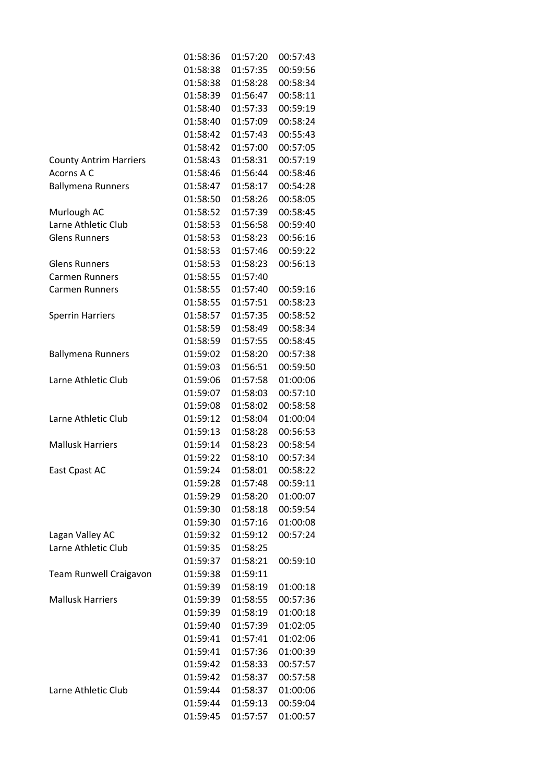|                               | 01:58:36 | 01:57:20 | 00:57:43 |
|-------------------------------|----------|----------|----------|
|                               | 01:58:38 | 01:57:35 | 00:59:56 |
|                               | 01:58:38 | 01:58:28 | 00:58:34 |
|                               | 01:58:39 | 01:56:47 | 00:58:11 |
|                               | 01:58:40 | 01:57:33 | 00:59:19 |
|                               | 01:58:40 | 01:57:09 | 00:58:24 |
|                               | 01:58:42 | 01:57:43 | 00:55:43 |
|                               | 01:58:42 | 01:57:00 | 00:57:05 |
| <b>County Antrim Harriers</b> | 01:58:43 | 01:58:31 | 00:57:19 |
| Acorns A C                    | 01:58:46 | 01:56:44 | 00:58:46 |
| <b>Ballymena Runners</b>      | 01:58:47 | 01:58:17 | 00:54:28 |
|                               | 01:58:50 | 01:58:26 | 00:58:05 |
| Murlough AC                   | 01:58:52 | 01:57:39 | 00:58:45 |
| Larne Athletic Club           | 01:58:53 | 01:56:58 | 00:59:40 |
| <b>Glens Runners</b>          | 01:58:53 | 01:58:23 | 00:56:16 |
|                               | 01:58:53 | 01:57:46 | 00:59:22 |
| <b>Glens Runners</b>          | 01:58:53 | 01:58:23 | 00:56:13 |
| <b>Carmen Runners</b>         | 01:58:55 | 01:57:40 |          |
| <b>Carmen Runners</b>         | 01:58:55 | 01:57:40 | 00:59:16 |
|                               | 01:58:55 | 01:57:51 | 00:58:23 |
| <b>Sperrin Harriers</b>       | 01:58:57 | 01:57:35 | 00:58:52 |
|                               | 01:58:59 | 01:58:49 | 00:58:34 |
|                               | 01:58:59 | 01:57:55 | 00:58:45 |
| <b>Ballymena Runners</b>      | 01:59:02 | 01:58:20 | 00:57:38 |
|                               | 01:59:03 | 01:56:51 | 00:59:50 |
| Larne Athletic Club           | 01:59:06 | 01:57:58 | 01:00:06 |
|                               | 01:59:07 | 01:58:03 | 00:57:10 |
|                               | 01:59:08 | 01:58:02 | 00:58:58 |
| Larne Athletic Club           | 01:59:12 | 01:58:04 | 01:00:04 |
|                               | 01:59:13 | 01:58:28 | 00:56:53 |
| <b>Mallusk Harriers</b>       | 01:59:14 | 01:58:23 | 00:58:54 |
|                               | 01:59:22 | 01:58:10 | 00:57:34 |
| East Cpast AC                 | 01:59:24 | 01:58:01 | 00:58:22 |
|                               | 01:59:28 | 01:57:48 | 00:59:11 |
|                               | 01:59:29 | 01:58:20 | 01:00:07 |
|                               | 01:59:30 | 01:58:18 | 00:59:54 |
|                               | 01:59:30 | 01:57:16 | 01:00:08 |
| Lagan Valley AC               | 01:59:32 | 01:59:12 | 00:57:24 |
| Larne Athletic Club           | 01:59:35 | 01:58:25 |          |
|                               | 01:59:37 | 01:58:21 | 00:59:10 |
| Team Runwell Craigavon        | 01:59:38 | 01:59:11 |          |
|                               | 01:59:39 | 01:58:19 | 01:00:18 |
| <b>Mallusk Harriers</b>       | 01:59:39 | 01:58:55 | 00:57:36 |
|                               | 01:59:39 | 01:58:19 | 01:00:18 |
|                               | 01:59:40 | 01:57:39 | 01:02:05 |
|                               | 01:59:41 | 01:57:41 | 01:02:06 |
|                               | 01:59:41 | 01:57:36 | 01:00:39 |
|                               | 01:59:42 | 01:58:33 | 00:57:57 |
|                               | 01:59:42 | 01:58:37 | 00:57:58 |
| Larne Athletic Club           | 01:59:44 | 01:58:37 | 01:00:06 |
|                               | 01:59:44 | 01:59:13 | 00:59:04 |
|                               | 01:59:45 | 01:57:57 | 01:00:57 |
|                               |          |          |          |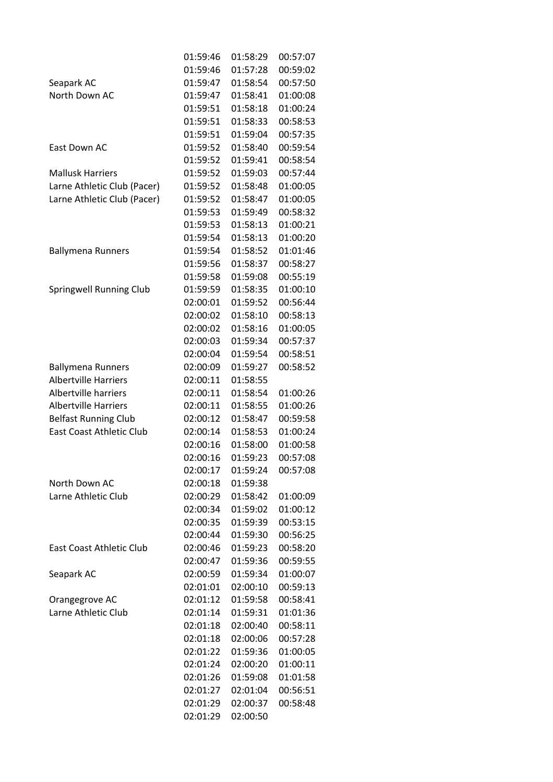|                                 | 01:59:46 | 01:58:29 | 00:57:07 |
|---------------------------------|----------|----------|----------|
|                                 | 01:59:46 | 01:57:28 | 00:59:02 |
| Seapark AC                      | 01:59:47 | 01:58:54 | 00:57:50 |
| North Down AC                   | 01:59:47 | 01:58:41 | 01:00:08 |
|                                 | 01:59:51 | 01:58:18 | 01:00:24 |
|                                 | 01:59:51 | 01:58:33 | 00:58:53 |
|                                 | 01:59:51 | 01:59:04 | 00:57:35 |
| East Down AC                    | 01:59:52 | 01:58:40 | 00:59:54 |
|                                 | 01:59:52 | 01:59:41 | 00:58:54 |
| <b>Mallusk Harriers</b>         | 01:59:52 | 01:59:03 | 00:57:44 |
| Larne Athletic Club (Pacer)     | 01:59:52 | 01:58:48 | 01:00:05 |
| Larne Athletic Club (Pacer)     | 01:59:52 | 01:58:47 | 01:00:05 |
|                                 | 01:59:53 | 01:59:49 | 00:58:32 |
|                                 | 01:59:53 | 01:58:13 | 01:00:21 |
|                                 | 01:59:54 | 01:58:13 | 01:00:20 |
| <b>Ballymena Runners</b>        | 01:59:54 | 01:58:52 | 01:01:46 |
|                                 | 01:59:56 | 01:58:37 | 00:58:27 |
|                                 | 01:59:58 | 01:59:08 | 00:55:19 |
| Springwell Running Club         | 01:59:59 | 01:58:35 | 01:00:10 |
|                                 | 02:00:01 | 01:59:52 | 00:56:44 |
|                                 | 02:00:02 | 01:58:10 | 00:58:13 |
|                                 | 02:00:02 | 01:58:16 | 01:00:05 |
|                                 | 02:00:03 | 01:59:34 | 00:57:37 |
|                                 | 02:00:04 | 01:59:54 | 00:58:51 |
| <b>Ballymena Runners</b>        | 02:00:09 | 01:59:27 | 00:58:52 |
| <b>Albertville Harriers</b>     | 02:00:11 | 01:58:55 |          |
| Albertville harriers            | 02:00:11 | 01:58:54 | 01:00:26 |
| <b>Albertville Harriers</b>     | 02:00:11 | 01:58:55 | 01:00:26 |
| <b>Belfast Running Club</b>     | 02:00:12 | 01:58:47 | 00:59:58 |
| <b>East Coast Athletic Club</b> | 02:00:14 | 01:58:53 | 01:00:24 |
|                                 | 02:00:16 | 01:58:00 | 01:00:58 |
|                                 | 02:00:16 | 01:59:23 | 00:57:08 |
|                                 | 02:00:17 | 01:59:24 | 00:57:08 |
| North Down AC                   | 02:00:18 | 01:59:38 |          |
| Larne Athletic Club             | 02:00:29 | 01:58:42 | 01:00:09 |
|                                 | 02:00:34 | 01:59:02 | 01:00:12 |
|                                 | 02:00:35 | 01:59:39 | 00:53:15 |
|                                 | 02:00:44 | 01:59:30 | 00:56:25 |
| <b>East Coast Athletic Club</b> | 02:00:46 | 01:59:23 | 00:58:20 |
|                                 | 02:00:47 | 01:59:36 | 00:59:55 |
| Seapark AC                      | 02:00:59 | 01:59:34 | 01:00:07 |
|                                 | 02:01:01 | 02:00:10 | 00:59:13 |
| Orangegrove AC                  | 02:01:12 | 01:59:58 | 00:58:41 |
| Larne Athletic Club             | 02:01:14 | 01:59:31 | 01:01:36 |
|                                 | 02:01:18 | 02:00:40 | 00:58:11 |
|                                 | 02:01:18 | 02:00:06 | 00:57:28 |
|                                 | 02:01:22 | 01:59:36 | 01:00:05 |
|                                 | 02:01:24 | 02:00:20 | 01:00:11 |
|                                 | 02:01:26 | 01:59:08 | 01:01:58 |
|                                 | 02:01:27 | 02:01:04 | 00:56:51 |
|                                 | 02:01:29 | 02:00:37 | 00:58:48 |
|                                 | 02:01:29 | 02:00:50 |          |
|                                 |          |          |          |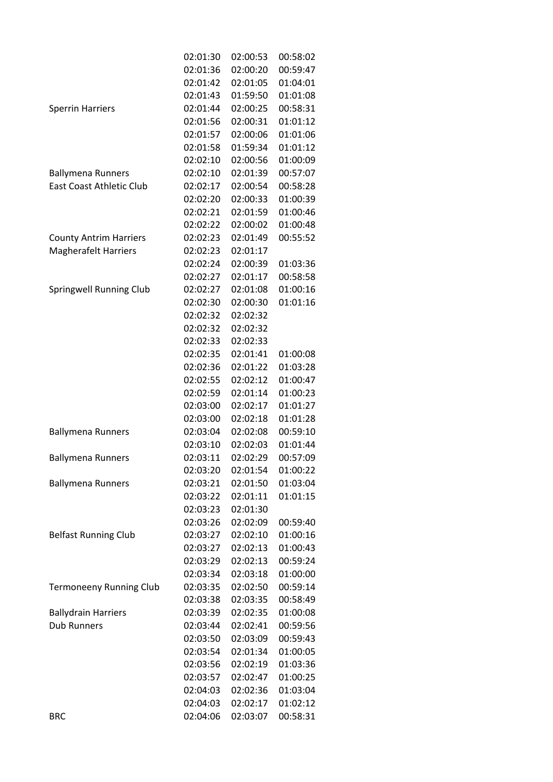|                                 | 02:01:30 | 02:00:53 | 00:58:02 |
|---------------------------------|----------|----------|----------|
|                                 | 02:01:36 | 02:00:20 | 00:59:47 |
|                                 | 02:01:42 | 02:01:05 | 01:04:01 |
|                                 | 02:01:43 | 01:59:50 | 01:01:08 |
| <b>Sperrin Harriers</b>         | 02:01:44 | 02:00:25 | 00:58:31 |
|                                 | 02:01:56 | 02:00:31 | 01:01:12 |
|                                 | 02:01:57 | 02:00:06 | 01:01:06 |
|                                 | 02:01:58 | 01:59:34 | 01:01:12 |
|                                 | 02:02:10 | 02:00:56 | 01:00:09 |
| <b>Ballymena Runners</b>        | 02:02:10 | 02:01:39 | 00:57:07 |
| <b>East Coast Athletic Club</b> | 02:02:17 | 02:00:54 | 00:58:28 |
|                                 | 02:02:20 | 02:00:33 | 01:00:39 |
|                                 | 02:02:21 | 02:01:59 | 01:00:46 |
|                                 | 02:02:22 | 02:00:02 | 01:00:48 |
| <b>County Antrim Harriers</b>   | 02:02:23 | 02:01:49 | 00:55:52 |
| <b>Magherafelt Harriers</b>     | 02:02:23 | 02:01:17 |          |
|                                 | 02:02:24 | 02:00:39 | 01:03:36 |
|                                 | 02:02:27 | 02:01:17 | 00:58:58 |
| <b>Springwell Running Club</b>  | 02:02:27 | 02:01:08 | 01:00:16 |
|                                 | 02:02:30 | 02:00:30 | 01:01:16 |
|                                 | 02:02:32 | 02:02:32 |          |
|                                 | 02:02:32 | 02:02:32 |          |
|                                 | 02:02:33 | 02:02:33 |          |
|                                 | 02:02:35 | 02:01:41 | 01:00:08 |
|                                 | 02:02:36 | 02:01:22 | 01:03:28 |
|                                 | 02:02:55 | 02:02:12 | 01:00:47 |
|                                 | 02:02:59 | 02:01:14 | 01:00:23 |
|                                 | 02:03:00 | 02:02:17 | 01:01:27 |
|                                 | 02:03:00 | 02:02:18 | 01:01:28 |
| <b>Ballymena Runners</b>        | 02:03:04 | 02:02:08 | 00:59:10 |
|                                 | 02:03:10 | 02:02:03 | 01:01:44 |
| <b>Ballymena Runners</b>        | 02:03:11 | 02:02:29 | 00:57:09 |
|                                 | 02:03:20 | 02:01:54 | 01:00:22 |
| <b>Ballymena Runners</b>        | 02:03:21 | 02:01:50 | 01:03:04 |
|                                 | 02:03:22 | 02:01:11 | 01:01:15 |
|                                 | 02:03:23 | 02:01:30 |          |
|                                 | 02:03:26 | 02:02:09 | 00:59:40 |
| <b>Belfast Running Club</b>     | 02:03:27 | 02:02:10 | 01:00:16 |
|                                 | 02:03:27 | 02:02:13 | 01:00:43 |
|                                 | 02:03:29 | 02:02:13 | 00:59:24 |
|                                 | 02:03:34 | 02:03:18 | 01:00:00 |
| <b>Termoneeny Running Club</b>  | 02:03:35 | 02:02:50 | 00:59:14 |
|                                 | 02:03:38 | 02:03:35 | 00:58:49 |
| <b>Ballydrain Harriers</b>      | 02:03:39 | 02:02:35 | 01:00:08 |
| <b>Dub Runners</b>              | 02:03:44 | 02:02:41 | 00:59:56 |
|                                 | 02:03:50 | 02:03:09 | 00:59:43 |
|                                 | 02:03:54 | 02:01:34 | 01:00:05 |
|                                 | 02:03:56 | 02:02:19 | 01:03:36 |
|                                 | 02:03:57 | 02:02:47 | 01:00:25 |
|                                 | 02:04:03 | 02:02:36 | 01:03:04 |
|                                 | 02:04:03 | 02:02:17 | 01:02:12 |
| <b>BRC</b>                      | 02:04:06 | 02:03:07 | 00:58:31 |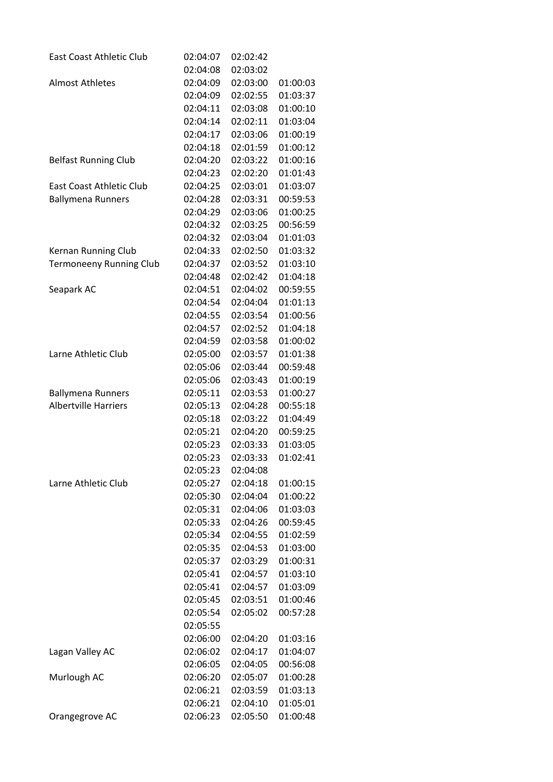| <b>East Coast Athletic Club</b> | 02:04:07 | 02:02:42 |          |
|---------------------------------|----------|----------|----------|
|                                 | 02:04:08 | 02:03:02 |          |
| <b>Almost Athletes</b>          | 02:04:09 | 02:03:00 | 01:00:03 |
|                                 | 02:04:09 | 02:02:55 | 01:03:37 |
|                                 | 02:04:11 | 02:03:08 | 01:00:10 |
|                                 | 02:04:14 | 02:02:11 | 01:03:04 |
|                                 | 02:04:17 | 02:03:06 | 01:00:19 |
|                                 | 02:04:18 | 02:01:59 | 01:00:12 |
| <b>Belfast Running Club</b>     | 02:04:20 | 02:03:22 | 01:00:16 |
|                                 | 02:04:23 | 02:02:20 | 01:01:43 |
| <b>East Coast Athletic Club</b> | 02:04:25 | 02:03:01 | 01:03:07 |
| <b>Ballymena Runners</b>        | 02:04:28 | 02:03:31 | 00:59:53 |
|                                 | 02:04:29 | 02:03:06 | 01:00:25 |
|                                 | 02:04:32 | 02:03:25 | 00:56:59 |
|                                 | 02:04:32 | 02:03:04 | 01:01:03 |
| Kernan Running Club             | 02:04:33 | 02:02:50 | 01:03:32 |
| <b>Termoneeny Running Club</b>  | 02:04:37 | 02:03:52 | 01:03:10 |
|                                 | 02:04:48 | 02:02:42 | 01:04:18 |
| Seapark AC                      | 02:04:51 | 02:04:02 | 00:59:55 |
|                                 | 02:04:54 | 02:04:04 | 01:01:13 |
|                                 | 02:04:55 | 02:03:54 | 01:00:56 |
|                                 | 02:04:57 | 02:02:52 | 01:04:18 |
|                                 | 02:04:59 | 02:03:58 | 01:00:02 |
| Larne Athletic Club             | 02:05:00 | 02:03:57 | 01:01:38 |
|                                 | 02:05:06 | 02:03:44 | 00:59:48 |
|                                 | 02:05:06 | 02:03:43 | 01:00:19 |
| <b>Ballymena Runners</b>        | 02:05:11 | 02:03:53 | 01:00:27 |
| <b>Albertville Harriers</b>     | 02:05:13 | 02:04:28 | 00:55:18 |
|                                 | 02:05:18 | 02:03:22 | 01:04:49 |
|                                 | 02:05:21 | 02:04:20 | 00:59:25 |
|                                 | 02:05:23 | 02:03:33 | 01:03:05 |
|                                 | 02:05:23 | 02:03:33 | 01:02:41 |
|                                 | 02:05:23 | 02:04:08 |          |
| Larne Athletic Club             | 02:05:27 | 02:04:18 | 01:00:15 |
|                                 | 02:05:30 | 02:04:04 | 01:00:22 |
|                                 | 02:05:31 | 02:04:06 | 01:03:03 |
|                                 | 02:05:33 | 02:04:26 | 00:59:45 |
|                                 | 02:05:34 | 02:04:55 | 01:02:59 |
|                                 | 02:05:35 | 02:04:53 | 01:03:00 |
|                                 | 02:05:37 | 02:03:29 | 01:00:31 |
|                                 | 02:05:41 | 02:04:57 | 01:03:10 |
|                                 | 02:05:41 | 02:04:57 | 01:03:09 |
|                                 | 02:05:45 | 02:03:51 | 01:00:46 |
|                                 | 02:05:54 | 02:05:02 | 00:57:28 |
|                                 | 02:05:55 |          |          |
|                                 | 02:06:00 | 02:04:20 | 01:03:16 |
| Lagan Valley AC                 | 02:06:02 | 02:04:17 | 01:04:07 |
|                                 | 02:06:05 | 02:04:05 | 00:56:08 |
| Murlough AC                     | 02:06:20 | 02:05:07 | 01:00:28 |
|                                 | 02:06:21 | 02:03:59 | 01:03:13 |
|                                 | 02:06:21 | 02:04:10 | 01:05:01 |
| Orangegrove AC                  | 02:06:23 | 02:05:50 | 01:00:48 |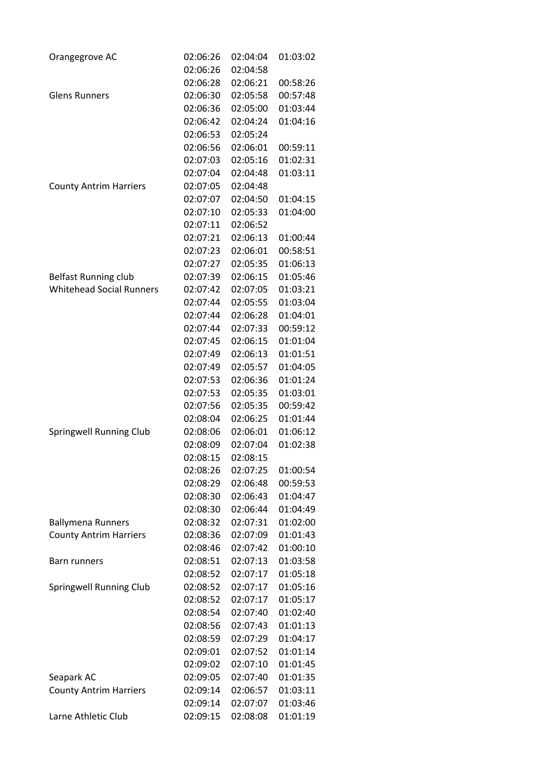| Orangegrove AC                                            | 02:06:26 | 02:04:04 | 01:03:02 |
|-----------------------------------------------------------|----------|----------|----------|
|                                                           | 02:06:26 | 02:04:58 |          |
|                                                           | 02:06:28 | 02:06:21 | 00:58:26 |
| <b>Glens Runners</b>                                      | 02:06:30 | 02:05:58 | 00:57:48 |
|                                                           | 02:06:36 | 02:05:00 | 01:03:44 |
|                                                           | 02:06:42 | 02:04:24 | 01:04:16 |
|                                                           | 02:06:53 | 02:05:24 |          |
|                                                           | 02:06:56 | 02:06:01 | 00:59:11 |
|                                                           | 02:07:03 | 02:05:16 | 01:02:31 |
|                                                           | 02:07:04 | 02:04:48 | 01:03:11 |
| <b>County Antrim Harriers</b>                             | 02:07:05 | 02:04:48 |          |
|                                                           | 02:07:07 | 02:04:50 | 01:04:15 |
|                                                           | 02:07:10 | 02:05:33 | 01:04:00 |
|                                                           | 02:07:11 | 02:06:52 |          |
|                                                           | 02:07:21 | 02:06:13 | 01:00:44 |
|                                                           | 02:07:23 | 02:06:01 | 00:58:51 |
|                                                           | 02:07:27 | 02:05:35 | 01:06:13 |
| <b>Belfast Running club</b>                               | 02:07:39 | 02:06:15 | 01:05:46 |
| <b>Whitehead Social Runners</b>                           | 02:07:42 | 02:07:05 | 01:03:21 |
|                                                           | 02:07:44 | 02:05:55 | 01:03:04 |
|                                                           | 02:07:44 | 02:06:28 | 01:04:01 |
|                                                           | 02:07:44 | 02:07:33 | 00:59:12 |
|                                                           | 02:07:45 | 02:06:15 | 01:01:04 |
|                                                           | 02:07:49 | 02:06:13 | 01:01:51 |
|                                                           | 02:07:49 | 02:05:57 | 01:04:05 |
|                                                           | 02:07:53 | 02:06:36 | 01:01:24 |
|                                                           | 02:07:53 | 02:05:35 | 01:03:01 |
|                                                           | 02:07:56 | 02:05:35 | 00:59:42 |
|                                                           | 02:08:04 | 02:06:25 | 01:01:44 |
| <b>Springwell Running Club</b>                            | 02:08:06 | 02:06:01 | 01:06:12 |
|                                                           | 02:08:09 | 02:07:04 | 01:02:38 |
|                                                           | 02:08:15 | 02:08:15 |          |
|                                                           | 02:08:26 | 02:07:25 | 01:00:54 |
|                                                           | 02:08:29 | 02:06:48 | 00:59:53 |
|                                                           | 02:08:30 | 02:06:43 | 01:04:47 |
|                                                           | 02:08:30 | 02:06:44 | 01:04:49 |
|                                                           | 02:08:32 | 02:07:31 | 01:02:00 |
| <b>Ballymena Runners</b><br><b>County Antrim Harriers</b> |          | 02:07:09 | 01:01:43 |
|                                                           | 02:08:36 |          | 01:00:10 |
|                                                           | 02:08:46 | 02:07:42 | 01:03:58 |
| Barn runners                                              | 02:08:51 | 02:07:13 | 01:05:18 |
|                                                           | 02:08:52 | 02:07:17 |          |
| <b>Springwell Running Club</b>                            | 02:08:52 | 02:07:17 | 01:05:16 |
|                                                           | 02:08:52 | 02:07:17 | 01:05:17 |
|                                                           | 02:08:54 | 02:07:40 | 01:02:40 |
|                                                           | 02:08:56 | 02:07:43 | 01:01:13 |
|                                                           | 02:08:59 | 02:07:29 | 01:04:17 |
|                                                           | 02:09:01 | 02:07:52 | 01:01:14 |
|                                                           | 02:09:02 | 02:07:10 | 01:01:45 |
| Seapark AC                                                | 02:09:05 | 02:07:40 | 01:01:35 |
| <b>County Antrim Harriers</b>                             | 02:09:14 | 02:06:57 | 01:03:11 |
|                                                           | 02:09:14 | 02:07:07 | 01:03:46 |
| Larne Athletic Club                                       | 02:09:15 | 02:08:08 | 01:01:19 |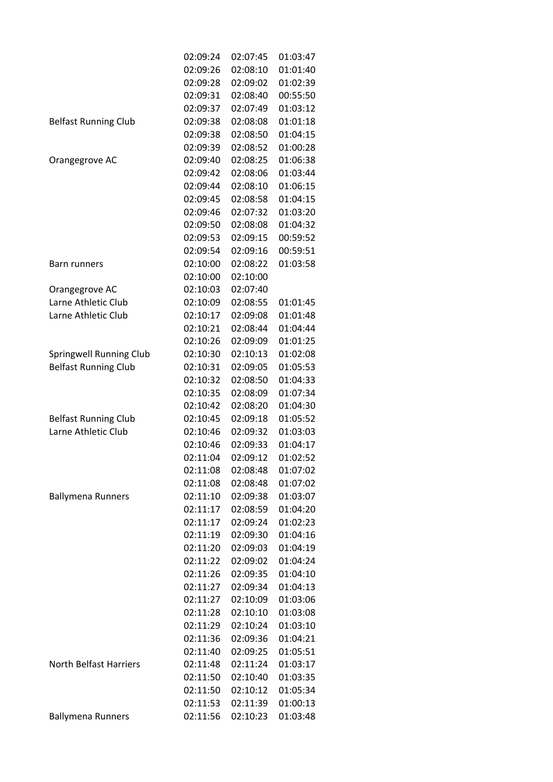|                               | 02:09:24 | 02:07:45 | 01:03:47 |
|-------------------------------|----------|----------|----------|
|                               | 02:09:26 | 02:08:10 | 01:01:40 |
|                               | 02:09:28 | 02:09:02 | 01:02:39 |
|                               | 02:09:31 | 02:08:40 | 00:55:50 |
|                               | 02:09:37 | 02:07:49 | 01:03:12 |
| <b>Belfast Running Club</b>   | 02:09:38 | 02:08:08 | 01:01:18 |
|                               | 02:09:38 | 02:08:50 | 01:04:15 |
|                               | 02:09:39 | 02:08:52 | 01:00:28 |
| Orangegrove AC                | 02:09:40 | 02:08:25 | 01:06:38 |
|                               | 02:09:42 | 02:08:06 | 01:03:44 |
|                               | 02:09:44 | 02:08:10 | 01:06:15 |
|                               | 02:09:45 | 02:08:58 | 01:04:15 |
|                               | 02:09:46 | 02:07:32 | 01:03:20 |
|                               | 02:09:50 | 02:08:08 | 01:04:32 |
|                               | 02:09:53 | 02:09:15 | 00:59:52 |
|                               | 02:09:54 | 02:09:16 | 00:59:51 |
| Barn runners                  | 02:10:00 | 02:08:22 | 01:03:58 |
|                               | 02:10:00 | 02:10:00 |          |
| Orangegrove AC                | 02:10:03 | 02:07:40 |          |
| Larne Athletic Club           | 02:10:09 | 02:08:55 | 01:01:45 |
| Larne Athletic Club           | 02:10:17 | 02:09:08 | 01:01:48 |
|                               | 02:10:21 | 02:08:44 | 01:04:44 |
|                               | 02:10:26 | 02:09:09 | 01:01:25 |
| Springwell Running Club       | 02:10:30 | 02:10:13 | 01:02:08 |
| <b>Belfast Running Club</b>   | 02:10:31 | 02:09:05 | 01:05:53 |
|                               | 02:10:32 | 02:08:50 | 01:04:33 |
|                               | 02:10:35 | 02:08:09 | 01:07:34 |
|                               | 02:10:42 | 02:08:20 | 01:04:30 |
| <b>Belfast Running Club</b>   | 02:10:45 | 02:09:18 | 01:05:52 |
| Larne Athletic Club           | 02:10:46 | 02:09:32 | 01:03:03 |
|                               | 02:10:46 | 02:09:33 | 01:04:17 |
|                               | 02:11:04 | 02:09:12 | 01:02:52 |
|                               | 02:11:08 | 02:08:48 | 01:07:02 |
|                               | 02:11:08 | 02:08:48 | 01:07:02 |
| <b>Ballymena Runners</b>      | 02:11:10 | 02:09:38 | 01:03:07 |
|                               | 02:11:17 | 02:08:59 | 01:04:20 |
|                               | 02:11:17 | 02:09:24 | 01:02:23 |
|                               | 02:11:19 | 02:09:30 | 01:04:16 |
|                               | 02:11:20 | 02:09:03 | 01:04:19 |
|                               | 02:11:22 | 02:09:02 | 01:04:24 |
|                               | 02:11:26 | 02:09:35 | 01:04:10 |
|                               | 02:11:27 | 02:09:34 | 01:04:13 |
|                               | 02:11:27 | 02:10:09 | 01:03:06 |
|                               | 02:11:28 | 02:10:10 | 01:03:08 |
|                               | 02:11:29 | 02:10:24 | 01:03:10 |
|                               | 02:11:36 | 02:09:36 | 01:04:21 |
|                               | 02:11:40 | 02:09:25 | 01:05:51 |
| <b>North Belfast Harriers</b> | 02:11:48 | 02:11:24 | 01:03:17 |
|                               | 02:11:50 | 02:10:40 | 01:03:35 |
|                               | 02:11:50 | 02:10:12 | 01:05:34 |
|                               | 02:11:53 | 02:11:39 | 01:00:13 |
| <b>Ballymena Runners</b>      | 02:11:56 | 02:10:23 | 01:03:48 |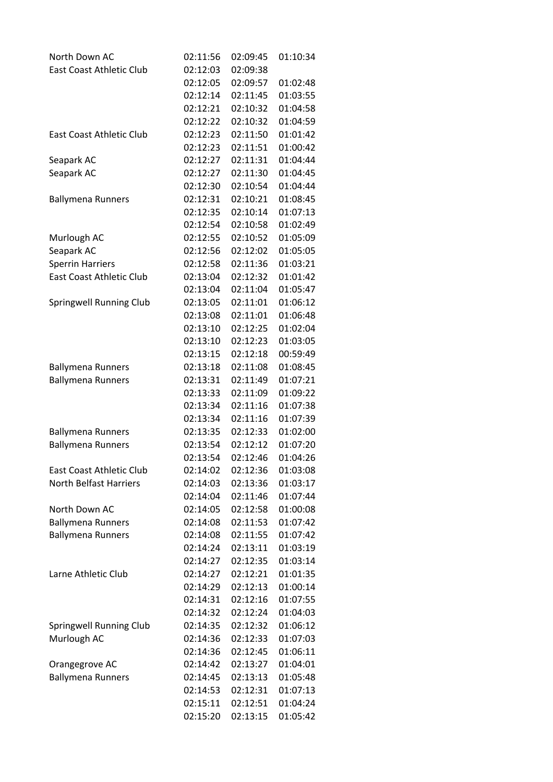| North Down AC                   | 02:11:56 | 02:09:45 | 01:10:34 |
|---------------------------------|----------|----------|----------|
| <b>East Coast Athletic Club</b> | 02:12:03 | 02:09:38 |          |
|                                 | 02:12:05 | 02:09:57 | 01:02:48 |
|                                 | 02:12:14 | 02:11:45 | 01:03:55 |
|                                 | 02:12:21 | 02:10:32 | 01:04:58 |
|                                 | 02:12:22 | 02:10:32 | 01:04:59 |
| <b>East Coast Athletic Club</b> | 02:12:23 | 02:11:50 | 01:01:42 |
|                                 | 02:12:23 | 02:11:51 | 01:00:42 |
| Seapark AC                      | 02:12:27 | 02:11:31 | 01:04:44 |
| Seapark AC                      | 02:12:27 | 02:11:30 | 01:04:45 |
|                                 | 02:12:30 | 02:10:54 | 01:04:44 |
| <b>Ballymena Runners</b>        | 02:12:31 | 02:10:21 | 01:08:45 |
|                                 | 02:12:35 | 02:10:14 | 01:07:13 |
|                                 | 02:12:54 | 02:10:58 | 01:02:49 |
| Murlough AC                     | 02:12:55 | 02:10:52 | 01:05:09 |
| Seapark AC                      | 02:12:56 | 02:12:02 | 01:05:05 |
| <b>Sperrin Harriers</b>         | 02:12:58 | 02:11:36 | 01:03:21 |
| <b>East Coast Athletic Club</b> | 02:13:04 | 02:12:32 | 01:01:42 |
|                                 | 02:13:04 | 02:11:04 | 01:05:47 |
| Springwell Running Club         | 02:13:05 | 02:11:01 | 01:06:12 |
|                                 | 02:13:08 | 02:11:01 | 01:06:48 |
|                                 | 02:13:10 | 02:12:25 | 01:02:04 |
|                                 | 02:13:10 | 02:12:23 | 01:03:05 |
|                                 | 02:13:15 | 02:12:18 | 00:59:49 |
| <b>Ballymena Runners</b>        | 02:13:18 | 02:11:08 | 01:08:45 |
| <b>Ballymena Runners</b>        | 02:13:31 | 02:11:49 | 01:07:21 |
|                                 | 02:13:33 | 02:11:09 | 01:09:22 |
|                                 | 02:13:34 | 02:11:16 | 01:07:38 |
|                                 | 02:13:34 | 02:11:16 | 01:07:39 |
| <b>Ballymena Runners</b>        | 02:13:35 | 02:12:33 | 01:02:00 |
| <b>Ballymena Runners</b>        | 02:13:54 | 02:12:12 | 01:07:20 |
|                                 | 02:13:54 | 02:12:46 | 01:04:26 |
| <b>East Coast Athletic Club</b> | 02:14:02 | 02:12:36 | 01:03:08 |
| <b>North Belfast Harriers</b>   | 02:14:03 | 02:13:36 | 01:03:17 |
|                                 | 02:14:04 | 02:11:46 | 01:07:44 |
| North Down AC                   | 02:14:05 | 02:12:58 | 01:00:08 |
| <b>Ballymena Runners</b>        | 02:14:08 | 02:11:53 | 01:07:42 |
| <b>Ballymena Runners</b>        | 02:14:08 | 02:11:55 | 01:07:42 |
|                                 | 02:14:24 | 02:13:11 | 01:03:19 |
|                                 | 02:14:27 | 02:12:35 | 01:03:14 |
| Larne Athletic Club             | 02:14:27 | 02:12:21 | 01:01:35 |
|                                 | 02:14:29 | 02:12:13 | 01:00:14 |
|                                 | 02:14:31 | 02:12:16 | 01:07:55 |
|                                 | 02:14:32 | 02:12:24 | 01:04:03 |
| Springwell Running Club         | 02:14:35 | 02:12:32 | 01:06:12 |
| Murlough AC                     | 02:14:36 | 02:12:33 | 01:07:03 |
|                                 | 02:14:36 | 02:12:45 | 01:06:11 |
| Orangegrove AC                  | 02:14:42 | 02:13:27 | 01:04:01 |
| <b>Ballymena Runners</b>        | 02:14:45 | 02:13:13 | 01:05:48 |
|                                 | 02:14:53 | 02:12:31 | 01:07:13 |
|                                 | 02:15:11 | 02:12:51 | 01:04:24 |
|                                 | 02:15:20 | 02:13:15 | 01:05:42 |
|                                 |          |          |          |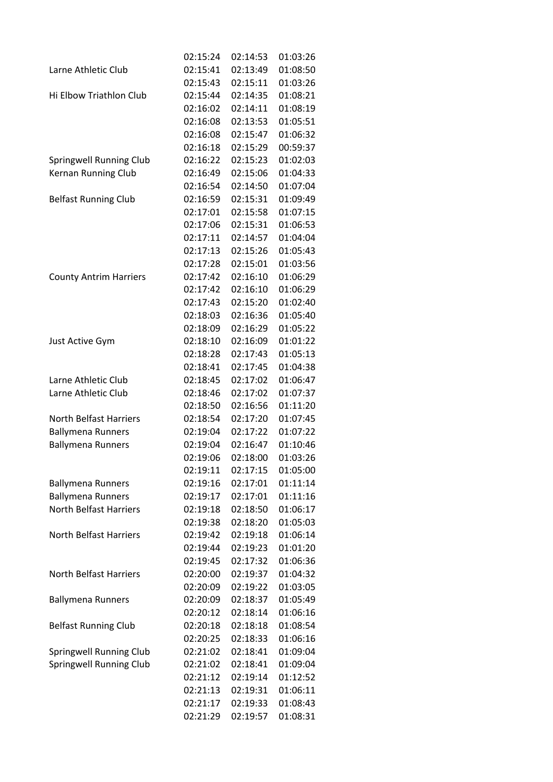|                               | 02:15:24 | 02:14:53 | 01:03:26 |
|-------------------------------|----------|----------|----------|
| Larne Athletic Club           | 02:15:41 | 02:13:49 | 01:08:50 |
|                               | 02:15:43 | 02:15:11 | 01:03:26 |
| Hi Elbow Triathlon Club       | 02:15:44 | 02:14:35 | 01:08:21 |
|                               | 02:16:02 | 02:14:11 | 01:08:19 |
|                               | 02:16:08 | 02:13:53 | 01:05:51 |
|                               | 02:16:08 | 02:15:47 | 01:06:32 |
|                               | 02:16:18 | 02:15:29 | 00:59:37 |
| Springwell Running Club       | 02:16:22 | 02:15:23 | 01:02:03 |
| Kernan Running Club           | 02:16:49 | 02:15:06 | 01:04:33 |
|                               | 02:16:54 | 02:14:50 | 01:07:04 |
| <b>Belfast Running Club</b>   | 02:16:59 | 02:15:31 | 01:09:49 |
|                               | 02:17:01 | 02:15:58 | 01:07:15 |
|                               | 02:17:06 | 02:15:31 | 01:06:53 |
|                               | 02:17:11 | 02:14:57 | 01:04:04 |
|                               | 02:17:13 | 02:15:26 | 01:05:43 |
|                               | 02:17:28 | 02:15:01 | 01:03:56 |
| <b>County Antrim Harriers</b> | 02:17:42 | 02:16:10 | 01:06:29 |
|                               | 02:17:42 | 02:16:10 | 01:06:29 |
|                               | 02:17:43 | 02:15:20 | 01:02:40 |
|                               | 02:18:03 | 02:16:36 | 01:05:40 |
|                               | 02:18:09 | 02:16:29 | 01:05:22 |
| Just Active Gym               | 02:18:10 | 02:16:09 | 01:01:22 |
|                               | 02:18:28 | 02:17:43 | 01:05:13 |
|                               | 02:18:41 | 02:17:45 | 01:04:38 |
| Larne Athletic Club           | 02:18:45 | 02:17:02 | 01:06:47 |
| Larne Athletic Club           | 02:18:46 | 02:17:02 | 01:07:37 |
|                               | 02:18:50 | 02:16:56 | 01:11:20 |
| <b>North Belfast Harriers</b> | 02:18:54 | 02:17:20 | 01:07:45 |
| <b>Ballymena Runners</b>      | 02:19:04 | 02:17:22 | 01:07:22 |
| <b>Ballymena Runners</b>      | 02:19:04 | 02:16:47 | 01:10:46 |
|                               | 02:19:06 | 02:18:00 | 01:03:26 |
|                               | 02:19:11 | 02:17:15 | 01:05:00 |
| <b>Ballymena Runners</b>      | 02:19:16 | 02:17:01 | 01:11:14 |
| <b>Ballymena Runners</b>      | 02:19:17 | 02:17:01 | 01:11:16 |
| North Belfast Harriers        | 02:19:18 | 02:18:50 | 01:06:17 |
|                               | 02:19:38 | 02:18:20 | 01:05:03 |
| <b>North Belfast Harriers</b> | 02:19:42 | 02:19:18 | 01:06:14 |
|                               | 02:19:44 | 02:19:23 | 01:01:20 |
|                               | 02:19:45 | 02:17:32 | 01:06:36 |
| <b>North Belfast Harriers</b> | 02:20:00 | 02:19:37 | 01:04:32 |
|                               | 02:20:09 | 02:19:22 | 01:03:05 |
| <b>Ballymena Runners</b>      | 02:20:09 | 02:18:37 | 01:05:49 |
|                               | 02:20:12 | 02:18:14 | 01:06:16 |
| <b>Belfast Running Club</b>   | 02:20:18 | 02:18:18 | 01:08:54 |
|                               | 02:20:25 | 02:18:33 | 01:06:16 |
| Springwell Running Club       | 02:21:02 | 02:18:41 | 01:09:04 |
| Springwell Running Club       | 02:21:02 | 02:18:41 | 01:09:04 |
|                               | 02:21:12 | 02:19:14 | 01:12:52 |
|                               | 02:21:13 | 02:19:31 | 01:06:11 |
|                               | 02:21:17 | 02:19:33 | 01:08:43 |
|                               | 02:21:29 | 02:19:57 | 01:08:31 |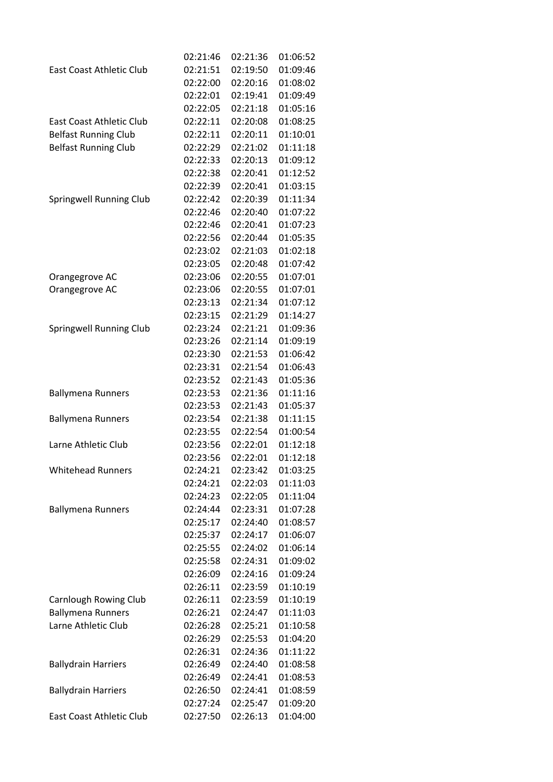|                                 | 02:21:46 | 02:21:36 | 01:06:52 |
|---------------------------------|----------|----------|----------|
| <b>East Coast Athletic Club</b> | 02:21:51 | 02:19:50 | 01:09:46 |
|                                 | 02:22:00 | 02:20:16 | 01:08:02 |
|                                 | 02:22:01 | 02:19:41 | 01:09:49 |
|                                 | 02:22:05 | 02:21:18 | 01:05:16 |
| East Coast Athletic Club        | 02:22:11 | 02:20:08 | 01:08:25 |
| <b>Belfast Running Club</b>     | 02:22:11 | 02:20:11 | 01:10:01 |
| <b>Belfast Running Club</b>     | 02:22:29 | 02:21:02 | 01:11:18 |
|                                 | 02:22:33 | 02:20:13 | 01:09:12 |
|                                 | 02:22:38 | 02:20:41 | 01:12:52 |
|                                 | 02:22:39 | 02:20:41 | 01:03:15 |
| <b>Springwell Running Club</b>  | 02:22:42 | 02:20:39 | 01:11:34 |
|                                 | 02:22:46 | 02:20:40 | 01:07:22 |
|                                 | 02:22:46 | 02:20:41 | 01:07:23 |
|                                 | 02:22:56 | 02:20:44 | 01:05:35 |
|                                 | 02:23:02 | 02:21:03 | 01:02:18 |
|                                 | 02:23:05 | 02:20:48 | 01:07:42 |
| Orangegrove AC                  | 02:23:06 | 02:20:55 | 01:07:01 |
| Orangegrove AC                  | 02:23:06 | 02:20:55 | 01:07:01 |
|                                 | 02:23:13 | 02:21:34 | 01:07:12 |
|                                 | 02:23:15 | 02:21:29 | 01:14:27 |
| <b>Springwell Running Club</b>  | 02:23:24 | 02:21:21 | 01:09:36 |
|                                 | 02:23:26 | 02:21:14 | 01:09:19 |
|                                 | 02:23:30 | 02:21:53 | 01:06:42 |
|                                 | 02:23:31 | 02:21:54 | 01:06:43 |
|                                 | 02:23:52 | 02:21:43 | 01:05:36 |
| <b>Ballymena Runners</b>        | 02:23:53 | 02:21:36 | 01:11:16 |
|                                 | 02:23:53 | 02:21:43 | 01:05:37 |
| <b>Ballymena Runners</b>        | 02:23:54 | 02:21:38 | 01:11:15 |
|                                 | 02:23:55 | 02:22:54 | 01:00:54 |
| Larne Athletic Club             | 02:23:56 | 02:22:01 | 01:12:18 |
|                                 | 02:23:56 | 02:22:01 | 01:12:18 |
| <b>Whitehead Runners</b>        | 02:24:21 | 02:23:42 | 01:03:25 |
|                                 | 02:24:21 | 02:22:03 | 01:11:03 |
|                                 | 02:24:23 | 02:22:05 | 01:11:04 |
| <b>Ballymena Runners</b>        | 02:24:44 | 02:23:31 | 01:07:28 |
|                                 | 02:25:17 | 02:24:40 | 01:08:57 |
|                                 | 02:25:37 | 02:24:17 | 01:06:07 |
|                                 | 02:25:55 | 02:24:02 | 01:06:14 |
|                                 | 02:25:58 | 02:24:31 | 01:09:02 |
|                                 | 02:26:09 | 02:24:16 | 01:09:24 |
|                                 | 02:26:11 | 02:23:59 | 01:10:19 |
| Carnlough Rowing Club           | 02:26:11 | 02:23:59 | 01:10:19 |
| <b>Ballymena Runners</b>        | 02:26:21 | 02:24:47 | 01:11:03 |
| Larne Athletic Club             | 02:26:28 | 02:25:21 | 01:10:58 |
|                                 | 02:26:29 | 02:25:53 | 01:04:20 |
|                                 | 02:26:31 | 02:24:36 | 01:11:22 |
| <b>Ballydrain Harriers</b>      | 02:26:49 | 02:24:40 | 01:08:58 |
|                                 | 02:26:49 | 02:24:41 | 01:08:53 |
| <b>Ballydrain Harriers</b>      | 02:26:50 | 02:24:41 | 01:08:59 |
|                                 | 02:27:24 | 02:25:47 | 01:09:20 |
| East Coast Athletic Club        | 02:27:50 | 02:26:13 | 01:04:00 |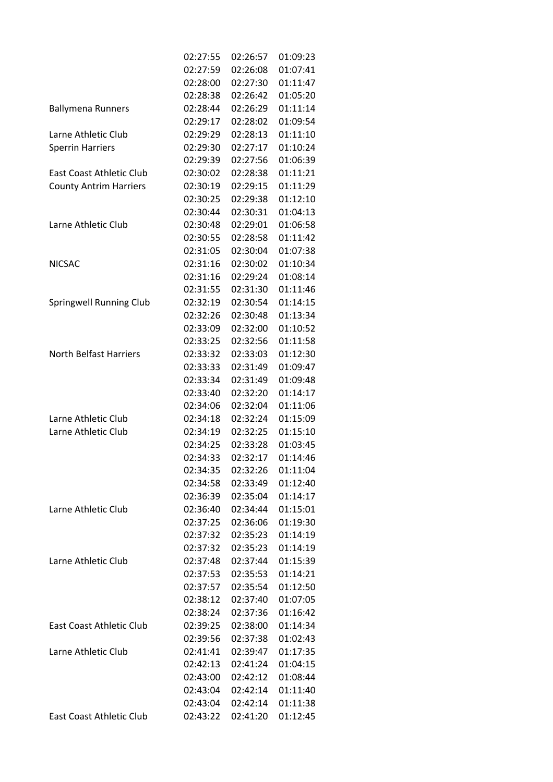|                               | 02:27:55 | 02:26:57 | 01:09:23 |
|-------------------------------|----------|----------|----------|
|                               | 02:27:59 | 02:26:08 | 01:07:41 |
|                               | 02:28:00 | 02:27:30 | 01:11:47 |
|                               | 02:28:38 | 02:26:42 | 01:05:20 |
| <b>Ballymena Runners</b>      | 02:28:44 | 02:26:29 | 01:11:14 |
|                               | 02:29:17 | 02:28:02 | 01:09:54 |
| Larne Athletic Club           | 02:29:29 | 02:28:13 | 01:11:10 |
| <b>Sperrin Harriers</b>       | 02:29:30 | 02:27:17 | 01:10:24 |
|                               | 02:29:39 | 02:27:56 | 01:06:39 |
| East Coast Athletic Club      | 02:30:02 | 02:28:38 | 01:11:21 |
| <b>County Antrim Harriers</b> | 02:30:19 | 02:29:15 | 01:11:29 |
|                               | 02:30:25 | 02:29:38 | 01:12:10 |
|                               | 02:30:44 | 02:30:31 | 01:04:13 |
| Larne Athletic Club           | 02:30:48 | 02:29:01 | 01:06:58 |
|                               | 02:30:55 | 02:28:58 | 01:11:42 |
|                               | 02:31:05 | 02:30:04 | 01:07:38 |
| <b>NICSAC</b>                 | 02:31:16 | 02:30:02 | 01:10:34 |
|                               | 02:31:16 | 02:29:24 | 01:08:14 |
|                               | 02:31:55 | 02:31:30 | 01:11:46 |
| Springwell Running Club       | 02:32:19 | 02:30:54 | 01:14:15 |
|                               | 02:32:26 | 02:30:48 | 01:13:34 |
|                               | 02:33:09 | 02:32:00 | 01:10:52 |
|                               | 02:33:25 | 02:32:56 | 01:11:58 |
| <b>North Belfast Harriers</b> | 02:33:32 | 02:33:03 | 01:12:30 |
|                               | 02:33:33 | 02:31:49 | 01:09:47 |
|                               | 02:33:34 | 02:31:49 | 01:09:48 |
|                               | 02:33:40 | 02:32:20 | 01:14:17 |
|                               | 02:34:06 | 02:32:04 | 01:11:06 |
| Larne Athletic Club           | 02:34:18 | 02:32:24 | 01:15:09 |
| Larne Athletic Club           | 02:34:19 | 02:32:25 | 01:15:10 |
|                               | 02:34:25 | 02:33:28 | 01:03:45 |
|                               | 02:34:33 | 02:32:17 | 01:14:46 |
|                               | 02:34:35 | 02:32:26 | 01:11:04 |
|                               | 02:34:58 | 02:33:49 | 01:12:40 |
|                               | 02:36:39 | 02:35:04 | 01:14:17 |
| Larne Athletic Club           | 02:36:40 | 02:34:44 | 01:15:01 |
|                               | 02:37:25 | 02:36:06 | 01:19:30 |
|                               | 02:37:32 | 02:35:23 | 01:14:19 |
|                               | 02:37:32 | 02:35:23 | 01:14:19 |
| Larne Athletic Club           | 02:37:48 | 02:37:44 | 01:15:39 |
|                               | 02:37:53 | 02:35:53 | 01:14:21 |
|                               | 02:37:57 | 02:35:54 | 01:12:50 |
|                               | 02:38:12 | 02:37:40 | 01:07:05 |
|                               | 02:38:24 | 02:37:36 | 01:16:42 |
| East Coast Athletic Club      | 02:39:25 | 02:38:00 | 01:14:34 |
|                               | 02:39:56 | 02:37:38 | 01:02:43 |
| Larne Athletic Club           | 02:41:41 | 02:39:47 | 01:17:35 |
|                               | 02:42:13 | 02:41:24 | 01:04:15 |
|                               | 02:43:00 | 02:42:12 | 01:08:44 |
|                               | 02:43:04 | 02:42:14 | 01:11:40 |
|                               | 02:43:04 | 02:42:14 | 01:11:38 |
| East Coast Athletic Club      | 02:43:22 | 02:41:20 | 01:12:45 |
|                               |          |          |          |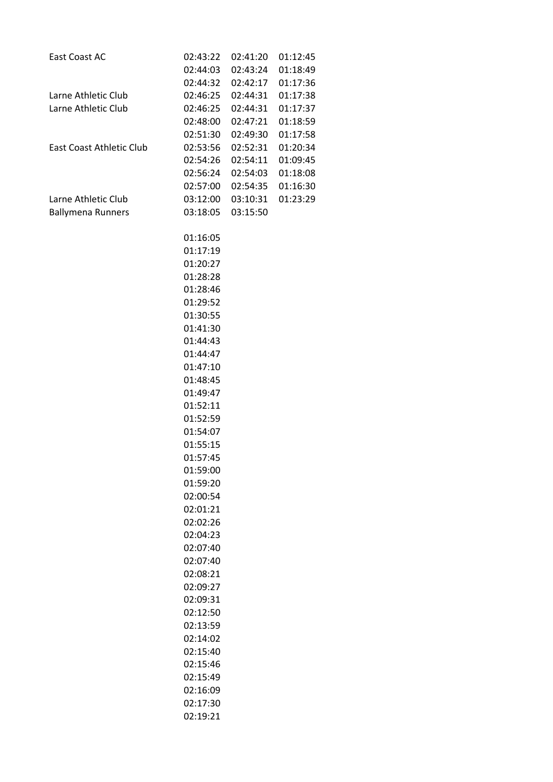| East Coast AC            | 02:43:22 | 02:41:20          | 01:12:45 |
|--------------------------|----------|-------------------|----------|
|                          | 02:44:03 | 02:43:24          | 01:18:49 |
|                          |          | 02:44:32 02:42:17 | 01:17:36 |
| Larne Athletic Club      |          | 02:46:25 02:44:31 | 01:17:38 |
| Larne Athletic Club      |          | 02:46:25 02:44:31 | 01:17:37 |
|                          | 02:48:00 | 02:47:21          | 01:18:59 |
|                          |          | 02:51:30 02:49:30 | 01:17:58 |
| East Coast Athletic Club |          | 02:53:56 02:52:31 | 01:20:34 |
|                          |          | 02:54:26 02:54:11 | 01:09:45 |
|                          |          | 02:56:24 02:54:03 | 01:18:08 |
|                          | 02:57:00 | 02:54:35          | 01:16:30 |
| Larne Athletic Club      | 03:12:00 | 03:10:31          | 01:23:29 |
| <b>Ballymena Runners</b> |          | 03:18:05 03:15:50 |          |
|                          | 01:16:05 |                   |          |
|                          | 01:17:19 |                   |          |
|                          | 01:20:27 |                   |          |
|                          | 01:28:28 |                   |          |
|                          | 01:28:46 |                   |          |
|                          | 01:29:52 |                   |          |
|                          | 01:30:55 |                   |          |
|                          | 01:41:30 |                   |          |
|                          | 01:44:43 |                   |          |
|                          | 01:44:47 |                   |          |
|                          | 01:47:10 |                   |          |
|                          | 01:48:45 |                   |          |
|                          | 01:49:47 |                   |          |
|                          | 01:52:11 |                   |          |
|                          | 01:52:59 |                   |          |
|                          | 01:54:07 |                   |          |
|                          | 01:55:15 |                   |          |
|                          | 01:57:45 |                   |          |
|                          | 01:59:00 |                   |          |
|                          | 01:59:20 |                   |          |
|                          | 02:00:54 |                   |          |
|                          | 02:01:21 |                   |          |
|                          | 02:02:26 |                   |          |
|                          | 02:04:23 |                   |          |
|                          | 02:07:40 |                   |          |
|                          | 02:07:40 |                   |          |
|                          | 02:08:21 |                   |          |
|                          | 02:09:27 |                   |          |
|                          | 02:09:31 |                   |          |
|                          | 02:12:50 |                   |          |
|                          | 02:13:59 |                   |          |
|                          | 02:14:02 |                   |          |
|                          | 02:15:40 |                   |          |
|                          | 02:15:46 |                   |          |
|                          | 02:15:49 |                   |          |
|                          | 02:16:09 |                   |          |
|                          | 02:17:30 |                   |          |
|                          | 02:19:21 |                   |          |
|                          |          |                   |          |